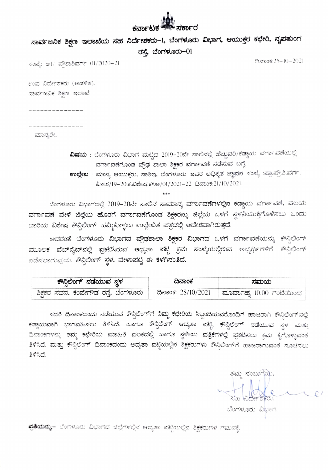

## ಸಾರ್ವಜನಿಕ ಶಿಕ್ಷಣ ಇಲಾಖೆಯ ಸಹ ನಿರ್ದೇಶಕರು–1, ಬೆಂಗಳೂರು ವಿಭಾಗ, ಆಯುಕ್ತರ ಕಛೇರಿ, ನೃಪತುಂಗ

ರಸ್ತೆ, ಬೆಂಗಳೂರು-01

ಸಂಖ್ಯೆ: ಅ1/ ಪ್ರೌಶಾಶಿವರ್ಗ 01/2020-21

ದಿನಾಂಕ:25-10-2021

ಉಪ ನಿರ್ದೇಶಕರು (ಆಡಳಿತ). ಸಾರ್ವಜನಿಕ ಶಿಕ್ಷಣ ಇಲಾಖೆ

ಮಾನ್ಯರೇ.

**ವಿಷಯ** : ಬೆಂಗಳೂರು ವಿಭಾಗ ಮಟ್ಟದ 2019–20ನೇ ಸಾಲಿನಲ್ಲಿ ಹೆಚ್ಚುವರಿ/ಕಡ್ಡಾಯ ವರ್ಗಾವಣೆಯಲ್ಲಿ ವರ್ಗಾವಣೆಗೊಂಡ ಪ್ರೌಢ ಶಾಲಾ ಶಿಕ್ಷಕರ ವರ್ಗಾವಣೆ ನಡೆಸುವ ಬಗ್ಗೆ.

**ಉಲ್ಲೇಖ** : ಮಾನ್ಯ ಆಯುಕ್ತರು, ಸಾಶಿಇ, ಬೆಂಗಳೂರು ಇವರ ಅಧಿಕೃತ ಜ್ಞಾವನ ಸಂಖ್ಯೆ :ಪ್ರಾ.ಪ್ರೌ.ಶಿ.ವರ್ಗ. ಕೋಶ/19-20.ಕ.ವಿಶೇಷ.ಕೌ.ಅ/01/2021-22 ದಿನಾಂಕ:21/10/2021.

ಬೆಂಗಳೂರು ವಿಭಾಗದಲ್ಲಿ 2019–20ನೇ ಸಾಲಿನ ಸಾಮಾನ್ಯ ವರ್ಗಾವಣೆಗಳಲ್ಲಿನ ಕಡ್ಡಾಯ ವರ್ಗಾವಣೆ, ವಲಯ ವರ್ಗಾವಣೆ ವೇಳೆ ಜಿಲ್ಲೆಯ ಹೊರಗೆ ವರ್ಗಾವಣೆಗೊಂಡ ಶಿಕ್ಷಕರನ್ನು ಜಿಲ್ಲೆಯ ಒಳಗೆ ಸ್ಥಳನಿಯುಕ್ತಿಗೊಳಿಸಲು ಒಂದು ಬಾರಿಯ ವಿಶೇಷ ಕೌನ್ಸಿಲಿಂಗ್ ಹಮ್ಮಿಕೊಳ್ಳಲು ಉಲ್ಲೇಖಿತ ಪತ್ರದಲ್ಲಿ ಆದೇಶವಾಗಿರುತ್ತದೆ.

ಅದರಂತೆ ಬೆಂಗಳೂರು ವಿಭಾಗದ ಪ್ರೌಢಶಾಲಾ ಶಿಕ್ಷಕರ ವಿಭಾಗದ ಒಳಗೆ ವರ್ಗಾವಣೆಯನ್ನು ಕೌನ್ಸಿಲಿಂಗ್ ಮೂಲಕ ವೆಬ್<sub>ಗೈ</sub>ಟ್*ನ*ಲ್ಲಿ ಪ್ರಕಟಿಸಿರುವ ಆಧ್ಯತಾ ಪಟ್ಟ ಕ್ರಮ ಸಂಖ್ಯೆಯಲ್ಲಿರುವ ಅಭ್ಯರ್ಥಿಗಳಿಗೆ ಕೌನ್ಸಿಲಿಂಗ್ ನಡೆಸಲಾಗುವುದು. ಕೌನ್ಸಿಲಿಂಗ್ ಸ್ಥಳ, ವೇಳಾಪಟ್ಟ ಈ ಕೆಳಗಿನಂತಿದೆ.

| ಕೌನ್ಗಿಲಿಂಗ್ ನಡೆಯುವ ಸ್ಥಳ                                         | ದಿನಾಂಕ | ಸಮಯ                                           |
|-----------------------------------------------------------------|--------|-----------------------------------------------|
| ಶಿ <del>ಕ್ಷಕ</del> ರ ಸದನ, ಕೆಂಪೇಗೌಡ ರಸ್ತೆ, ಬೆಂಗಳೂರು <sub> </sub> |        | ದಿನಾಂಕ: 28/10/2021   ಮೂರ್ವಾಹ್ನ 10.00 ಗಂಟೆಯಿಂದ |

ಸದರಿ ದಿನಾಂಕದಂದು ನಡೆಯುವ ಕೌನ್ಸಿಲಿಂಗ್ಗೆ ನಿಮ್ಮ ಕಛೇರಿಯ ಸಿಬ್ಬಂದಿಯವರೊಂದಿಗೆ ಹಾಜರಾಗಿ ಕೌನ್ಸಿಲಿಂಗ್ ನಲ್ಲಿ ಕಡ್ಡಾಯವಾಗಿ ಭಾಗವಹಿಸಲು ತಿಳಿಸಿದೆ. ಹಾಗೂ ಕೌನ್ಸಿಲಿಂಗ್ ಆದ್ಯತಾ ಪಟ್ಟೆ, ಕೌನ್ಸಿಲಿಂಗ್ ನಡೆಯುವ ಸ್ಥಳ ಮತ್ತು ದಿನಾಂಕಗಳನ್ನು ತಮ್ಮ ಕಛೇರಿಯ ಮಾಹಿತಿ ಫಲಕದಲ್ಲಿ ಹಾಗೂ ಸ್ಥಳೀಯ ಪತ್ರಿಕೆಗಳಲ್ಲಿ ಪ್ರಕಟಿಸಲು ಕ್ರಮ ಕೈಗೊಳ್ಳುವಂತೆ ತಿಳಿಸಿದೆ. ಮತ್ತು ಕೌನ್ಸಿಲಿಂಗ್ ದಿನಾಂಕದಂದು ಆದ್ಯತಾ ಪಟ್ಟಿಯಲ್ಲಿನ ಶಿಕ್ಷಕರುಗಳು ಕೌನ್ಸಿಲಿಂಗ್ಗೆ ಹಾಜರಾಗುವಂತೆ ಸೂಚಿಸಲು ತಿಳಿಸಿದೆ.

ತಮ್ಮ ನಂಬುಗ್ಗಯಿ. ಬೆಂಗಳೂರು ವಿಭಾಗ.

**ಪ್ರತಿಯನ್ನು:-** ಬೆಂಗಳೂರು ವಿಭಾಗದ ಜಿಲ್ಲೆಗಳಲ್ಲಿನ ಆದೃತಾ ಪಟ್ಟಿಯಲ್ಲಿನ ಶಿಕ್ಷಕರುಗಳ ಗಮನಕ್ಕೆ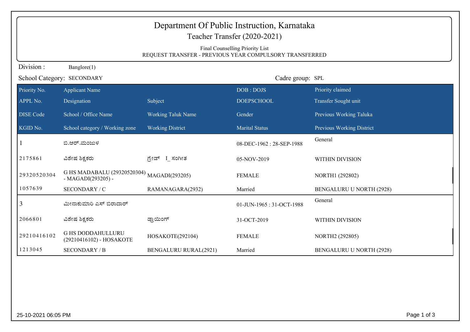| Department Of Public Instruction, Karnataka<br>Teacher Transfer (2020-2021) |                                                                                            |                              |                          |                           |  |  |
|-----------------------------------------------------------------------------|--------------------------------------------------------------------------------------------|------------------------------|--------------------------|---------------------------|--|--|
|                                                                             | Final Counselling Priority List<br>REQUEST TRANSFER - PREVIOUS YEAR COMPULSORY TRANSFERRED |                              |                          |                           |  |  |
| Division:                                                                   | Banglore(1)                                                                                |                              |                          |                           |  |  |
|                                                                             | School Category: SECONDARY                                                                 |                              | Cadre group: SPL         |                           |  |  |
| Priority No.                                                                | <b>Applicant Name</b>                                                                      |                              | DOB: DOJS                | Priority claimed          |  |  |
| APPL No.                                                                    | Designation                                                                                | Subject                      | <b>DOEPSCHOOL</b>        | Transfer Sought unit      |  |  |
| <b>DISE Code</b>                                                            | School / Office Name                                                                       | <b>Working Taluk Name</b>    | Gender                   | Previous Working Taluka   |  |  |
| KGID No.                                                                    | School category / Working zone                                                             | <b>Working District</b>      | <b>Marital Status</b>    | Previous Working District |  |  |
|                                                                             | ಬಿ.ಆರ್.ಮಂಜುಳ                                                                               |                              | 08-DEC-1962: 28-SEP-1988 | General                   |  |  |
| 2175861                                                                     | ವಿಶೇಷ ಶಿಕ್ಷಕರು                                                                             | ಗ್ರೇಡ್ I ಸಂಗೀತ               | 05-NOV-2019              | WITHIN DIVISION           |  |  |
| 29320520304                                                                 | G HS MADABALU (29320520304)<br>- MAGADI(293205) -                                          | MAGADI(293205)               | <b>FEMALE</b>            | NORTH1 (292802)           |  |  |
| 1057639                                                                     | SECONDARY / C                                                                              | RAMANAGARA(2932)             | Married                  | BENGALURU U NORTH (2928)  |  |  |
| 3                                                                           | ಮೀನಾಕುಮಾರಿ ಎಸ್ ಬಿರಾದಾರ್                                                                    |                              | 01-JUN-1965: 31-OCT-1988 | General                   |  |  |
| 2066801                                                                     | ವಿಶೇಷ ಶಿಕ್ಷಕರು                                                                             | ಡ್ರಾಯಿಂಗ್                    | 31-OCT-2019              | WITHIN DIVISION           |  |  |
| 29210416102                                                                 | <b>G HS DODDAHULLURU</b><br>(29210416102) - HOSAKOTE                                       | HOSAKOTE(292104)             | <b>FEMALE</b>            | NORTH2 (292805)           |  |  |
| 1213045                                                                     | <b>SECONDARY / B</b>                                                                       | <b>BENGALURU RURAL(2921)</b> | Married                  | BENGALURU U NORTH (2928)  |  |  |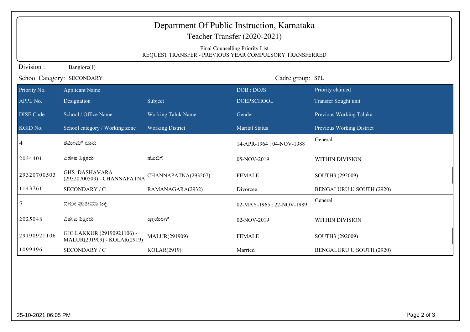| Department Of Public Instruction, Karnataka<br>Teacher Transfer (2020-2021) |                                                                                            |                           |                           |                           |  |  |
|-----------------------------------------------------------------------------|--------------------------------------------------------------------------------------------|---------------------------|---------------------------|---------------------------|--|--|
|                                                                             | Final Counselling Priority List<br>REQUEST TRANSFER - PREVIOUS YEAR COMPULSORY TRANSFERRED |                           |                           |                           |  |  |
| Division:                                                                   | Banglore(1)                                                                                |                           |                           |                           |  |  |
|                                                                             | School Category: SECONDARY                                                                 |                           | Cadre group: SPL          |                           |  |  |
| Priority No.                                                                | <b>Applicant Name</b>                                                                      |                           | DOB: DOJS                 | Priority claimed          |  |  |
| APPL No.                                                                    | Designation                                                                                | Subject                   | <b>DOEPSCHOOL</b>         | Transfer Sought unit      |  |  |
| <b>DISE Code</b>                                                            | School / Office Name                                                                       | <b>Working Taluk Name</b> | Gender                    | Previous Working Taluka   |  |  |
| KGID No.                                                                    | School category / Working zone                                                             | <b>Working District</b>   | <b>Marital Status</b>     | Previous Working District |  |  |
| 4                                                                           | ಶಮೀಮ್ ಬಾನು                                                                                 |                           | 14-APR-1964 : 04-NOV-1988 | General                   |  |  |
| 2034401                                                                     | ವಿಶೇಷ ಶಿಕ್ಷಕರು                                                                             | ಹೊಲಿಗೆ                    | 05-NOV-2019               | WITHIN DIVISION           |  |  |
| 29320700503                                                                 | <b>GHS DASHAVARA</b><br>(29320700503) - CHANNAPATNA                                        | CHANNAPATNA(293207)       | <b>FEMALE</b>             | SOUTH3 (292009)           |  |  |
| 1143761                                                                     | SECONDARY / C                                                                              | RAMANAGARA(2932)          | Divorcee                  | BENGALURU U SOUTH (2920)  |  |  |
| 7                                                                           | ಬೀಬೀ ಫಾತೀಮಾ ಜಕ್ತಿ                                                                          |                           | 02-MAY-1965: 22-NOV-1989  | General                   |  |  |
| 2025048                                                                     | ವಿಶೇಷ ಶಿಕ್ಷಕರು                                                                             | ಡ್ರಾಯಿಂಗ್                 | 02-NOV-2019               | WITHIN DIVISION           |  |  |
| 29190921106                                                                 | GJC LAKKUR (29190921106) -<br>MALUR(291909) - KOLAR(2919)                                  | MALUR(291909)             | <b>FEMALE</b>             | SOUTH3 (292009)           |  |  |
| 1099496                                                                     | SECONDARY / C                                                                              | KOLAR(2919)               | Married                   | BENGALURU U SOUTH (2920)  |  |  |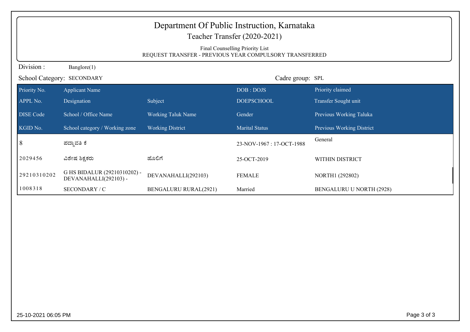|                  | Department Of Public Instruction, Karnataka<br>Teacher Transfer (2020-2021)<br>Final Counselling Priority List<br>REQUEST TRANSFER - PREVIOUS YEAR COMPULSORY TRANSFERRED |                              |                          |                           |  |  |
|------------------|---------------------------------------------------------------------------------------------------------------------------------------------------------------------------|------------------------------|--------------------------|---------------------------|--|--|
| Division:        | Banglore(1)                                                                                                                                                               |                              |                          |                           |  |  |
|                  | School Category: SECONDARY                                                                                                                                                |                              | Cadre group: SPL         |                           |  |  |
| Priority No.     | <b>Applicant Name</b>                                                                                                                                                     |                              | DOB: DOJS                | Priority claimed          |  |  |
| APPL No.         | Designation                                                                                                                                                               | Subject                      | <b>DOEPSCHOOL</b>        | Transfer Sought unit      |  |  |
| <b>DISE Code</b> | School / Office Name                                                                                                                                                      | <b>Working Taluk Name</b>    | Gender                   | Previous Working Taluka   |  |  |
| KGID No.         | School category / Working zone                                                                                                                                            | <b>Working District</b>      | <b>Marital Status</b>    | Previous Working District |  |  |
| 8                | ಪದ್ಮಾವತಿ ಕೆ                                                                                                                                                               |                              | 23-NOV-1967: 17-OCT-1988 | General                   |  |  |
| 2029456          | ವಿಶೇಷ ಶಿಕ್ಷಕರು                                                                                                                                                            | ಹೊಲಿಗೆ                       | 25-OCT-2019              | WITHIN DISTRICT           |  |  |
| 29210310202      | G HS BIDALUR (29210310202) -<br>DEVANAHALLI(292103) -                                                                                                                     | DEVANAHALLI(292103)          | <b>FEMALE</b>            | NORTH1 (292802)           |  |  |
| 1008318          | SECONDARY / C                                                                                                                                                             | <b>BENGALURU RURAL(2921)</b> | Married                  | BENGALURU U NORTH (2928)  |  |  |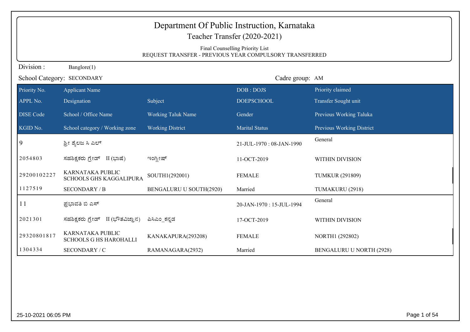| Department Of Public Instruction, Karnataka<br>Teacher Transfer (2020-2021)<br>Final Counselling Priority List<br>REQUEST TRANSFER - PREVIOUS YEAR COMPULSORY TRANSFERRED |                                                    |                           |                          |                                 |
|---------------------------------------------------------------------------------------------------------------------------------------------------------------------------|----------------------------------------------------|---------------------------|--------------------------|---------------------------------|
| Division:                                                                                                                                                                 | Banglore(1)                                        |                           |                          |                                 |
|                                                                                                                                                                           | School Category: SECONDARY                         |                           | Cadre group: AM          |                                 |
| Priority No.                                                                                                                                                              | <b>Applicant Name</b>                              |                           | DOB: DOJS                | Priority claimed                |
| APPL No.                                                                                                                                                                  | Designation                                        | Subject                   | <b>DOEPSCHOOL</b>        | Transfer Sought unit            |
| <b>DISE Code</b>                                                                                                                                                          | School / Office Name                               | <b>Working Taluk Name</b> | Gender                   | Previous Working Taluka         |
| KGID No.                                                                                                                                                                  | School category / Working zone                     | <b>Working District</b>   | <b>Marital Status</b>    | Previous Working District       |
| 9                                                                                                                                                                         | ಶ್ರೀ ಶೈಲಜ ಸಿ ಎಲ್                                   |                           | 21-JUL-1970: 08-JAN-1990 | General                         |
| 2054803                                                                                                                                                                   | ಸಹಶಿಕ್ಷಕರು ಗ್ರೇಡ್ II (ಭಾಷೆ)                        | ಇಂಗ್ಲೀಷ್                  | 11-OCT-2019              | WITHIN DIVISION                 |
| 29200102227                                                                                                                                                               | KARNATAKA PUBLIC<br><b>SCHOOLS GHS KAGGALIPURA</b> | SOUTH1(292001)            | <b>FEMALE</b>            | <b>TUMKUR (291809)</b>          |
| 1127519                                                                                                                                                                   | <b>SECONDARY / B</b>                               | BENGALURU U SOUTH(2920)   | Married                  | TUMAKURU (2918)                 |
| 11                                                                                                                                                                        | ಪ್ರಭಾವತಿ ಬಿ ಎಸ್                                    |                           | 20-JAN-1970: 15-JUL-1994 | General                         |
| 2021301                                                                                                                                                                   | II (ಭೌತವಿಜ್ಞಾನ)<br>ಸಹಶಿಕ್ಷಕರು ಗ್ರೇಡ್               | ಪಿಸಿಎಂ_ಕನ್ನಡ              | 17-OCT-2019              | WITHIN DIVISION                 |
| 29320801817                                                                                                                                                               | KARNATAKA PUBLIC<br><b>SCHOOLS G HS HAROHALLI</b>  | KANAKAPURA(293208)        | <b>FEMALE</b>            | NORTH1 (292802)                 |
| 1304334                                                                                                                                                                   | SECONDARY / C                                      | RAMANAGARA(2932)          | Married                  | <b>BENGALURU U NORTH (2928)</b> |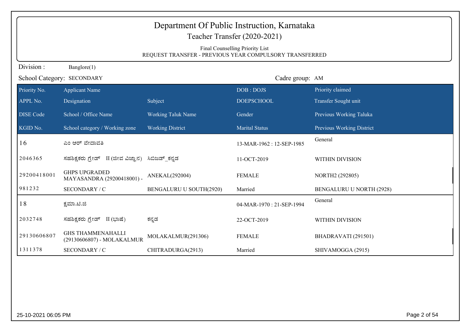| Final Counselling Priority List<br>REQUEST TRANSFER - PREVIOUS YEAR COMPULSORY TRANSFERRED<br>Division:<br>Banglore(1)<br>Cadre group: AM<br>School Category: SECONDARY<br>Priority claimed<br>Priority No.<br><b>Applicant Name</b><br>DOB: DOJS<br>APPL No.<br>Subject<br><b>DOEPSCHOOL</b><br>Transfer Sought unit<br>Designation<br>School / Office Name<br><b>Working Taluk Name</b><br><b>DISE Code</b><br>Gender<br>Previous Working Taluka<br>KGID No.<br>School category / Working zone<br><b>Working District</b><br><b>Marital Status</b><br>Previous Working District<br>General<br>16<br>ಎಂ ಆರ್ ವೇದಾವತಿ<br>13-MAR-1962: 12-SEP-1985<br>2046365<br>ಸಹಶಿಕ್ಷಕರು ಗ್ರೇಡ್ II (ಜೀವ ವಿಜ್ಞಾನ)<br>ಸಿಬಿಜಡ್ ಕನ್ನಡ<br>11-OCT-2019<br>WITHIN DIVISION<br><b>GHPS UPGRADED</b><br>29200418001<br>ANEKAL(292004)<br><b>FEMALE</b><br>NORTH2 (292805)<br>MAYASANDRA (29200418001) -<br>981232<br>SECONDARY / C<br>BENGALURU U SOUTH(2920)<br>Married<br>BENGALURU U NORTH (2928)<br>General | Department Of Public Instruction, Karnataka<br>Teacher Transfer (2020-2021) |             |  |                          |  |  |
|-----------------------------------------------------------------------------------------------------------------------------------------------------------------------------------------------------------------------------------------------------------------------------------------------------------------------------------------------------------------------------------------------------------------------------------------------------------------------------------------------------------------------------------------------------------------------------------------------------------------------------------------------------------------------------------------------------------------------------------------------------------------------------------------------------------------------------------------------------------------------------------------------------------------------------------------------------------------------------------------|-----------------------------------------------------------------------------|-------------|--|--------------------------|--|--|
|                                                                                                                                                                                                                                                                                                                                                                                                                                                                                                                                                                                                                                                                                                                                                                                                                                                                                                                                                                                         |                                                                             |             |  |                          |  |  |
|                                                                                                                                                                                                                                                                                                                                                                                                                                                                                                                                                                                                                                                                                                                                                                                                                                                                                                                                                                                         |                                                                             |             |  |                          |  |  |
|                                                                                                                                                                                                                                                                                                                                                                                                                                                                                                                                                                                                                                                                                                                                                                                                                                                                                                                                                                                         |                                                                             |             |  |                          |  |  |
|                                                                                                                                                                                                                                                                                                                                                                                                                                                                                                                                                                                                                                                                                                                                                                                                                                                                                                                                                                                         |                                                                             |             |  |                          |  |  |
|                                                                                                                                                                                                                                                                                                                                                                                                                                                                                                                                                                                                                                                                                                                                                                                                                                                                                                                                                                                         |                                                                             |             |  |                          |  |  |
|                                                                                                                                                                                                                                                                                                                                                                                                                                                                                                                                                                                                                                                                                                                                                                                                                                                                                                                                                                                         |                                                                             |             |  |                          |  |  |
|                                                                                                                                                                                                                                                                                                                                                                                                                                                                                                                                                                                                                                                                                                                                                                                                                                                                                                                                                                                         |                                                                             |             |  |                          |  |  |
|                                                                                                                                                                                                                                                                                                                                                                                                                                                                                                                                                                                                                                                                                                                                                                                                                                                                                                                                                                                         |                                                                             |             |  |                          |  |  |
|                                                                                                                                                                                                                                                                                                                                                                                                                                                                                                                                                                                                                                                                                                                                                                                                                                                                                                                                                                                         |                                                                             |             |  |                          |  |  |
|                                                                                                                                                                                                                                                                                                                                                                                                                                                                                                                                                                                                                                                                                                                                                                                                                                                                                                                                                                                         |                                                                             |             |  |                          |  |  |
|                                                                                                                                                                                                                                                                                                                                                                                                                                                                                                                                                                                                                                                                                                                                                                                                                                                                                                                                                                                         |                                                                             |             |  |                          |  |  |
| 18                                                                                                                                                                                                                                                                                                                                                                                                                                                                                                                                                                                                                                                                                                                                                                                                                                                                                                                                                                                      |                                                                             | ಕ್ಷಮಾ.ಟಿ.ಜಿ |  | 04-MAR-1970: 21-SEP-1994 |  |  |
| 2032748<br>ಸಹಶಿಕ್ಷಕರು ಗ್ರೇಡ್ II (ಭಾಷೆ)<br>ಕನ್ನಡ<br>22-OCT-2019<br>WITHIN DIVISION                                                                                                                                                                                                                                                                                                                                                                                                                                                                                                                                                                                                                                                                                                                                                                                                                                                                                                       |                                                                             |             |  |                          |  |  |
| <b>GHS THAMMENAHALLI</b><br>29130606807<br>MOLAKALMUR(291306)<br><b>FEMALE</b><br>BHADRAVATI (291501)<br>(29130606807) - MOLAKALMUR                                                                                                                                                                                                                                                                                                                                                                                                                                                                                                                                                                                                                                                                                                                                                                                                                                                     |                                                                             |             |  |                          |  |  |
| 1311378<br>SECONDARY / C<br>CHITRADURGA(2913)<br>Married<br>SHIVAMOGGA (2915)                                                                                                                                                                                                                                                                                                                                                                                                                                                                                                                                                                                                                                                                                                                                                                                                                                                                                                           |                                                                             |             |  |                          |  |  |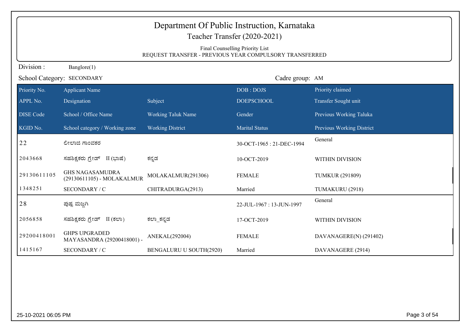| Department Of Public Instruction, Karnataka<br>Teacher Transfer (2020-2021) |                                                                                            |                           |                          |                           |  |  |
|-----------------------------------------------------------------------------|--------------------------------------------------------------------------------------------|---------------------------|--------------------------|---------------------------|--|--|
|                                                                             | Final Counselling Priority List<br>REQUEST TRANSFER - PREVIOUS YEAR COMPULSORY TRANSFERRED |                           |                          |                           |  |  |
| Division:                                                                   | Banglore(1)                                                                                |                           |                          |                           |  |  |
|                                                                             | School Category: SECONDARY                                                                 |                           | Cadre group: AM          |                           |  |  |
| Priority No.                                                                | <b>Applicant Name</b>                                                                      |                           | DOB: DOJS                | Priority claimed          |  |  |
| APPL No.                                                                    | Designation                                                                                | Subject                   | <b>DOEPSCHOOL</b>        | Transfer Sought unit      |  |  |
| <b>DISE Code</b>                                                            | School / Office Name                                                                       | <b>Working Taluk Name</b> | Gender                   | Previous Working Taluka   |  |  |
| KGID No.                                                                    | School category / Working zone                                                             | <b>Working District</b>   | <b>Marital Status</b>    | Previous Working District |  |  |
| 22                                                                          | ಲೀಲಾಜಿ ಗಾಂವಕರ                                                                              |                           | 30-OCT-1965: 21-DEC-1994 | General                   |  |  |
| 2043668                                                                     | ಸಹಶಿಕ್ಷಕರು ಗ್ರೇಡ್ II (ಭಾಷೆ)                                                                | ಕನ್ನಡ                     | 10-OCT-2019              | WITHIN DIVISION           |  |  |
| 29130611105                                                                 | <b>GHS NAGASAMUDRA</b><br>(29130611105) - MOLAKALMUR                                       | MOLAKALMUR(291306)        | <b>FEMALE</b>            | <b>TUMKUR (291809)</b>    |  |  |
| 1348251                                                                     | SECONDARY / C                                                                              | CHITRADURGA(2913)         | Married                  | TUMAKURU (2918)           |  |  |
| 28                                                                          | ಪುಷ್ಪ ಮಜ್ಞಗಿ                                                                               |                           | 22-JUL-1967: 13-JUN-1997 | General                   |  |  |
| 2056858                                                                     | ಸಹಶಿಕ್ಷಕರು ಗ್ರೇಡ್ II (ಕಲಾ)                                                                 | ಕಲ್_ಕನ್ನಡ                 | 17-OCT-2019              | WITHIN DIVISION           |  |  |
| 29200418001                                                                 | <b>GHPS UPGRADED</b><br>MAYASANDRA (29200418001) -                                         | ANEKAL(292004)            | <b>FEMALE</b>            | DAVANAGERE(N) (291402)    |  |  |
| 1415167                                                                     | SECONDARY / C                                                                              | BENGALURU U SOUTH(2920)   | Married                  | DAVANAGERE (2914)         |  |  |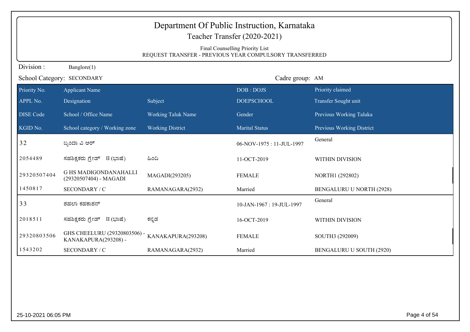| Department Of Public Instruction, Karnataka<br>Teacher Transfer (2020-2021)<br>Final Counselling Priority List<br>REQUEST TRANSFER - PREVIOUS YEAR COMPULSORY TRANSFERRED |                                                        |                         |                          |                           |
|---------------------------------------------------------------------------------------------------------------------------------------------------------------------------|--------------------------------------------------------|-------------------------|--------------------------|---------------------------|
| Division:                                                                                                                                                                 | Banglore(1)                                            |                         |                          |                           |
|                                                                                                                                                                           | School Category: SECONDARY                             |                         | Cadre group: AM          |                           |
| Priority No.                                                                                                                                                              | <b>Applicant Name</b>                                  |                         | DOB: DOJS                | Priority claimed          |
| APPL No.                                                                                                                                                                  | Designation                                            | Subject                 | <b>DOEPSCHOOL</b>        | Transfer Sought unit      |
| DISE Code                                                                                                                                                                 | School / Office Name                                   | Working Taluk Name      | Gender                   | Previous Working Taluka   |
| KGID No.                                                                                                                                                                  | School category / Working zone                         | <b>Working District</b> | <b>Marital Status</b>    | Previous Working District |
| 32                                                                                                                                                                        | ಬೃಂದಾ ವಿ ಆರ್                                           |                         | 06-NOV-1975: 11-JUL-1997 | General                   |
| 2054489                                                                                                                                                                   | ಸಹಶಿಕ್ಷಕರು ಗ್ರೇಡ್ II (ಭಾಷೆ)                            | ಎಂದಿ                    | 11-OCT-2019              | WITHIN DIVISION           |
| 29320507404                                                                                                                                                               | <b>G HS MADIGONDANAHALLI</b><br>(29320507404) - MAGADI | MAGADI(293205)          | <b>FEMALE</b>            | NORTH1 (292802)           |
| 1450817                                                                                                                                                                   | SECONDARY / C                                          | RAMANAGARA(2932)        | Married                  | BENGALURU U NORTH (2928)  |
| 33                                                                                                                                                                        | ಶಹಲಾ ಕಹಕಾಶನ್                                           |                         | 10-JAN-1967: 19-JUL-1997 | General                   |
| 2018511                                                                                                                                                                   | ಸಹಶಿಕ್ಷಕರು ಗ್ರೇಡ್ II (ಭಾಷೆ)                            | ಕನ್ನಡ                   | 16-OCT-2019              | WITHIN DIVISION           |
| 29320803506                                                                                                                                                               | GHS CHEELURU (29320803506) -<br>KANAKAPURA(293208) -   | KANAKAPURA(293208)      | <b>FEMALE</b>            | SOUTH3 (292009)           |
| 1543202                                                                                                                                                                   | SECONDARY / C                                          | RAMANAGARA(2932)        | Married                  | BENGALURU U SOUTH (2920)  |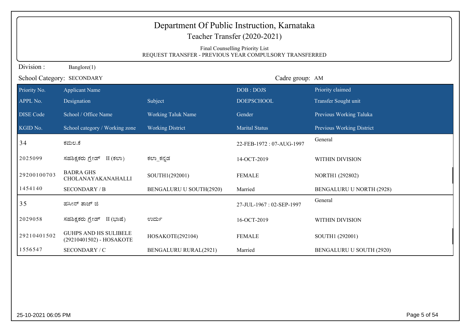| Department Of Public Instruction, Karnataka<br>Teacher Transfer (2020-2021)                |                                                          |                              |                          |                           |  |
|--------------------------------------------------------------------------------------------|----------------------------------------------------------|------------------------------|--------------------------|---------------------------|--|
| Final Counselling Priority List<br>REQUEST TRANSFER - PREVIOUS YEAR COMPULSORY TRANSFERRED |                                                          |                              |                          |                           |  |
| Division:                                                                                  | Banglore(1)                                              |                              |                          |                           |  |
|                                                                                            | School Category: SECONDARY                               |                              | Cadre group: AM          |                           |  |
| Priority No.                                                                               | <b>Applicant Name</b>                                    |                              | DOB: DOJS                | Priority claimed          |  |
| APPL No.                                                                                   | Designation                                              | Subject                      | <b>DOEPSCHOOL</b>        | Transfer Sought unit      |  |
| <b>DISE Code</b>                                                                           | School / Office Name                                     | <b>Working Taluk Name</b>    | Gender                   | Previous Working Taluka   |  |
| KGID No.                                                                                   | School category / Working zone                           | <b>Working District</b>      | <b>Marital Status</b>    | Previous Working District |  |
| 34                                                                                         | ಕಮಲ.ಕೆ                                                   |                              | 22-FEB-1972: 07-AUG-1997 | General                   |  |
| 2025099                                                                                    | ಸಹಶಿಕ್ಷಕರು ಗ್ರೇಡ್ II (ಕಲಾ)                               | ಕಲ್_ಕನ್ನಡ                    | 14-OCT-2019              | WITHIN DIVISION           |  |
| 29200100703                                                                                | <b>BADRA GHS</b><br>CHOLANAYAKANAHALLI                   | SOUTH1(292001)               | <b>FEMALE</b>            | NORTH1 (292802)           |  |
| 1454140                                                                                    | <b>SECONDARY / B</b>                                     | BENGALURU U SOUTH(2920)      | Married                  | BENGALURU U NORTH (2928)  |  |
| 35                                                                                         | ಹಸೀನ್ ತಾಜ್ ಜಿ                                            |                              | 27-JUL-1967: 02-SEP-1997 | General                   |  |
| 2029058                                                                                    | ಸಹಶಿಕ್ಷಕರು ಗ್ರೇಡ್ II (ಭಾಷೆ)                              | ಉರ್ದು                        | 16-OCT-2019              | WITHIN DIVISION           |  |
| 29210401502                                                                                | <b>GUHPS AND HS SULIBELE</b><br>(29210401502) - HOSAKOTE | HOSAKOTE(292104)             | <b>FEMALE</b>            | SOUTH1 (292001)           |  |
| 1556547                                                                                    | SECONDARY / C                                            | <b>BENGALURU RURAL(2921)</b> | Married                  | BENGALURU U SOUTH (2920)  |  |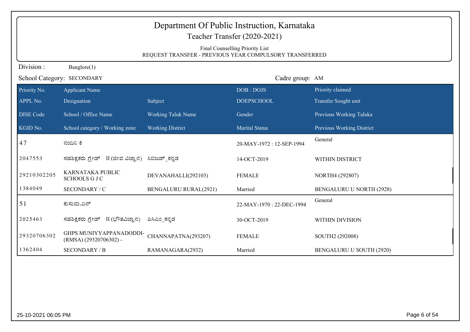| Department Of Public Instruction, Karnataka<br>Teacher Transfer (2020-2021) |                                                                                            |                              |                          |                           |  |  |
|-----------------------------------------------------------------------------|--------------------------------------------------------------------------------------------|------------------------------|--------------------------|---------------------------|--|--|
|                                                                             | Final Counselling Priority List<br>REQUEST TRANSFER - PREVIOUS YEAR COMPULSORY TRANSFERRED |                              |                          |                           |  |  |
| Division:                                                                   | Banglore(1)                                                                                |                              |                          |                           |  |  |
|                                                                             | School Category: SECONDARY                                                                 |                              | Cadre group: AM          |                           |  |  |
| Priority No.                                                                | <b>Applicant Name</b>                                                                      |                              | DOB: DOJS                | Priority claimed          |  |  |
| APPL No.                                                                    | Designation                                                                                | Subject                      | <b>DOEPSCHOOL</b>        | Transfer Sought unit      |  |  |
| <b>DISE Code</b>                                                            | School / Office Name                                                                       | <b>Working Taluk Name</b>    | Gender                   | Previous Working Taluka   |  |  |
| KGID No.                                                                    | School category / Working zone                                                             | <b>Working District</b>      | <b>Marital Status</b>    | Previous Working District |  |  |
| 47                                                                          | ನಂದಿನಿ ಕೆ                                                                                  |                              | 20-MAY-1972: 12-SEP-1994 | General                   |  |  |
| 2047553                                                                     | ಸಹಶಿಕ್ಷಕರು ಗ್ರೇಡ್ II (ಜೀವ ವಿಜ್ಞಾನ)                                                         | ಸಿಬಿಜಡ್ ಕನ್ನಡ                | 14-OCT-2019              | WITHIN DISTRICT           |  |  |
| 29210302205                                                                 | KARNATAKA PUBLIC<br><b>SCHOOLS G J C</b>                                                   | DEVANAHALLI(292103)          | <b>FEMALE</b>            | NORTH4 (292807)           |  |  |
| 1384049                                                                     | SECONDARY / C                                                                              | <b>BENGALURU RURAL(2921)</b> | Married                  | BENGALURU U NORTH (2928)  |  |  |
| 51                                                                          | ಕುಸುಮ.ಎನ್                                                                                  |                              | 22-MAY-1970: 22-DEC-1994 | General                   |  |  |
| 2025463                                                                     | ಸಹಶಿಕ್ಷಕರು ಗ್ರೇಡ್ II (ಭೌತವಿಜ್ಞಾನ)                                                          | ಪಿಸಿಎಂ_ಕನ್ನಡ                 | 30-OCT-2019              | <b>WITHIN DIVISION</b>    |  |  |
| 29320706302                                                                 | GHPS MUNIYYAPPANADODDI-<br>(RMSA) (29320706302) -                                          | CHANNAPATNA(293207)          | <b>FEMALE</b>            | SOUTH2 (292008)           |  |  |
| 1362404                                                                     | <b>SECONDARY / B</b>                                                                       | RAMANAGARA(2932)             | Married                  | BENGALURU U SOUTH (2920)  |  |  |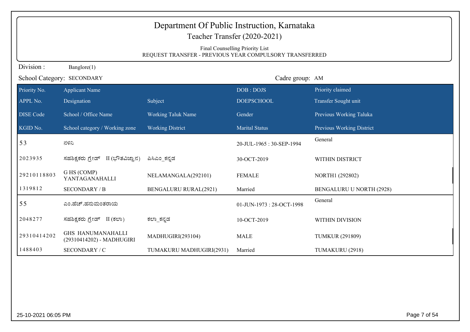|                                                                                            | Teacher Transfer (2020-2021)                          |                              |                          |                           |  |  |
|--------------------------------------------------------------------------------------------|-------------------------------------------------------|------------------------------|--------------------------|---------------------------|--|--|
| Final Counselling Priority List<br>REQUEST TRANSFER - PREVIOUS YEAR COMPULSORY TRANSFERRED |                                                       |                              |                          |                           |  |  |
| Division:                                                                                  | Banglore(1)                                           |                              |                          |                           |  |  |
|                                                                                            | School Category: SECONDARY                            |                              | Cadre group: AM          |                           |  |  |
| Priority No.                                                                               | <b>Applicant Name</b>                                 |                              | DOB: DOJS                | Priority claimed          |  |  |
| APPL No.                                                                                   | Designation                                           | Subject                      | <b>DOEPSCHOOL</b>        | Transfer Sought unit      |  |  |
| <b>DISE Code</b>                                                                           | School / Office Name                                  | <b>Working Taluk Name</b>    | Gender                   | Previous Working Taluka   |  |  |
| KGID No.                                                                                   | School category / Working zone                        | <b>Working District</b>      | <b>Marital Status</b>    | Previous Working District |  |  |
| 53                                                                                         | ನಳಿನಿ                                                 |                              | 20-JUL-1965: 30-SEP-1994 | General                   |  |  |
| 2023935                                                                                    | ಸಹಶಿಕ್ಷಕರು ಗ್ರೇಡ್ II (ಭೌತವಿಜ್ಞಾನ)                     | ಪಿಸಿಎಂ_ಕನ್ನಡ                 | 30-OCT-2019              | WITHIN DISTRICT           |  |  |
| 29210118803                                                                                | G HS (COMP)<br>YANTAGANAHALLI                         | NELAMANGALA(292101)          | <b>FEMALE</b>            | NORTH1 (292802)           |  |  |
| 1319812                                                                                    | <b>SECONDARY / B</b>                                  | <b>BENGALURU RURAL(2921)</b> | Married                  | BENGALURU U NORTH (2928)  |  |  |
| 55                                                                                         | ಎಂ.ಹೆಚ್.ಹನುಮಂತರಾಯ                                     |                              | 01-JUN-1973: 28-OCT-1998 | General                   |  |  |
| 2048277                                                                                    | ಸಹಶಿಕ್ಷಕರು ಗ್ರೇಡ್ II (ಕಲಾ)                            | ಕಲ್_ಕನ್ನಡ                    | 10-OCT-2019              | WITHIN DIVISION           |  |  |
| 29310414202                                                                                | <b>GHS HANUMANAHALLI</b><br>(29310414202) - MADHUGIRI | MADHUGIRI(293104)            | <b>MALE</b>              | <b>TUMKUR (291809)</b>    |  |  |
| 1488403                                                                                    | SECONDARY / C                                         | TUMAKURU MADHUGIRI(2931)     | Married                  | TUMAKURU (2918)           |  |  |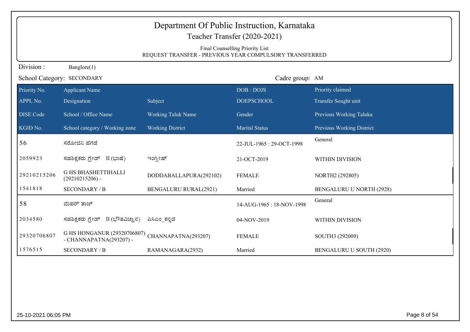| Department Of Public Instruction, Karnataka<br>Teacher Transfer (2020-2021)<br>Final Counselling Priority List<br>REQUEST TRANSFER - PREVIOUS YEAR COMPULSORY TRANSFERRED |                                                        |                              |                          |                           |
|---------------------------------------------------------------------------------------------------------------------------------------------------------------------------|--------------------------------------------------------|------------------------------|--------------------------|---------------------------|
| Division:                                                                                                                                                                 | Banglore(1)                                            |                              |                          |                           |
|                                                                                                                                                                           | School Category: SECONDARY                             |                              | Cadre group: AM          |                           |
| Priority No.                                                                                                                                                              | <b>Applicant Name</b>                                  |                              | DOB: DOJS                | Priority claimed          |
| APPL No.                                                                                                                                                                  | Designation                                            | Subject                      | <b>DOEPSCHOOL</b>        | Transfer Sought unit      |
| <b>DISE Code</b>                                                                                                                                                          | School / Office Name                                   | <b>Working Taluk Name</b>    | Gender                   | Previous Working Taluka   |
| KGID No.                                                                                                                                                                  | School category / Working zone                         | <b>Working District</b>      | <b>Marital Status</b>    | Previous Working District |
| 56                                                                                                                                                                        | ಸರೋಜಿನಿ ಹೆಗಡೆ                                          |                              | 22-JUL-1965: 29-OCT-1998 | General                   |
| 2059923                                                                                                                                                                   | ಸಹಶಿಕ್ಷಕರು ಗ್ರೇಡ್ II (ಭಾಷೆ)                            | ಇಂಗ್ಲೀಷ್                     | 21-OCT-2019              | WITHIN DIVISION           |
| 29210215206                                                                                                                                                               | <b>G HS BHASHETTIHALLI</b><br>$(29210215206) -$        | DODDABALLAPURA(292102)       | <b>FEMALE</b>            | NORTH2 (292805)           |
| 1541818                                                                                                                                                                   | <b>SECONDARY / B</b>                                   | <b>BENGALURU RURAL(2921)</b> | Married                  | BENGALURU U NORTH (2928)  |
| 58                                                                                                                                                                        | ಮೆಹರ್ ತಾಜ್                                             |                              | 14-AUG-1965: 18-NOV-1998 | General                   |
| 2034580                                                                                                                                                                   | ಸಹಶಿಕ್ಷಕರು ಗ್ರೇಡ್ II (ಭೌತವಿಜ್ಞಾನ)                      | ಪಿಸಿಎಂ ಕನ್ನಡ                 | 04-NOV-2019              | WITHIN DIVISION           |
| 29320706807                                                                                                                                                               | G HS HONGANUR (29320706807)<br>- CHANNAPATNA(293207) - | CHANNAPATNA(293207)          | <b>FEMALE</b>            | SOUTH3 (292009)           |
| 1576515                                                                                                                                                                   | <b>SECONDARY / B</b>                                   | RAMANAGARA(2932)             | Married                  | BENGALURU U SOUTH (2920)  |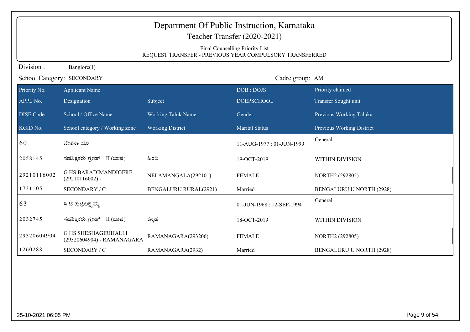| Department Of Public Instruction, Karnataka<br>Teacher Transfer (2020-2021) |                                                           |                              |                                                                                            |                           |  |
|-----------------------------------------------------------------------------|-----------------------------------------------------------|------------------------------|--------------------------------------------------------------------------------------------|---------------------------|--|
|                                                                             |                                                           |                              | Final Counselling Priority List<br>REQUEST TRANSFER - PREVIOUS YEAR COMPULSORY TRANSFERRED |                           |  |
| Division:                                                                   | Banglore(1)                                               |                              |                                                                                            |                           |  |
| School Category: SECONDARY<br>Cadre group: AM                               |                                                           |                              |                                                                                            |                           |  |
| Priority No.                                                                | <b>Applicant Name</b>                                     |                              | DOB: DOJS                                                                                  | Priority claimed          |  |
| APPL No.                                                                    | Designation                                               | Subject                      | <b>DOEPSCHOOL</b>                                                                          | Transfer Sought unit      |  |
| <b>DISE</b> Code                                                            | School / Office Name                                      | <b>Working Taluk Name</b>    | Gender                                                                                     | Previous Working Taluka   |  |
| KGID No.                                                                    | School category / Working zone                            | <b>Working District</b>      | <b>Marital Status</b>                                                                      | Previous Working District |  |
| 60                                                                          | ಚೇತನಾ ಯು                                                  |                              | 11-AUG-1977: 01-JUN-1999                                                                   | General                   |  |
| 2058145                                                                     | ಸಹಶಿಕ್ಷಕರು ಗ್ರೇಡ್ II (ಭಾಷೆ)                               | ಹಿಂದಿ                        | 19-OCT-2019                                                                                | WITHIN DIVISION           |  |
| 29210116002                                                                 | <b>G HS BARADIMANDIGERE</b><br>$(29210116002)$ -          | NELAMANGALA(292101)          | <b>FEMALE</b>                                                                              | NORTH2 (292805)           |  |
| 1731105                                                                     | SECONDARY / C                                             | <b>BENGALURU RURAL(2921)</b> | Married                                                                                    | BENGALURU U NORTH (2928)  |  |
| 63                                                                          | ಸಿ ಟಿ ಪುಟ್ಟಲಕ್ಷ್ಮಮ್ಮ                                      |                              | 01-JUN-1968: 12-SEP-1994                                                                   | General                   |  |
| 2032745                                                                     | ಸಹಶಿಕ್ಷಕರು ಗ್ರೇಡ್ II (ಭಾಷೆ)                               | ಕನ್ನಡ                        | 18-OCT-2019                                                                                | WITHIN DIVISION           |  |
| 29320604904                                                                 | <b>G HS SHESHAGIRIHALLI</b><br>(29320604904) - RAMANAGARA | RAMANAGARA(293206)           | <b>FEMALE</b>                                                                              | NORTH2 (292805)           |  |
| 1260288                                                                     | SECONDARY / C                                             | RAMANAGARA(2932)             | Married                                                                                    | BENGALURU U NORTH (2928)  |  |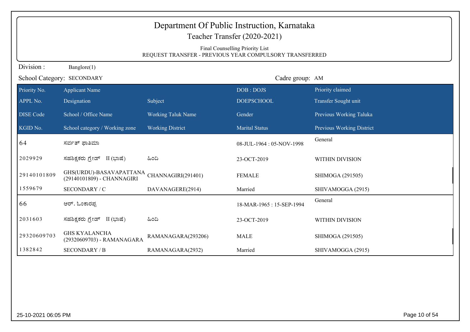|                                               | Department Of Public Instruction, Karnataka<br>Teacher Transfer (2020-2021) |                           |                                                                                            |                           |  |  |
|-----------------------------------------------|-----------------------------------------------------------------------------|---------------------------|--------------------------------------------------------------------------------------------|---------------------------|--|--|
|                                               |                                                                             |                           | Final Counselling Priority List<br>REQUEST TRANSFER - PREVIOUS YEAR COMPULSORY TRANSFERRED |                           |  |  |
| Division:                                     | Banglore(1)                                                                 |                           |                                                                                            |                           |  |  |
| Cadre group: AM<br>School Category: SECONDARY |                                                                             |                           |                                                                                            |                           |  |  |
| Priority No.                                  | <b>Applicant Name</b>                                                       |                           | DOB: DOJS                                                                                  | Priority claimed          |  |  |
| APPL No.                                      | Designation                                                                 | Subject                   | <b>DOEPSCHOOL</b>                                                                          | Transfer Sought unit      |  |  |
| <b>DISE</b> Code                              | School / Office Name                                                        | <b>Working Taluk Name</b> | Gender                                                                                     | Previous Working Taluka   |  |  |
| KGID No.                                      | School category / Working zone                                              | <b>Working District</b>   | <b>Marital Status</b>                                                                      | Previous Working District |  |  |
| 64                                            | ಸರ್ವತ್ ಫಾತಿಮಾ                                                               |                           | 08-JUL-1964: 05-NOV-1998                                                                   | General                   |  |  |
| 2029929                                       | ಸಹಶಿಕ್ಷಕರು ಗ್ರೇಡ್ II (ಭಾಷೆ)                                                 | ಹಿಂದಿ                     | 23-OCT-2019                                                                                | WITHIN DIVISION           |  |  |
| 29140101809                                   | GHS(URDU)-BASAVAPATTANA<br>(29140101809) - CHANNAGIRI                       | CHANNAGIRI(291401)        | <b>FEMALE</b>                                                                              | SHIMOGA (291505)          |  |  |
| 1559679                                       | SECONDARY / C                                                               | DAVANAGERE(2914)          | Married                                                                                    | SHIVAMOGGA (2915)         |  |  |
| 66                                            | ಆರ್. ಓಂಕಾರಪ್ಪ                                                               |                           | 18-MAR-1965: 15-SEP-1994                                                                   | General                   |  |  |
| 2031603                                       | ಸಹಶಿಕ್ಷಕರು ಗ್ರೇಡ್ II (ಭಾಷೆ)                                                 | ಹಿಂದಿ                     | 23-OCT-2019                                                                                | WITHIN DIVISION           |  |  |
| 29320609703                                   | <b>GHS KYALANCHA</b><br>(29320609703) - RAMANAGARA                          | RAMANAGARA(293206)        | <b>MALE</b>                                                                                | SHIMOGA (291505)          |  |  |
| 1382842                                       | <b>SECONDARY / B</b>                                                        | RAMANAGARA(2932)          | Married                                                                                    | SHIVAMOGGA (2915)         |  |  |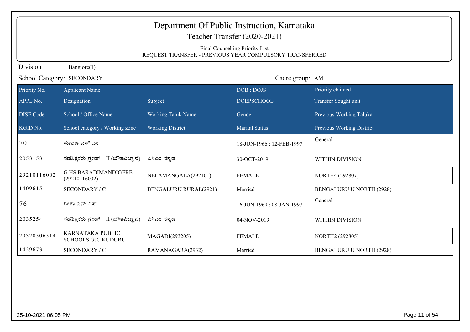| Department Of Public Instruction, Karnataka<br>Teacher Transfer (2020-2021)<br>Final Counselling Priority List<br>REQUEST TRANSFER - PREVIOUS YEAR COMPULSORY TRANSFERRED |                                                  |                              |                          |                           |  |
|---------------------------------------------------------------------------------------------------------------------------------------------------------------------------|--------------------------------------------------|------------------------------|--------------------------|---------------------------|--|
| Division:                                                                                                                                                                 | Banglore(1)                                      |                              |                          |                           |  |
|                                                                                                                                                                           | School Category: SECONDARY                       |                              | Cadre group: AM          |                           |  |
| Priority No.                                                                                                                                                              | <b>Applicant Name</b>                            |                              | DOB: DOJS                | Priority claimed          |  |
| APPL No.                                                                                                                                                                  | Designation                                      | Subject                      | <b>DOEPSCHOOL</b>        | Transfer Sought unit      |  |
| DISE Code                                                                                                                                                                 | School / Office Name                             | <b>Working Taluk Name</b>    | Gender                   | Previous Working Taluka   |  |
| KGID No.                                                                                                                                                                  | School category / Working zone                   | <b>Working District</b>      | <b>Marital Status</b>    | Previous Working District |  |
| 70                                                                                                                                                                        | ಸುಗುಣ ಎಸ್.ಎಂ                                     |                              | 18-JUN-1966: 12-FEB-1997 | General                   |  |
| 2053153                                                                                                                                                                   | ಸಹಶಿಕ್ಷಕರು ಗ್ರೇಡ್ II (ಭೌತವಿಜ್ಞಾನ)                | ಪಿಸಿಎಂ ಕನ್ನಡ                 | 30-OCT-2019              | WITHIN DIVISION           |  |
| 29210116002                                                                                                                                                               | <b>G HS BARADIMANDIGERE</b><br>$(29210116002)$ - | NELAMANGALA(292101)          | <b>FEMALE</b>            | NORTH4 (292807)           |  |
| 1409615                                                                                                                                                                   | SECONDARY / C                                    | <b>BENGALURU RURAL(2921)</b> | Married                  | BENGALURU U NORTH (2928)  |  |
| 76                                                                                                                                                                        | ಗೀತಾ.ಎನ್.ಎಸ್.                                    |                              | 16-JUN-1969: 08-JAN-1997 | General                   |  |
| 2035254                                                                                                                                                                   | ಸಹಶಿಕ್ಷಕರು ಗ್ರೇಡ್ II (ಭೌತವಿಜ್ಞಾನ)                | ಪಿಸಿಎಂ_ಕನ್ನಡ                 | 04-NOV-2019              | WITHIN DIVISION           |  |
| 29320506514                                                                                                                                                               | KARNATAKA PUBLIC<br><b>SCHOOLS GJC KUDURU</b>    | MAGADI(293205)               | <b>FEMALE</b>            | NORTH2 (292805)           |  |
| 1429673                                                                                                                                                                   | SECONDARY / C                                    | RAMANAGARA(2932)             | Married                  | BENGALURU U NORTH (2928)  |  |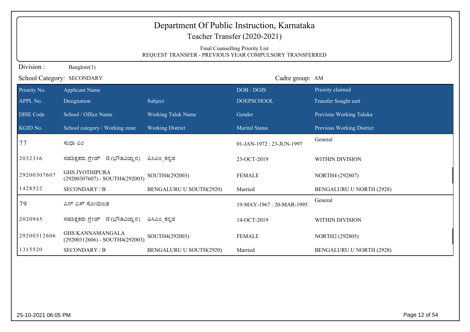| Department Of Public Instruction, Karnataka<br>Teacher Transfer (2020-2021) |                                                                                            |                                |                          |                           |  |  |
|-----------------------------------------------------------------------------|--------------------------------------------------------------------------------------------|--------------------------------|--------------------------|---------------------------|--|--|
|                                                                             | Final Counselling Priority List<br>REQUEST TRANSFER - PREVIOUS YEAR COMPULSORY TRANSFERRED |                                |                          |                           |  |  |
| Division:                                                                   | Banglore(1)                                                                                |                                |                          |                           |  |  |
| Cadre group: AM<br>School Category: SECONDARY                               |                                                                                            |                                |                          |                           |  |  |
| Priority No.                                                                | <b>Applicant Name</b>                                                                      |                                | DOB: DOJS                | Priority claimed          |  |  |
| APPL No.                                                                    | Designation                                                                                | Subject                        | <b>DOEPSCHOOL</b>        | Transfer Sought unit      |  |  |
| <b>DISE</b> Code                                                            | School / Office Name                                                                       | <b>Working Taluk Name</b>      | Gender                   | Previous Working Taluka   |  |  |
| KGID No.                                                                    | School category / Working zone                                                             | <b>Working District</b>        | <b>Marital Status</b>    | Previous Working District |  |  |
| 77                                                                          | ಸುಧಾ ಎಂ                                                                                    |                                | 01-JAN-1972: 23-JUN-1997 | General                   |  |  |
| 2032316                                                                     | ಸಹಶಿಕ್ಷಕರು ಗ್ರೇಡ್ II (ಭೌತವಿಜ್ಞಾನ)                                                          | ಪಿಸಿಎಂ_ಕನ್ನಡ                   | 23-OCT-2019              | WITHIN DIVISION           |  |  |
| 29200307607                                                                 | <b>GHS JYOTHIPURA</b><br>(29200307607) - SOUTH4(292003)                                    | SOUTH4(292003)                 | <b>FEMALE</b>            | NORTH4 (292807)           |  |  |
| 1428522                                                                     | <b>SECONDARY / B</b>                                                                       | BENGALURU U SOUTH(2920)        | Married                  | BENGALURU U NORTH (2928)  |  |  |
| 79                                                                          | ಎನ್ ಎಸ್ ಸೋಮಲತ                                                                              |                                | 19-MAY-1967: 20-MAR-1995 | General                   |  |  |
| 2020945                                                                     | ಸಹಶಿಕ್ಷಕರು ಗ್ರೇಡ್ II (ಭೌತವಿಜ್ಞಾನ)                                                          | ಪಿಸಿಎಂ ಕನ್ನಡ                   | 14-OCT-2019              | WITHIN DIVISION           |  |  |
| 29200312606                                                                 | <b>GHS KANNAMANGALA</b><br>(29200312606) - SOUTH4(292003)                                  | SOUTH4(292003)                 | <b>FEMALE</b>            | NORTH2 (292805)           |  |  |
| 1315520                                                                     | <b>SECONDARY / B</b>                                                                       | <b>BENGALURU U SOUTH(2920)</b> | Married                  | BENGALURU U NORTH (2928)  |  |  |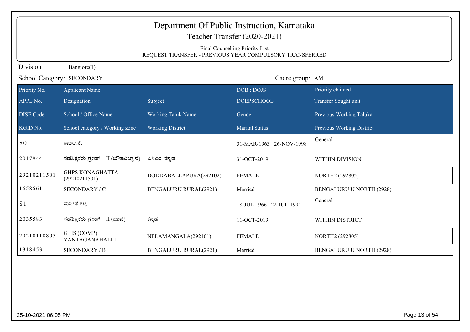| Department Of Public Instruction, Karnataka<br>Teacher Transfer (2020-2021)<br>Final Counselling Priority List<br>REQUEST TRANSFER - PREVIOUS YEAR COMPULSORY TRANSFERRED |                                             |                              |                           |                           |  |
|---------------------------------------------------------------------------------------------------------------------------------------------------------------------------|---------------------------------------------|------------------------------|---------------------------|---------------------------|--|
| Division:                                                                                                                                                                 | Banglore(1)                                 |                              |                           |                           |  |
| Cadre group: AM<br>School Category: SECONDARY                                                                                                                             |                                             |                              |                           |                           |  |
| Priority No.                                                                                                                                                              | <b>Applicant Name</b>                       |                              | DOB: DOJS                 | Priority claimed          |  |
| APPL No.                                                                                                                                                                  | Designation                                 | Subject                      | <b>DOEPSCHOOL</b>         | Transfer Sought unit      |  |
| <b>DISE Code</b>                                                                                                                                                          | School / Office Name                        | <b>Working Taluk Name</b>    | Gender                    | Previous Working Taluka   |  |
| KGID No.                                                                                                                                                                  | School category / Working zone              | <b>Working District</b>      | <b>Marital Status</b>     | Previous Working District |  |
| 80                                                                                                                                                                        | ಕಮಲ.ಕೆ.                                     |                              | 31-MAR-1963: 26-NOV-1998  | General                   |  |
| 2017944                                                                                                                                                                   | ಸಹಶಿಕ್ಷಕರು ಗ್ರೇಡ್ II (ಭೌತವಿಜ್ಞಾನ)           | ಪಿಸಿಎಂ ಕನ್ನಡ                 | 31-OCT-2019               | WITHIN DIVISION           |  |
| 29210211501                                                                                                                                                               | <b>GHPS KONAGHATTA</b><br>$(29210211501) -$ | DODDABALLAPURA(292102)       | <b>FEMALE</b>             | NORTH2 (292805)           |  |
| 1658561                                                                                                                                                                   | SECONDARY / C                               | <b>BENGALURU RURAL(2921)</b> | Married                   | BENGALURU U NORTH (2928)  |  |
| 81                                                                                                                                                                        | ಸುನೀತ ಕಟ್ಟಿ                                 |                              | 18-JUL-1966 : 22-JUL-1994 | General                   |  |
| 2035583                                                                                                                                                                   | ಸಹಶಿಕ್ಷಕರು ಗ್ರೇಡ್ II (ಭಾಷೆ)                 | ಕನ್ನಡ                        | 11-OCT-2019               | WITHIN DISTRICT           |  |
| 29210118803                                                                                                                                                               | G HS (COMP)<br>YANTAGANAHALLI               | NELAMANGALA(292101)          | <b>FEMALE</b>             | NORTH2 (292805)           |  |
| 1318453                                                                                                                                                                   | <b>SECONDARY / B</b>                        | <b>BENGALURU RURAL(2921)</b> | Married                   | BENGALURU U NORTH (2928)  |  |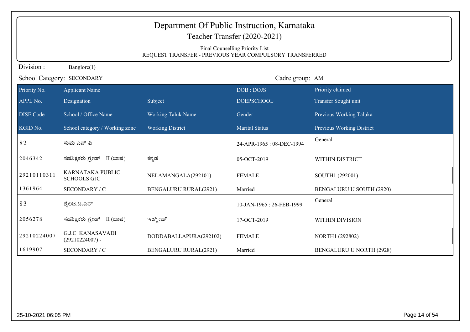| Department Of Public Instruction, Karnataka<br>Teacher Transfer (2020-2021)<br>Final Counselling Priority List |                                              |                                                         |                          |                                 |
|----------------------------------------------------------------------------------------------------------------|----------------------------------------------|---------------------------------------------------------|--------------------------|---------------------------------|
|                                                                                                                |                                              | REQUEST TRANSFER - PREVIOUS YEAR COMPULSORY TRANSFERRED |                          |                                 |
| Division:                                                                                                      | Banglore(1)                                  |                                                         |                          |                                 |
| School Category: SECONDARY<br>Cadre group: AM                                                                  |                                              |                                                         |                          |                                 |
| Priority No.                                                                                                   | <b>Applicant Name</b>                        |                                                         | DOB: DOJS                | Priority claimed                |
| APPL No.                                                                                                       | Designation                                  | Subject                                                 | <b>DOEPSCHOOL</b>        | Transfer Sought unit            |
| <b>DISE</b> Code                                                                                               | School / Office Name                         | <b>Working Taluk Name</b>                               | Gender                   | Previous Working Taluka         |
| KGID No.                                                                                                       | School category / Working zone               | <b>Working District</b>                                 | <b>Marital Status</b>    | Previous Working District       |
| 82                                                                                                             | ಸುಮ ಎನ್ ಪಿ                                   |                                                         | 24-APR-1965: 08-DEC-1994 | General                         |
| 2046342                                                                                                        | ಸಹಶಿಕ್ಷಕರು ಗ್ರೇಡ್ II (ಭಾಷೆ)                  | ಕನ್ನಡ                                                   | 05-OCT-2019              | WITHIN DISTRICT                 |
| 29210110311                                                                                                    | KARNATAKA PUBLIC<br><b>SCHOOLS GJC</b>       | NELAMANGALA(292101)                                     | <b>FEMALE</b>            | SOUTH1 (292001)                 |
| 1361964                                                                                                        | SECONDARY / C                                | <b>BENGALURU RURAL(2921)</b>                            | Married                  | BENGALURU U SOUTH (2920)        |
| 83                                                                                                             | ಶ್ಮೆಲಜ.ಡಿ.ಎನ್                                |                                                         | 10-JAN-1965: 26-FEB-1999 | General                         |
| 2056278                                                                                                        | ಸಹಶಿಕ್ಷಕರು ಗ್ರೇಡ್ II (ಭಾಷೆ)                  | ಇಂಗ್ಲೀಷ್                                                | 17-OCT-2019              | WITHIN DIVISION                 |
| 29210224007                                                                                                    | <b>G.J.C KANASAVADI</b><br>$(29210224007)$ - | DODDABALLAPURA(292102)                                  | <b>FEMALE</b>            | NORTH1 (292802)                 |
| 1619907                                                                                                        | SECONDARY / C                                | <b>BENGALURU RURAL(2921)</b>                            | Married                  | <b>BENGALURU U NORTH (2928)</b> |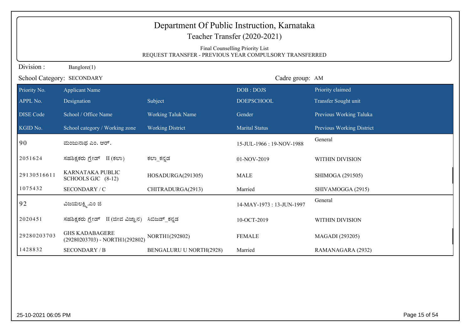| Department Of Public Instruction, Karnataka<br>Teacher Transfer (2020-2021) |                                                         |                                                         |                                 |                           |  |
|-----------------------------------------------------------------------------|---------------------------------------------------------|---------------------------------------------------------|---------------------------------|---------------------------|--|
|                                                                             |                                                         | REQUEST TRANSFER - PREVIOUS YEAR COMPULSORY TRANSFERRED | Final Counselling Priority List |                           |  |
| Division:                                                                   | Banglore(1)                                             |                                                         |                                 |                           |  |
| School Category: SECONDARY<br>Cadre group: AM                               |                                                         |                                                         |                                 |                           |  |
| Priority No.                                                                | <b>Applicant Name</b>                                   |                                                         | DOB: DOJS                       | Priority claimed          |  |
| APPL No.                                                                    | Designation                                             | Subject                                                 | <b>DOEPSCHOOL</b>               | Transfer Sought unit      |  |
| <b>DISE Code</b>                                                            | School / Office Name                                    | <b>Working Taluk Name</b>                               | Gender                          | Previous Working Taluka   |  |
| KGID No.                                                                    | School category / Working zone                          | <b>Working District</b>                                 | <b>Marital Status</b>           | Previous Working District |  |
| 90                                                                          | ಮಂಜುನಾಥ ಎಂ. ಆರ್.                                        |                                                         | 15-JUL-1966: 19-NOV-1988        | General                   |  |
| 2051624                                                                     | ಸಹಶಿಕ್ಷಕರು <u>ಗ್ರೇಡ್</u> II (ಕಲಾ)                       | ಕಲ್_ಕನ್ನಡ                                               | 01-NOV-2019                     | <b>WITHIN DIVISION</b>    |  |
| 29130516611                                                                 | KARNATAKA PUBLIC<br>SCHOOLS GJC (8-12)                  | HOSADURGA(291305)                                       | <b>MALE</b>                     | SHIMOGA (291505)          |  |
| 1075432                                                                     | SECONDARY / C                                           | CHITRADURGA(2913)                                       | Married                         | SHIVAMOGGA (2915)         |  |
| 92                                                                          | ವಿಜಯಲಕ್ಷ್ಮಿ.ಎಂ ಜಿ                                       |                                                         | 14-MAY-1973: 13-JUN-1997        | General                   |  |
| 2020451                                                                     | ಸಹಶಿಕ್ಷಕರು ಗ್ರೇಡ್ II (ಜೀವ ವಿಜ್ಞಾನ) ಸಿಬಿಜಡ್_ಕನ್ನಡ        |                                                         | 10-OCT-2019                     | WITHIN DIVISION           |  |
| 29280203703                                                                 | <b>GHS KADABAGERE</b><br>(29280203703) - NORTH1(292802) | NORTH1(292802)                                          | <b>FEMALE</b>                   | MAGADI (293205)           |  |
| 1428832                                                                     | <b>SECONDARY / B</b>                                    | <b>BENGALURU U NORTH(2928)</b>                          | Married                         | RAMANAGARA (2932)         |  |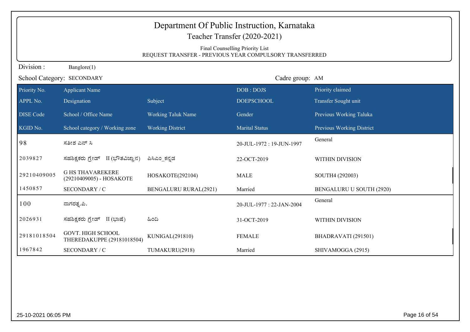| Department Of Public Instruction, Karnataka<br>Teacher Transfer (2020-2021) |                                                                                            |                              |                          |                           |  |
|-----------------------------------------------------------------------------|--------------------------------------------------------------------------------------------|------------------------------|--------------------------|---------------------------|--|
|                                                                             |                                                                                            |                              |                          |                           |  |
|                                                                             | Final Counselling Priority List<br>REQUEST TRANSFER - PREVIOUS YEAR COMPULSORY TRANSFERRED |                              |                          |                           |  |
| Division:                                                                   | Banglore(1)                                                                                |                              |                          |                           |  |
| Cadre group: AM<br>School Category: SECONDARY                               |                                                                                            |                              |                          |                           |  |
| Priority No.                                                                | <b>Applicant Name</b>                                                                      |                              | DOB: DOJS                | Priority claimed          |  |
| APPL No.                                                                    | Designation                                                                                | Subject                      | <b>DOEPSCHOOL</b>        | Transfer Sought unit      |  |
| <b>DISE Code</b>                                                            | School / Office Name                                                                       | Working Taluk Name           | Gender                   | Previous Working Taluka   |  |
| KGID No.                                                                    | School category / Working zone                                                             | <b>Working District</b>      | <b>Marital Status</b>    | Previous Working District |  |
| 98                                                                          | ಸತೀಶ ಎನ್ ಸಿ                                                                                |                              | 20-JUL-1972: 19-JUN-1997 | General                   |  |
| 2039827                                                                     | ಸಹಶಿಕ್ಷಕರು ಗ್ರೇಡ್ II (ಭೌತವಿಜ್ಞಾನ)                                                          | ಪಿಸಿಎಂ ಕನ್ನಡ                 | 22-OCT-2019              | WITHIN DIVISION           |  |
| 29210409005                                                                 | <b>G HS THAVAREKERE</b><br>(29210409005) - HOSAKOTE                                        | HOSAKOTE(292104)             | <b>MALE</b>              | SOUTH4 (292003)           |  |
| 1450857                                                                     | SECONDARY / C                                                                              | <b>BENGALURU RURAL(2921)</b> | Married                  | BENGALURU U SOUTH (2920)  |  |
| 100                                                                         | ನಾಗರತ್ನ.ಪಿ.                                                                                |                              | 20-JUL-1977: 22-JAN-2004 | General                   |  |
| 2026931                                                                     | ಸಹಶಿಕ್ಷಕರು ಗ್ರೇಡ್ II (ಭಾಷೆ)                                                                | ಹಿಂದಿ                        | 31-OCT-2019              | WITHIN DIVISION           |  |
| 29181018504                                                                 | <b>GOVT. HIGH SCHOOL</b><br>THEREDAKUPPE (29181018504)                                     | KUNIGAL(291810)              | <b>FEMALE</b>            | BHADRAVATI (291501)       |  |
| 1967842                                                                     | SECONDARY / C                                                                              | TUMAKURU(2918)               | Married                  | SHIVAMOGGA (2915)         |  |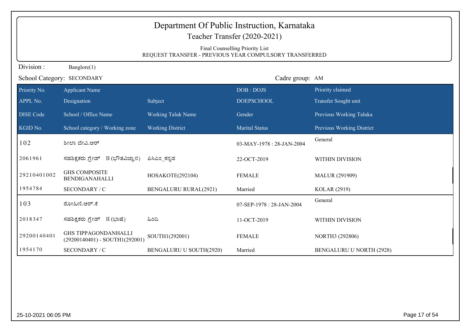| Division:<br>School Category: SECONDARY |                                                               |                                                                                            | Department Of Public Instruction, Karnataka<br>Teacher Transfer (2020-2021) |                           |  |  |  |  |
|-----------------------------------------|---------------------------------------------------------------|--------------------------------------------------------------------------------------------|-----------------------------------------------------------------------------|---------------------------|--|--|--|--|
|                                         |                                                               | Final Counselling Priority List<br>REQUEST TRANSFER - PREVIOUS YEAR COMPULSORY TRANSFERRED |                                                                             |                           |  |  |  |  |
|                                         | Banglore(1)                                                   |                                                                                            |                                                                             |                           |  |  |  |  |
|                                         |                                                               |                                                                                            | Cadre group: AM                                                             |                           |  |  |  |  |
| Priority No.                            | <b>Applicant Name</b>                                         |                                                                                            | DOB: DOJS                                                                   | Priority claimed          |  |  |  |  |
| APPL No.                                | Designation                                                   | Subject                                                                                    | <b>DOEPSCHOOL</b>                                                           | Transfer Sought unit      |  |  |  |  |
| <b>DISE Code</b>                        | School / Office Name                                          | <b>Working Taluk Name</b>                                                                  | Gender                                                                      | Previous Working Taluka   |  |  |  |  |
| KGID No.                                | School category / Working zone                                | <b>Working District</b>                                                                    | <b>Marital Status</b>                                                       | Previous Working District |  |  |  |  |
| 102                                     | ಶೀಲಾ ದೇವಿ.ಆರ್                                                 |                                                                                            | 03-MAY-1978: 28-JAN-2004                                                    | General                   |  |  |  |  |
| 2061961                                 | ಸಹಶಿಕ್ಷಕರು ಗ್ರೇಡ್ II (ಭೌತವಿಜ್ಞಾನ)                             | ಪಿಸಿಎಂ ಕನ್ನಡ                                                                               | 22-OCT-2019                                                                 | WITHIN DIVISION           |  |  |  |  |
| 29210401002                             | <b>GHS COMPOSITE</b><br><b>BENDIGANAHALLI</b>                 | HOSAKOTE(292104)                                                                           | <b>FEMALE</b>                                                               | <b>MALUR (291909)</b>     |  |  |  |  |
| 1954784                                 | SECONDARY / C                                                 | <b>BENGALURU RURAL(2921)</b>                                                               | Married                                                                     | KOLAR (2919)              |  |  |  |  |
| 103                                     | ರೋಹಿಣಿ.ಆರ್.ಕೆ                                                 |                                                                                            | 07-SEP-1978: 28-JAN-2004                                                    | General                   |  |  |  |  |
| 2018347                                 | ಸಹಶಿಕ್ಷಕರು ಗ್ರೇಡ್ II (ಭಾಷೆ)                                   | ಹಿಂದಿ                                                                                      | 11-OCT-2019                                                                 | WITHIN DIVISION           |  |  |  |  |
| 29200140401                             | <b>GHS TIPPAGONDANHALLI</b><br>(29200140401) - SOUTH1(292001) | SOUTH1(292001)                                                                             | <b>FEMALE</b>                                                               | NORTH3 (292806)           |  |  |  |  |
| 1954170                                 | SECONDARY / C                                                 | BENGALURU U SOUTH(2920)                                                                    | Married                                                                     | BENGALURU U NORTH (2928)  |  |  |  |  |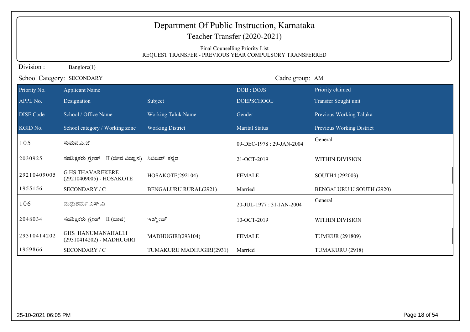|                  | Department Of Public Instruction, Karnataka<br>Teacher Transfer (2020-2021)                |                              |                          |                           |  |  |
|------------------|--------------------------------------------------------------------------------------------|------------------------------|--------------------------|---------------------------|--|--|
|                  | Final Counselling Priority List<br>REQUEST TRANSFER - PREVIOUS YEAR COMPULSORY TRANSFERRED |                              |                          |                           |  |  |
| Division:        | Banglore(1)                                                                                |                              |                          |                           |  |  |
|                  | School Category: SECONDARY                                                                 |                              | Cadre group: AM          |                           |  |  |
| Priority No.     | <b>Applicant Name</b>                                                                      |                              | DOB: DOJS                | Priority claimed          |  |  |
| APPL No.         | Designation                                                                                | Subject                      | <b>DOEPSCHOOL</b>        | Transfer Sought unit      |  |  |
| <b>DISE Code</b> | School / Office Name                                                                       | <b>Working Taluk Name</b>    | Gender                   | Previous Working Taluka   |  |  |
| KGID No.         | School category / Working zone                                                             | <b>Working District</b>      | <b>Marital Status</b>    | Previous Working District |  |  |
| 105              | ಸುಮನ.ಎ.ಜೆ                                                                                  |                              | 09-DEC-1978: 29-JAN-2004 | General                   |  |  |
| 2030925          | ಸಹಶಿಕ್ಷಕರು ಗ್ರೇಡ್ II (ಜೀವ ವಿಜ್ಞಾನ)                                                         | ಸಿಬಿಜಡ್_ಕನ್ನಡ                | 21-OCT-2019              | WITHIN DIVISION           |  |  |
| 29210409005      | <b>G HS THAVAREKERE</b><br>(29210409005) - HOSAKOTE                                        | HOSAKOTE(292104)             | <b>FEMALE</b>            | SOUTH4 (292003)           |  |  |
| 1955156          | SECONDARY / C                                                                              | <b>BENGALURU RURAL(2921)</b> | Married                  | BENGALURU U SOUTH (2920)  |  |  |
| 106              | ಮಧುಶರ್ಮ.ಎಸ್.ಎ                                                                              |                              | 20-JUL-1977: 31-JAN-2004 | General                   |  |  |
| 2048034          | ಸಹಶಿಕ್ಷಕರು ಗ್ರೇಡ್ II (ಭಾಷೆ)                                                                | ಇಂಗ್ಲೀಷ್                     | 10-OCT-2019              | WITHIN DIVISION           |  |  |
| 29310414202      | <b>GHS HANUMANAHALLI</b><br>(29310414202) - MADHUGIRI                                      | MADHUGIRI(293104)            | <b>FEMALE</b>            | <b>TUMKUR (291809)</b>    |  |  |
| 1959866          | SECONDARY / C                                                                              | TUMAKURU MADHUGIRI(2931)     | Married                  | TUMAKURU (2918)           |  |  |
|                  |                                                                                            |                              |                          |                           |  |  |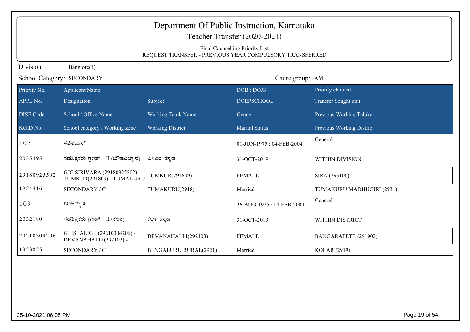| Department Of Public Instruction, Karnataka<br>Teacher Transfer (2020-2021)<br>Final Counselling Priority List<br>REQUEST TRANSFER - PREVIOUS YEAR COMPULSORY TRANSFERRED |                                                           |                              |                          |                           |  |
|---------------------------------------------------------------------------------------------------------------------------------------------------------------------------|-----------------------------------------------------------|------------------------------|--------------------------|---------------------------|--|
| Division:                                                                                                                                                                 | Banglore(1)                                               |                              |                          |                           |  |
|                                                                                                                                                                           | School Category: SECONDARY<br>Cadre group: AM             |                              |                          |                           |  |
| Priority No.                                                                                                                                                              | <b>Applicant Name</b>                                     |                              | DOB: DOJS                | Priority claimed          |  |
| APPL No.                                                                                                                                                                  | Designation                                               | Subject                      | <b>DOEPSCHOOL</b>        | Transfer Sought unit      |  |
| <b>DISE</b> Code                                                                                                                                                          | School / Office Name                                      | <b>Working Taluk Name</b>    | Gender                   | Previous Working Taluka   |  |
| KGID No.                                                                                                                                                                  | School category / Working zone                            | <b>Working District</b>      | <b>Marital Status</b>    | Previous Working District |  |
| 107                                                                                                                                                                       | ಸವಿತ.ಎಸ್                                                  |                              | 01-JUN-1975: 04-FEB-2004 | General                   |  |
| 2035495                                                                                                                                                                   | ಸಹಶಿಕ್ಷಕರು ಗ್ರೇಡ್ II (ಭೌತವಿಜ್ಞಾನ)                         | ಪಿಸಿಎಂ ಕನ್ನಡ                 | 31-OCT-2019              | WITHIN DIVISION           |  |
| 29180925502                                                                                                                                                               | GJC SIRIVARA (29180925502) -<br>TUMKUR(291809) - TUMAKURU | TUMKUR(291809)               | <b>FEMALE</b>            | SIRA (293106)             |  |
| 1954416                                                                                                                                                                   | SECONDARY / C                                             | TUMAKURU(2918)               | Married                  | TUMAKURU MADHUGIRI (2931) |  |
| 109                                                                                                                                                                       | ಗಿರಿಜಮ್ಮ ಸಿ                                               |                              | 26-AUG-1975: 14-FEB-2004 | General                   |  |
| 2032180                                                                                                                                                                   | ಸಹಶಿಕ್ಷಕರು ಗ್ರೇಡ್ II (ಕಲಾ)                                | ಕಲ್_ಕನ್ನಡ                    | 31-OCT-2019              | WITHIN DISTRICT           |  |
| 29210304206                                                                                                                                                               | G HS JALIGE (29210304206) -<br>DEVANAHALLI(292103) -      | DEVANAHALLI(292103)          | <b>FEMALE</b>            | BANGARAPETE (291902)      |  |
| 1953825                                                                                                                                                                   | SECONDARY / C                                             | <b>BENGALURU RURAL(2921)</b> | Married                  | <b>KOLAR (2919)</b>       |  |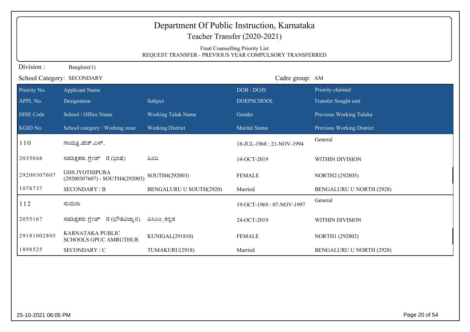| Department Of Public Instruction, Karnataka<br>Teacher Transfer (2020-2021)<br>Final Counselling Priority List<br>REQUEST TRANSFER - PREVIOUS YEAR COMPULSORY TRANSFERRED |                                                         |                                |                          |                                  |  |
|---------------------------------------------------------------------------------------------------------------------------------------------------------------------------|---------------------------------------------------------|--------------------------------|--------------------------|----------------------------------|--|
| Division:                                                                                                                                                                 | Banglore(1)                                             |                                |                          |                                  |  |
|                                                                                                                                                                           | School Category: SECONDARY                              |                                | Cadre group: AM          |                                  |  |
| Priority No.                                                                                                                                                              | <b>Applicant Name</b>                                   |                                | DOB: DOJS                | Priority claimed                 |  |
| APPL No.                                                                                                                                                                  | Designation                                             | Subject                        | <b>DOEPSCHOOL</b>        | Transfer Sought unit             |  |
| <b>DISE Code</b>                                                                                                                                                          | School / Office Name                                    | <b>Working Taluk Name</b>      | Gender                   | Previous Working Taluka          |  |
| KGID No.                                                                                                                                                                  | School category / Working zone                          | <b>Working District</b>        | <b>Marital Status</b>    | <b>Previous Working District</b> |  |
| 110                                                                                                                                                                       | ಗಾಯ್ನತಿ.ಹೆಚ್.ಎಸ್.                                       |                                | 18-JUL-1968: 21-NOV-1994 | General                          |  |
| 2035048                                                                                                                                                                   | ಸಹಶಿಕ್ಷಕರು ಗ್ರೇಡ್ II (ಭಾಷೆ)                             | ಹಿಂದಿ                          | 14-OCT-2019              | WITHIN DIVISION                  |  |
| 29200307607                                                                                                                                                               | <b>GHS JYOTHIPURA</b><br>(29200307607) - SOUTH4(292003) | SOUTH4(292003)                 | <b>FEMALE</b>            | NORTH2 (292805)                  |  |
| 1078737                                                                                                                                                                   | <b>SECONDARY / B</b>                                    | <b>BENGALURU U SOUTH(2920)</b> | Married                  | <b>BENGALURU U NORTH (2928)</b>  |  |
| 112                                                                                                                                                                       | ಸುಮನಾ                                                   |                                | 19-OCT-1969: 07-NOV-1997 | General                          |  |
| 2055167                                                                                                                                                                   | ಸಹಶಿಕ್ಷಕರು ಗ್ರೇಡ್ II (ಭೌತವಿಜ್ಞಾನ)                       | ಪಿಸಿಎಂ ಕನ್ನಡ                   | 24-OCT-2019              | WITHIN DIVISION                  |  |
| 29181002805                                                                                                                                                               | <b>KARNATAKA PUBLIC</b><br><b>SCHOOLS GPUC AMRUTHUR</b> | KUNIGAL(291810)                | <b>FEMALE</b>            | NORTH1 (292802)                  |  |
| 1898525                                                                                                                                                                   | SECONDARY / C                                           | TUMAKURU(2918)                 | Married                  | BENGALURU U NORTH (2928)         |  |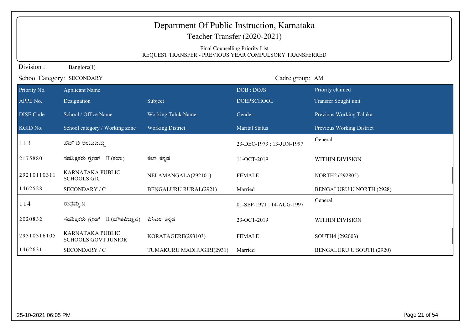| Department Of Public Instruction, Karnataka<br>Teacher Transfer (2020-2021) |                                                                                            |                              |                          |                           |  |
|-----------------------------------------------------------------------------|--------------------------------------------------------------------------------------------|------------------------------|--------------------------|---------------------------|--|
|                                                                             |                                                                                            |                              |                          |                           |  |
|                                                                             | Final Counselling Priority List<br>REQUEST TRANSFER - PREVIOUS YEAR COMPULSORY TRANSFERRED |                              |                          |                           |  |
| Division:                                                                   | Banglore(1)                                                                                |                              |                          |                           |  |
|                                                                             | School Category: SECONDARY                                                                 |                              | Cadre group: AM          |                           |  |
| Priority No.                                                                | <b>Applicant Name</b>                                                                      |                              | DOB: DOJS                | Priority claimed          |  |
| APPL No.                                                                    | Designation                                                                                | Subject                      | <b>DOEPSCHOOL</b>        | Transfer Sought unit      |  |
| <b>DISE</b> Code                                                            | School / Office Name                                                                       | <b>Working Taluk Name</b>    | Gender                   | Previous Working Taluka   |  |
| KGID No.                                                                    | School category / Working zone                                                             | <b>Working District</b>      | <b>Marital Status</b>    | Previous Working District |  |
| 113                                                                         | ಹೆಚ್ ಬಿ ಅಂಬುಜಮ್ಮ                                                                           |                              | 23-DEC-1973: 13-JUN-1997 | General                   |  |
| 2175880                                                                     | ಸಹಶಿಕ್ಷಕರು ಗ್ರೇಡ್ II (ಕಲಾ)                                                                 | ಕಲ್_ಕನ್ನಡ                    | 11-OCT-2019              | WITHIN DIVISION           |  |
| 29210110311                                                                 | KARNATAKA PUBLIC<br><b>SCHOOLS GJC</b>                                                     | NELAMANGALA(292101)          | <b>FEMALE</b>            | NORTH2 (292805)           |  |
| 1462528                                                                     | SECONDARY / C                                                                              | <b>BENGALURU RURAL(2921)</b> | Married                  | BENGALURU U NORTH (2928)  |  |
| 114                                                                         | ರಾಧಮ್ಮ.ಡಿ                                                                                  |                              | 01-SEP-1971: 14-AUG-1997 | General                   |  |
| 2020832                                                                     | ಸಹಶಿಕ್ಷಕರು ಗ್ರೇಡ್ II (ಭೌತವಿಜ್ಞಾನ)                                                          | ಪಿಸಿಎಂ ಕನ್ನಡ                 | 23-OCT-2019              | WITHIN DIVISION           |  |
| 29310316105                                                                 | KARNATAKA PUBLIC<br><b>SCHOOLS GOVT JUNIOR</b>                                             | KORATAGERE(293103)           | <b>FEMALE</b>            | SOUTH4 (292003)           |  |
| 1462631                                                                     | SECONDARY / C                                                                              | TUMAKURU MADHUGIRI(2931)     | Married                  | BENGALURU U SOUTH (2920)  |  |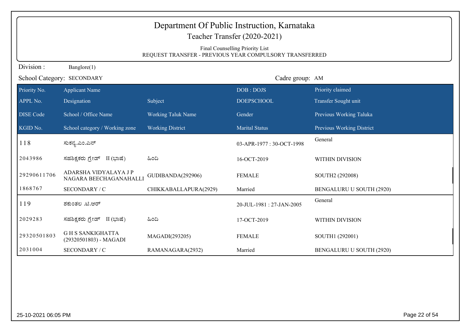| Department Of Public Instruction, Karnataka<br>Teacher Transfer (2020-2021)<br>Final Counselling Priority List<br>REQUEST TRANSFER - PREVIOUS YEAR COMPULSORY TRANSFERRED |                                                  |                           |                          |                           |
|---------------------------------------------------------------------------------------------------------------------------------------------------------------------------|--------------------------------------------------|---------------------------|--------------------------|---------------------------|
| Division:                                                                                                                                                                 | Banglore(1)                                      |                           |                          |                           |
| School Category: SECONDARY                                                                                                                                                |                                                  |                           | Cadre group: AM          |                           |
| Priority No.                                                                                                                                                              | <b>Applicant Name</b>                            |                           | DOB: DOJS                | Priority claimed          |
| APPL No.                                                                                                                                                                  | Designation                                      | Subject                   | <b>DOEPSCHOOL</b>        | Transfer Sought unit      |
| <b>DISE</b> Code                                                                                                                                                          | School / Office Name                             | <b>Working Taluk Name</b> | Gender                   | Previous Working Taluka   |
| KGID No.                                                                                                                                                                  | School category / Working zone                   | <b>Working District</b>   | <b>Marital Status</b>    | Previous Working District |
| 118                                                                                                                                                                       | ಸುಕನ್ಯ.ಎಂ.ಎನ್                                    |                           | 03-APR-1977: 30-OCT-1998 | General                   |
| 2043986                                                                                                                                                                   | ಸಹಶಿಕ್ಷಕರು ಗ್ರೇಡ್ II (ಭಾಷೆ)                      | ಹಿಂದಿ                     | 16-OCT-2019              | WITHIN DIVISION           |
| 29290611706                                                                                                                                                               | ADARSHA VIDYALAYA JP<br>NAGARA BEECHAGANAHALLI   | GUDIBANDA(292906)         | <b>FEMALE</b>            | SOUTH2 (292008)           |
| 1868767                                                                                                                                                                   | SECONDARY / C                                    | CHIKKABALLAPURA(2929)     | Married                  | BENGALURU U SOUTH (2920)  |
| 119                                                                                                                                                                       | ಶಕುಂತಲ .ಟಿ.ಆರ್                                   |                           | 20-JUL-1981: 27-JAN-2005 | General                   |
| 2029283                                                                                                                                                                   | ಸಹಶಿಕ್ಷಕರು ಗ್ರೇಡ್ II (ಭಾಷೆ)                      | ಹಿಂದಿ                     | 17-OCT-2019              | WITHIN DIVISION           |
| 29320501803                                                                                                                                                               | <b>GHS SANKIGHATTA</b><br>(29320501803) - MAGADI | MAGADI(293205)            | <b>FEMALE</b>            | SOUTH1 (292001)           |
| 2031004                                                                                                                                                                   | SECONDARY / C                                    | RAMANAGARA(2932)          | Married                  | BENGALURU U SOUTH (2920)  |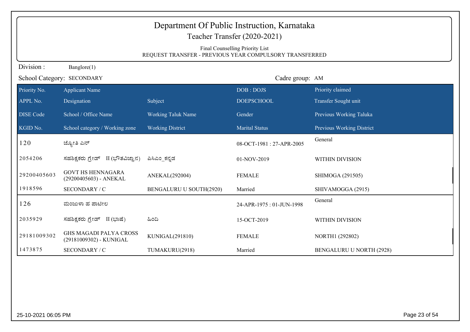|                  | Department Of Public Instruction, Karnataka<br>Teacher Transfer (2020-2021)<br>Final Counselling Priority List<br>REQUEST TRANSFER - PREVIOUS YEAR COMPULSORY TRANSFERRED |                           |                          |                                  |  |
|------------------|---------------------------------------------------------------------------------------------------------------------------------------------------------------------------|---------------------------|--------------------------|----------------------------------|--|
| Division:        | Banglore(1)                                                                                                                                                               |                           |                          |                                  |  |
|                  | School Category: SECONDARY                                                                                                                                                |                           | Cadre group: AM          |                                  |  |
| Priority No.     | <b>Applicant Name</b>                                                                                                                                                     |                           | DOB: DOJS                | Priority claimed                 |  |
| APPL No.         | Designation                                                                                                                                                               | Subject                   | <b>DOEPSCHOOL</b>        | Transfer Sought unit             |  |
| <b>DISE Code</b> | School / Office Name                                                                                                                                                      | <b>Working Taluk Name</b> | Gender                   | Previous Working Taluka          |  |
| KGID No.         | School category / Working zone                                                                                                                                            | <b>Working District</b>   | <b>Marital Status</b>    | <b>Previous Working District</b> |  |
| 120              | ಜ್ಯೋತಿ ಎನ್                                                                                                                                                                |                           | 08-OCT-1981: 27-APR-2005 | General                          |  |
| 2054206          | ಸಹಶಿಕ್ಷಕರು ಗ್ರೇಡ್ II (ಭೌತವಿಜ್ಞಾನ)                                                                                                                                         | ಪಿಸಿಎಂ ಕನ್ನಡ              | 01-NOV-2019              | WITHIN DIVISION                  |  |
| 29200405603      | <b>GOVT HS HENNAGARA</b><br>(29200405603) - ANEKAL                                                                                                                        | ANEKAL(292004)            | <b>FEMALE</b>            | SHIMOGA (291505)                 |  |
| 1918596          | SECONDARY / C                                                                                                                                                             | BENGALURU U SOUTH(2920)   | Married                  | SHIVAMOGGA (2915)                |  |
| 126              | ಮಂಜುಳಾ ಹ ಪಾಟೀಲ                                                                                                                                                            |                           | 24-APR-1975: 01-JUN-1998 | General                          |  |
| 2035929          | ಸಹಶಿಕ್ಷಕರು ಗ್ರೇಡ್ II (ಭಾಷೆ)                                                                                                                                               | ಹಿಂದಿ                     | 15-OCT-2019              | WITHIN DIVISION                  |  |
| 29181009302      | <b>GHS MAGADI PALYA CROSS</b><br>(29181009302) - KUNIGAL                                                                                                                  | KUNIGAL(291810)           | <b>FEMALE</b>            | NORTH1 (292802)                  |  |
| 1473875          | SECONDARY / C                                                                                                                                                             | TUMAKURU(2918)            | Married                  | BENGALURU U NORTH (2928)         |  |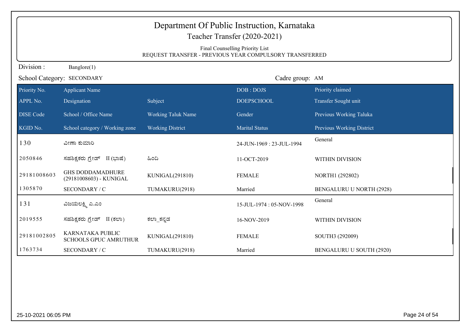| Department Of Public Instruction, Karnataka<br>Teacher Transfer (2020-2021)                |                                                    |                           |                          |                           |  |  |
|--------------------------------------------------------------------------------------------|----------------------------------------------------|---------------------------|--------------------------|---------------------------|--|--|
| Final Counselling Priority List<br>REQUEST TRANSFER - PREVIOUS YEAR COMPULSORY TRANSFERRED |                                                    |                           |                          |                           |  |  |
| Division:                                                                                  | Banglore(1)                                        |                           |                          |                           |  |  |
|                                                                                            | School Category: SECONDARY                         |                           | Cadre group: AM          |                           |  |  |
| Priority No.                                                                               | <b>Applicant Name</b>                              |                           | DOB: DOJS                | Priority claimed          |  |  |
| APPL No.                                                                                   | Designation                                        | Subject                   | <b>DOEPSCHOOL</b>        | Transfer Sought unit      |  |  |
| <b>DISE Code</b>                                                                           | School / Office Name                               | <b>Working Taluk Name</b> | Gender                   | Previous Working Taluka   |  |  |
| KGID No.                                                                                   | School category / Working zone                     | <b>Working District</b>   | <b>Marital Status</b>    | Previous Working District |  |  |
| 130                                                                                        | ವೀಣಾ ಕುಮಾರಿ                                        |                           | 24-JUN-1969: 23-JUL-1994 | General                   |  |  |
| 2050846                                                                                    | ಸಹಶಿಕ್ಷಕರು ಗ್ರೇಡ್ II (ಭಾಷೆ)                        | ಹಿಂದಿ                     | 11-OCT-2019              | WITHIN DIVISION           |  |  |
| 29181008603                                                                                | <b>GHS DODDAMADHURE</b><br>(29181008603) - KUNIGAL | KUNIGAL(291810)           | <b>FEMALE</b>            | NORTH1 (292802)           |  |  |
| 1305870                                                                                    | SECONDARY / C                                      | TUMAKURU(2918)            | Married                  | BENGALURU U NORTH (2928)  |  |  |
| 131                                                                                        | ವಿಜಯಲಕ್ಷ್ಮಿ ಎ.ಎಂ                                   |                           | 15-JUL-1974: 05-NOV-1998 | General                   |  |  |
| 2019555                                                                                    | ಸಹಶಿಕ್ಷಕರು ಗ್ರೇಡ್ II (ಕಲಾ)                         | ಕಲ್_ಕನ್ನಡ                 | 16-NOV-2019              | WITHIN DIVISION           |  |  |
| 29181002805                                                                                | KARNATAKA PUBLIC<br><b>SCHOOLS GPUC AMRUTHUR</b>   | KUNIGAL(291810)           | <b>FEMALE</b>            | SOUTH3 (292009)           |  |  |
| 1763734                                                                                    | SECONDARY / C                                      | TUMAKURU(2918)            | Married                  | BENGALURU U SOUTH (2920)  |  |  |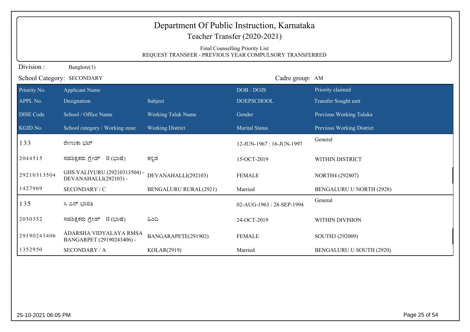| Department Of Public Instruction, Karnataka<br>Teacher Transfer (2020-2021) |                                                                                            |                              |                          |                                  |  |  |
|-----------------------------------------------------------------------------|--------------------------------------------------------------------------------------------|------------------------------|--------------------------|----------------------------------|--|--|
|                                                                             | Final Counselling Priority List<br>REQUEST TRANSFER - PREVIOUS YEAR COMPULSORY TRANSFERRED |                              |                          |                                  |  |  |
| Division:                                                                   | Banglore(1)                                                                                |                              |                          |                                  |  |  |
|                                                                             | School Category: SECONDARY                                                                 |                              | Cadre group: AM          |                                  |  |  |
| Priority No.                                                                | <b>Applicant Name</b>                                                                      |                              | DOB: DOJS                | Priority claimed                 |  |  |
| APPL No.                                                                    | Designation                                                                                | Subject                      | <b>DOEPSCHOOL</b>        | Transfer Sought unit             |  |  |
| <b>DISE</b> Code                                                            | School / Office Name                                                                       | <b>Working Taluk Name</b>    | Gender                   | Previous Working Taluka          |  |  |
| KGID No.                                                                    | School category / Working zone                                                             | <b>Working District</b>      | <b>Marital Status</b>    | <b>Previous Working District</b> |  |  |
| 133                                                                         | ರೇಣುಕಾ ಭಟ್                                                                                 |                              | 12-JUN-1967: 16-JUN-1997 | General                          |  |  |
| 2044515                                                                     | ಸಹಶಿಕ್ಷಕರು ಗ್ರೇಡ್ II (ಭಾಷೆ)                                                                | ಕನ್ನಡ                        | 15-OCT-2019              | WITHIN DISTRICT                  |  |  |
| 29210313504                                                                 | GHS YALIYURU (29210313504) -<br>DEVANAHALLI(292103) -                                      | DEVANAHALLI(292103)          | <b>FEMALE</b>            | NORTH4 (292807)                  |  |  |
| 1427969                                                                     | SECONDARY / C                                                                              | <b>BENGALURU RURAL(2921)</b> | Married                  | BENGALURU U NORTH (2928)         |  |  |
| 135                                                                         | ಸಿ ಎನ್ ಭಾರತಿ                                                                               |                              | 02-AUG-1963: 28-SEP-1994 | General                          |  |  |
| 2050352                                                                     | ಸಹಶಿಕ್ಷಕರು ಗ್ರೇಡ್ II (ಭಾಷೆ)                                                                | ಹಿಂದಿ                        | 24-OCT-2019              | WITHIN DIVISION                  |  |  |
| 29190243406                                                                 | ADARSHA VIDYALAYA RMSA<br>BANGARPET (29190243406) -                                        | BANGARAPETE(291902)          | <b>FEMALE</b>            | SOUTH3 (292009)                  |  |  |
| 1352950                                                                     | <b>SECONDARY / A</b>                                                                       | KOLAR(2919)                  | Married                  | BENGALURU U SOUTH (2920)         |  |  |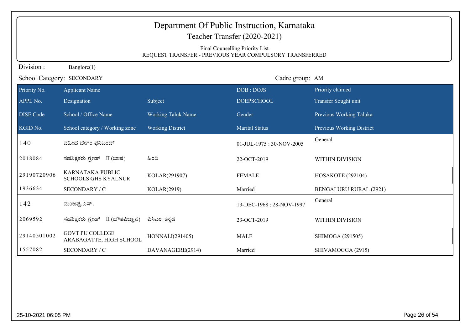|                  | Department Of Public Instruction, Karnataka<br>Teacher Transfer (2020-2021) |                                                         |                                 |                               |  |  |
|------------------|-----------------------------------------------------------------------------|---------------------------------------------------------|---------------------------------|-------------------------------|--|--|
|                  |                                                                             | REQUEST TRANSFER - PREVIOUS YEAR COMPULSORY TRANSFERRED | Final Counselling Priority List |                               |  |  |
| Division:        | Banglore(1)                                                                 |                                                         |                                 |                               |  |  |
|                  | School Category: SECONDARY                                                  |                                                         | Cadre group: AM                 |                               |  |  |
| Priority No.     | <b>Applicant Name</b>                                                       |                                                         | DOB: DOJS                       | Priority claimed              |  |  |
| APPL No.         | Designation                                                                 | Subject                                                 | <b>DOEPSCHOOL</b>               | Transfer Sought unit          |  |  |
| <b>DISE</b> Code | School / Office Name                                                        | <b>Working Taluk Name</b>                               | Gender                          | Previous Working Taluka       |  |  |
| KGID No.         | School category / Working zone                                              | <b>Working District</b>                                 | <b>Marital Status</b>           | Previous Working District     |  |  |
| 140              | ವಹೀದ ಬೇಗಂ ಫನಿಬಂದ್                                                           |                                                         | 01-JUL-1975: 30-NOV-2005        | General                       |  |  |
| 2018084          | ಸಹಶಿಕ್ಷಕರು ಗ್ರೇಡ್ II (ಭಾಷೆ)                                                 | ಹಿಂದಿ                                                   | 22-OCT-2019                     | WITHIN DIVISION               |  |  |
| 29190720906      | KARNATAKA PUBLIC<br><b>SCHOOLS GHS KYALNUR</b>                              | KOLAR(291907)                                           | <b>FEMALE</b>                   | <b>HOSAKOTE</b> (292104)      |  |  |
| 1936634          | SECONDARY / C                                                               | KOLAR(2919)                                             | Married                         | <b>BENGALURU RURAL (2921)</b> |  |  |
| 142              | ಮಂಜಪ್ಪ.ಎಸ್.                                                                 |                                                         | 13-DEC-1968: 28-NOV-1997        | General                       |  |  |
| 2069592          | ಸಹಶಿಕ್ಷಕರು ಗ್ರೇಡ್ II (ಭೌತವಿಜ್ಞಾನ)                                           | ಪಿಸಿಎಂ ಕನ್ನಡ                                            | 23-OCT-2019                     | WITHIN DIVISION               |  |  |
| 29140501002      | <b>GOVT PU COLLEGE</b><br>ARABAGATTE, HIGH SCHOOL                           | HONNALI(291405)                                         | <b>MALE</b>                     | SHIMOGA (291505)              |  |  |
| 1557082          | SECONDARY / C                                                               | DAVANAGERE(2914)                                        | Married                         | SHIVAMOGGA (2915)             |  |  |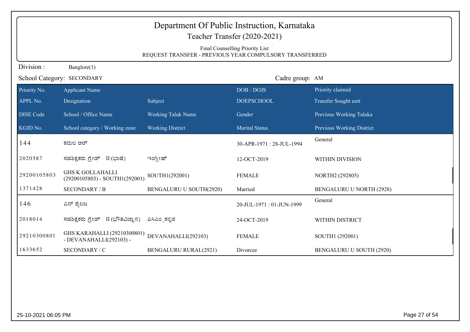|                  | Department Of Public Instruction, Karnataka<br>Teacher Transfer (2020-2021)<br>Final Counselling Priority List<br>REQUEST TRANSFER - PREVIOUS YEAR COMPULSORY TRANSFERRED |                              |                          |                           |  |  |
|------------------|---------------------------------------------------------------------------------------------------------------------------------------------------------------------------|------------------------------|--------------------------|---------------------------|--|--|
| Division:        | Banglore(1)                                                                                                                                                               |                              |                          |                           |  |  |
|                  | School Category: SECONDARY                                                                                                                                                |                              | Cadre group: AM          |                           |  |  |
| Priority No.     | <b>Applicant Name</b>                                                                                                                                                     |                              | DOB: DOJS                | Priority claimed          |  |  |
| APPL No.         | Designation                                                                                                                                                               | Subject                      | <b>DOEPSCHOOL</b>        | Transfer Sought unit      |  |  |
| <b>DISE</b> Code | School / Office Name                                                                                                                                                      | <b>Working Taluk Name</b>    | Gender                   | Previous Working Taluka   |  |  |
| KGID No.         | School category / Working zone                                                                                                                                            | <b>Working District</b>      | <b>Marital Status</b>    | Previous Working District |  |  |
| 144              | ಕಮಲ ಆರ್                                                                                                                                                                   |                              | 30-APR-1971: 28-JUL-1994 | General                   |  |  |
| 2020587          | ಸಹಶಿಕ್ಷಕರು ಗ್ರೇಡ್ II (ಭಾಷೆ)                                                                                                                                               | ಇಂಗ್ಲೀಷ್                     | 12-OCT-2019              | WITHIN DIVISION           |  |  |
| 29200105803      | <b>GHS K GOLLAHALLI</b><br>(29200105803) - SOUTH1(292001)                                                                                                                 | SOUTH1(292001)               | <b>FEMALE</b>            | NORTH2 (292805)           |  |  |
| 1371428          | <b>SECONDARY / B</b>                                                                                                                                                      | BENGALURU U SOUTH(2920)      | Married                  | BENGALURU U NORTH (2928)  |  |  |
| 146              | ಎನ್ ಶೈಲಜ                                                                                                                                                                  |                              | 20-JUL-1971: 01-JUN-1999 | General                   |  |  |
| 2018014          | ಸಹಶಿಕ್ಷಕರು ಗ್ರೇಡ್ II (ಭೌತವಿಜ್ಞಾನ)                                                                                                                                         | ಪಿಸಿಎಂ ಕನ್ನಡ                 | 24-OCT-2019              | WITHIN DISTRICT           |  |  |
| 29210300801      | GHS KARAHALLI (29210300801)<br>- DEVANAHALLI(292103) -                                                                                                                    | DEVANAHALLI(292103)          | <b>FEMALE</b>            | SOUTH1 (292001)           |  |  |
| 1633652          | SECONDARY / C                                                                                                                                                             | <b>BENGALURU RURAL(2921)</b> | Divorcee                 | BENGALURU U SOUTH (2920)  |  |  |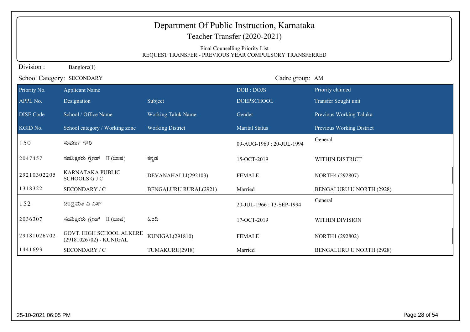|                  | Department Of Public Instruction, Karnataka<br>Teacher Transfer (2020-2021)                |                              |                          |                                 |  |  |
|------------------|--------------------------------------------------------------------------------------------|------------------------------|--------------------------|---------------------------------|--|--|
|                  | Final Counselling Priority List<br>REQUEST TRANSFER - PREVIOUS YEAR COMPULSORY TRANSFERRED |                              |                          |                                 |  |  |
| Division:        | Banglore(1)                                                                                |                              |                          |                                 |  |  |
|                  | School Category: SECONDARY                                                                 |                              | Cadre group: AM          |                                 |  |  |
| Priority No.     | <b>Applicant Name</b>                                                                      |                              | DOB: DOJS                | Priority claimed                |  |  |
| APPL No.         | Designation                                                                                | Subject                      | <b>DOEPSCHOOL</b>        | Transfer Sought unit            |  |  |
| <b>DISE</b> Code | School / Office Name                                                                       | <b>Working Taluk Name</b>    | Gender                   | Previous Working Taluka         |  |  |
| KGID No.         | School category / Working zone                                                             | <b>Working District</b>      | <b>Marital Status</b>    | Previous Working District       |  |  |
| 150              | ಸುವರ್ಣ ಗೌರಿ                                                                                |                              | 09-AUG-1969: 20-JUL-1994 | General                         |  |  |
| 2047457          | ಸಹಶಿಕ್ಷಕರು ಗ್ರೇಡ್ II (ಭಾಷೆ)                                                                | ಕನ್ನಡ                        | 15-OCT-2019              | WITHIN DISTRICT                 |  |  |
| 29210302205      | <b>KARNATAKA PUBLIC</b><br><b>SCHOOLS G J C</b>                                            | DEVANAHALLI(292103)          | <b>FEMALE</b>            | NORTH4 (292807)                 |  |  |
| 1318322          | SECONDARY / C                                                                              | <b>BENGALURU RURAL(2921)</b> | Married                  | <b>BENGALURU U NORTH (2928)</b> |  |  |
| 152              | ಚಂದ್ರಮತಿ ಎ ಎಸ್                                                                             |                              | 20-JUL-1966: 13-SEP-1994 | General                         |  |  |
| 2036307          | ಸಹಶಿಕ್ಷಕರು ಗ್ರೇಡ್<br>II (ಭಾಷೆ)                                                             | ಹಿಂದಿ                        | 17-OCT-2019              | <b>WITHIN DIVISION</b>          |  |  |
| 29181026702      | GOVT. HIGH SCHOOL ALKERE<br>(29181026702) - KUNIGAL                                        | KUNIGAL(291810)              | <b>FEMALE</b>            | NORTH1 (292802)                 |  |  |
| 1441693          | SECONDARY / C                                                                              | TUMAKURU(2918)               | Married                  | <b>BENGALURU U NORTH (2928)</b> |  |  |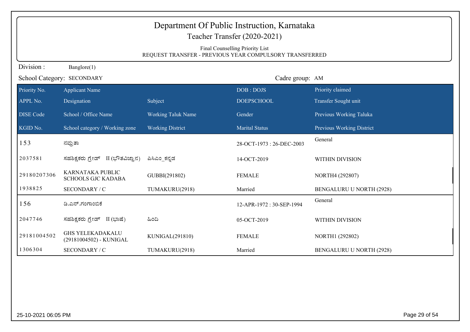|                  | Department Of Public Instruction, Karnataka<br>Teacher Transfer (2020-2021)<br>Final Counselling Priority List<br>REQUEST TRANSFER - PREVIOUS YEAR COMPULSORY TRANSFERRED |                           |                          |                                  |  |  |
|------------------|---------------------------------------------------------------------------------------------------------------------------------------------------------------------------|---------------------------|--------------------------|----------------------------------|--|--|
| Division:        | Banglore(1)                                                                                                                                                               |                           |                          |                                  |  |  |
|                  | School Category: SECONDARY                                                                                                                                                |                           | Cadre group: AM          |                                  |  |  |
| Priority No.     | <b>Applicant Name</b>                                                                                                                                                     |                           | DOB: DOJS                | Priority claimed                 |  |  |
| APPL No.         | Designation                                                                                                                                                               | Subject                   | <b>DOEPSCHOOL</b>        | Transfer Sought unit             |  |  |
| <b>DISE</b> Code | School / Office Name                                                                                                                                                      | <b>Working Taluk Name</b> | Gender                   | Previous Working Taluka          |  |  |
| KGID No.         | School category / Working zone                                                                                                                                            | <b>Working District</b>   | <b>Marital Status</b>    | <b>Previous Working District</b> |  |  |
| 153              | ನಮ್ರತಾ                                                                                                                                                                    |                           | 28-OCT-1973: 26-DEC-2003 | General                          |  |  |
| 2037581          | ಸಹಶಿಕ್ಷಕರು ಗ್ರೇಡ್ II (ಭೌತವಿಜ್ಞಾನ)                                                                                                                                         | ಪಿಸಿಎಂ ಕನ್ನಡ              | 14-OCT-2019              | WITHIN DIVISION                  |  |  |
| 29180207306      | KARNATAKA PUBLIC<br><b>SCHOOLS GJC KADABA</b>                                                                                                                             | GUBBI(291802)             | <b>FEMALE</b>            | NORTH4 (292807)                  |  |  |
| 1938825          | SECONDARY / C                                                                                                                                                             | TUMAKURU(2918)            | Married                  | BENGALURU U NORTH (2928)         |  |  |
| 156              | ಡಿ.ಎನ್.ಗಂಗಾಂಬಿಕೆ                                                                                                                                                          |                           | 12-APR-1972: 30-SEP-1994 | General                          |  |  |
| 2047746          | ಸಹಶಿಕ್ಷಕರು ಗ್ರೇಡ್ II (ಭಾಷೆ)                                                                                                                                               | ಹಿಂದಿ                     | 05-OCT-2019              | WITHIN DIVISION                  |  |  |
| 29181004502      | <b>GHS YELEKADAKALU</b><br>(29181004502) - KUNIGAL                                                                                                                        | KUNIGAL(291810)           | <b>FEMALE</b>            | NORTH1 (292802)                  |  |  |
| 1306304          | SECONDARY / C                                                                                                                                                             | TUMAKURU(2918)            | Married                  | BENGALURU U NORTH (2928)         |  |  |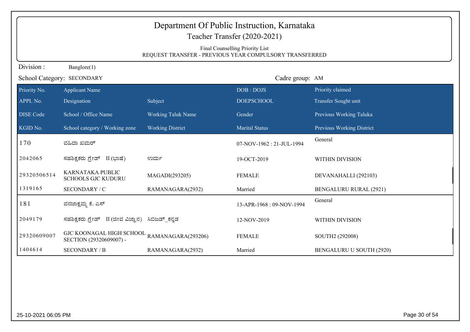|                  | Department Of Public Instruction, Karnataka<br>Teacher Transfer (2020-2021)                |                           |                          |                           |  |  |
|------------------|--------------------------------------------------------------------------------------------|---------------------------|--------------------------|---------------------------|--|--|
|                  | Final Counselling Priority List<br>REQUEST TRANSFER - PREVIOUS YEAR COMPULSORY TRANSFERRED |                           |                          |                           |  |  |
| Division:        | Banglore(1)                                                                                |                           |                          |                           |  |  |
|                  | School Category: SECONDARY                                                                 |                           | Cadre group: AM          |                           |  |  |
| Priority No.     | <b>Applicant Name</b>                                                                      |                           | DOB: DOJS                | Priority claimed          |  |  |
| APPL No.         | Designation                                                                                | Subject                   | <b>DOEPSCHOOL</b>        | Transfer Sought unit      |  |  |
| <b>DISE</b> Code | School / Office Name                                                                       | <b>Working Taluk Name</b> | Gender                   | Previous Working Taluka   |  |  |
| KGID No.         | School category / Working zone                                                             | <b>Working District</b>   | <b>Marital Status</b>    | Previous Working District |  |  |
| 170              | ವಹಿದಾ ಖಮರ್                                                                                 |                           | 07-NOV-1962: 21-JUL-1994 | General                   |  |  |
| 2042065          | ಸಹಶಿಕ್ಷಕರು ಗ್ರೇಡ್ II (ಭಾಷೆ)                                                                | ಉರ್ದು                     | 19-OCT-2019              | WITHIN DIVISION           |  |  |
| 29320506514      | KARNATAKA PUBLIC<br><b>SCHOOLS GJC KUDURU</b>                                              | MAGADI(293205)            | <b>FEMALE</b>            | DEVANAHALLI (292103)      |  |  |
| 1319165          | SECONDARY / C                                                                              | RAMANAGARA(2932)          | Married                  | BENGALURU RURAL (2921)    |  |  |
| 181              | ವನಜಾಕ್ಷಮ್ಮ ಕೆ. ಎಸ್                                                                         |                           | 13-APR-1968: 09-NOV-1994 | General                   |  |  |
| 2049179          | ಸಹಶಿಕ್ಷಕರು ಗ್ರೇಡ್ II (ಜೀವ ವಿಜ್ಞಾನ) ಸಿಬಿಜಡ್ ಕನ್ನಡ                                           |                           | 12-NOV-2019              | WITHIN DIVISION           |  |  |
| 29320609007      | GJC KOONAGAL HIGH SCHOOL<br>SECTION (29320609007) -                                        | RAMANAGARA(293206)        | <b>FEMALE</b>            | SOUTH2 (292008)           |  |  |
| 1404614          | <b>SECONDARY / B</b>                                                                       | RAMANAGARA(2932)          | Married                  | BENGALURU U SOUTH (2920)  |  |  |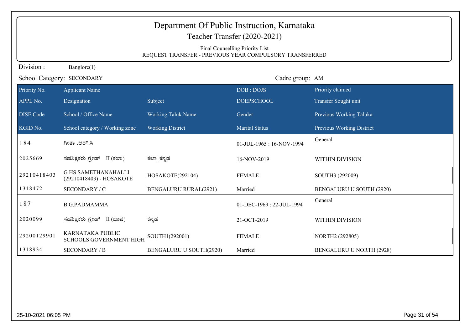| Department Of Public Instruction, Karnataka<br>Teacher Transfer (2020-2021)                |                                                        |                              |                          |                           |  |
|--------------------------------------------------------------------------------------------|--------------------------------------------------------|------------------------------|--------------------------|---------------------------|--|
| Final Counselling Priority List<br>REQUEST TRANSFER - PREVIOUS YEAR COMPULSORY TRANSFERRED |                                                        |                              |                          |                           |  |
| Division:                                                                                  | Banglore(1)                                            |                              |                          |                           |  |
|                                                                                            | School Category: SECONDARY                             |                              | Cadre group: AM          |                           |  |
| Priority No.                                                                               | <b>Applicant Name</b>                                  |                              | DOB: DOJS                | Priority claimed          |  |
| APPL No.                                                                                   | Designation                                            | Subject                      | <b>DOEPSCHOOL</b>        | Transfer Sought unit      |  |
| <b>DISE Code</b>                                                                           | School / Office Name                                   | Working Taluk Name           | Gender                   | Previous Working Taluka   |  |
| KGID No.                                                                                   | School category / Working zone                         | <b>Working District</b>      | <b>Marital Status</b>    | Previous Working District |  |
| 184                                                                                        | ಗೀತಾ .ಆರ್.ಸಿ                                           |                              | 01-JUL-1965: 16-NOV-1994 | General                   |  |
| 2025669                                                                                    | ಸಹಶಿಕ್ಷಕರು ಗ್ರೇಡ್ II (ಕಲಾ)                             | ಕಲ್_ಕನ್ನಡ                    | 16-NOV-2019              | <b>WITHIN DIVISION</b>    |  |
| 29210418403                                                                                | <b>G HS SAMETHANAHALLI</b><br>(29210418403) - HOSAKOTE | HOSAKOTE(292104)             | <b>FEMALE</b>            | SOUTH3 (292009)           |  |
| 1318472                                                                                    | SECONDARY / C                                          | <b>BENGALURU RURAL(2921)</b> | Married                  | BENGALURU U SOUTH (2920)  |  |
| 187                                                                                        | <b>B.G.PADMAMMA</b>                                    |                              | 01-DEC-1969: 22-JUL-1994 | General                   |  |
| 2020099                                                                                    | ಸಹಶಿಕ್ಷಕರು ಗ್ರೇಡ್ II (ಭಾಷೆ)                            | ಕನ್ನಡ                        | 21-OCT-2019              | WITHIN DIVISION           |  |
| 29200129901                                                                                | KARNATAKA PUBLIC<br><b>SCHOOLS GOVERNMENT HIGH</b>     | SOUTH1(292001)               | <b>FEMALE</b>            | NORTH2 (292805)           |  |
| 1318934                                                                                    | <b>SECONDARY / B</b>                                   | BENGALURU U SOUTH(2920)      | Married                  | BENGALURU U NORTH (2928)  |  |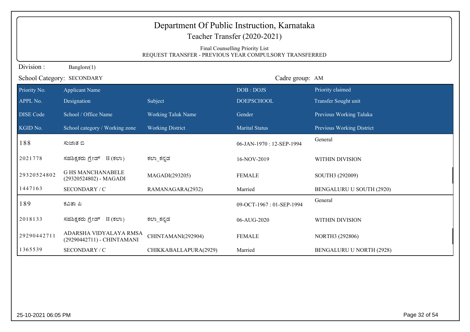|                  | Department Of Public Instruction, Karnataka<br>Teacher Transfer (2020-2021)<br>Final Counselling Priority List<br>REQUEST TRANSFER - PREVIOUS YEAR COMPULSORY TRANSFERRED |                           |                          |                                 |  |
|------------------|---------------------------------------------------------------------------------------------------------------------------------------------------------------------------|---------------------------|--------------------------|---------------------------------|--|
| Division:        | Banglore(1)                                                                                                                                                               |                           |                          |                                 |  |
|                  | School Category: SECONDARY                                                                                                                                                |                           | Cadre group: AM          |                                 |  |
| Priority No.     | <b>Applicant Name</b>                                                                                                                                                     |                           | DOB: DOJS                | Priority claimed                |  |
| APPL No.         | Designation                                                                                                                                                               | Subject                   | <b>DOEPSCHOOL</b>        | Transfer Sought unit            |  |
| <b>DISE</b> Code | School / Office Name                                                                                                                                                      | <b>Working Taluk Name</b> | Gender                   | Previous Working Taluka         |  |
| KGID No.         | School category / Working zone                                                                                                                                            | <b>Working District</b>   | <b>Marital Status</b>    | Previous Working District       |  |
| 188              | ಸುಜಾತ ಬಿ                                                                                                                                                                  |                           | 06-JAN-1970: 12-SEP-1994 | General                         |  |
| 2021778          | ಸಹಶಿಕ್ಷಕರು ಗ್ರೇಡ್ II (ಕಲಾ)                                                                                                                                                | ಕಲ್_ಕನ್ನಡ                 | 16-NOV-2019              | WITHIN DIVISION                 |  |
| 29320524802      | <b>G HS MANCHANABELE</b><br>(29320524802) - MAGADI                                                                                                                        | MAGADI(293205)            | <b>FEMALE</b>            | SOUTH3 (292009)                 |  |
| 1447163          | SECONDARY / C                                                                                                                                                             | RAMANAGARA(2932)          | Married                  | BENGALURU U SOUTH (2920)        |  |
| 189              | ಕವಿತಾ ಪಿ                                                                                                                                                                  |                           | 09-OCT-1967: 01-SEP-1994 | General                         |  |
| 2018133          | ಸಹಶಿಕ್ಷಕರು ಗ್ರೇಡ್ II (ಕಲಾ)                                                                                                                                                | ಕಲ್_ಕನ್ನಡ                 | 06-AUG-2020              | WITHIN DIVISION                 |  |
| 29290442711      | ADARSHA VIDYALAYA RMSA<br>(29290442711) - CHINTAMANI                                                                                                                      | CHINTAMANI(292904)        | <b>FEMALE</b>            | NORTH3 (292806)                 |  |
| 1365539          | SECONDARY / C                                                                                                                                                             | CHIKKABALLAPURA(2929)     | Married                  | <b>BENGALURU U NORTH (2928)</b> |  |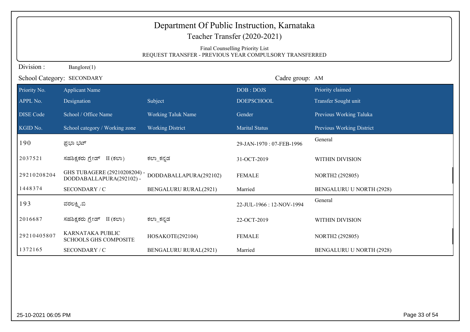| Department Of Public Instruction, Karnataka<br>Teacher Transfer (2020-2021) |                                                                                            |                              |                          |                           |  |  |
|-----------------------------------------------------------------------------|--------------------------------------------------------------------------------------------|------------------------------|--------------------------|---------------------------|--|--|
|                                                                             | Final Counselling Priority List<br>REQUEST TRANSFER - PREVIOUS YEAR COMPULSORY TRANSFERRED |                              |                          |                           |  |  |
| Division:                                                                   | Banglore(1)                                                                                |                              |                          |                           |  |  |
| School Category: SECONDARY<br>Cadre group: AM                               |                                                                                            |                              |                          |                           |  |  |
| Priority No.                                                                | <b>Applicant Name</b>                                                                      |                              | DOB: DOJS                | Priority claimed          |  |  |
| APPL No.                                                                    | Designation                                                                                | Subject                      | <b>DOEPSCHOOL</b>        | Transfer Sought unit      |  |  |
| <b>DISE</b> Code                                                            | School / Office Name                                                                       | <b>Working Taluk Name</b>    | Gender                   | Previous Working Taluka   |  |  |
| KGID No.                                                                    | School category / Working zone                                                             | <b>Working District</b>      | <b>Marital Status</b>    | Previous Working District |  |  |
| 190                                                                         | ಪ್ರಭಾ ಭಟ್                                                                                  |                              | 29-JAN-1970: 07-FEB-1996 | General                   |  |  |
| 2037521                                                                     | ಸಹಶಿಕ್ಷಕರು ಗ್ರೇಡ್ II (ಕಲಾ)                                                                 | ಕಲ್_ಕನ್ನಡ                    | 31-OCT-2019              | WITHIN DIVISION           |  |  |
| 29210208204                                                                 | GHS TUBAGERE (29210208204) -<br>DODDABALLAPURA(292102) -                                   | DODDABALLAPURA(292102)       | <b>FEMALE</b>            | NORTH2 (292805)           |  |  |
| 1448374                                                                     | SECONDARY / C                                                                              | <b>BENGALURU RURAL(2921)</b> | Married                  | BENGALURU U NORTH (2928)  |  |  |
| 193                                                                         | ವರಲಕ್ಷ್ತಿ.ಬಿ                                                                               |                              | 22-JUL-1966: 12-NOV-1994 | General                   |  |  |
| 2016687                                                                     | ಸಹಶಿಕ್ಷಕರು ಗ್ರೇಡ್ II (ಕಲಾ)                                                                 | ಕಲ್_ಕನ್ನಡ                    | 22-OCT-2019              | WITHIN DIVISION           |  |  |
| 29210405807                                                                 | KARNATAKA PUBLIC<br><b>SCHOOLS GHS COMPOSITE</b>                                           | HOSAKOTE(292104)             | <b>FEMALE</b>            | NORTH2 (292805)           |  |  |
| 1372165                                                                     | SECONDARY / C                                                                              | <b>BENGALURU RURAL(2921)</b> | Married                  | BENGALURU U NORTH (2928)  |  |  |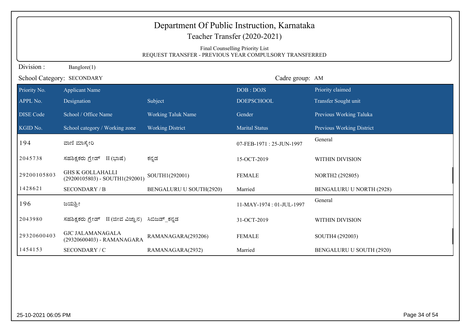| Department Of Public Instruction, Karnataka<br>Teacher Transfer (2020-2021)<br>Final Counselling Priority List<br>REQUEST TRANSFER - PREVIOUS YEAR COMPULSORY TRANSFERRED |                                                           |                           |                          |                           |
|---------------------------------------------------------------------------------------------------------------------------------------------------------------------------|-----------------------------------------------------------|---------------------------|--------------------------|---------------------------|
| Division:                                                                                                                                                                 | Banglore(1)                                               |                           |                          |                           |
| School Category: SECONDARY<br>Cadre group: AM                                                                                                                             |                                                           |                           |                          |                           |
| Priority No.                                                                                                                                                              | <b>Applicant Name</b>                                     |                           | DOB: DOJS                | Priority claimed          |
| APPL No.                                                                                                                                                                  | Designation                                               | Subject                   | <b>DOEPSCHOOL</b>        | Transfer Sought unit      |
| <b>DISE</b> Code                                                                                                                                                          | School / Office Name                                      | <b>Working Taluk Name</b> | Gender                   | Previous Working Taluka   |
| KGID No.                                                                                                                                                                  | School category / Working zone                            | <b>Working District</b>   | <b>Marital Status</b>    | Previous Working District |
| 194                                                                                                                                                                       | ವಾಣಿ ಮಾಸ್ತೇರಿ                                             |                           | 07-FEB-1971: 25-JUN-1997 | General                   |
| 2045738                                                                                                                                                                   | ಸಹಶಿಕ್ಷಕರು ಗ್ರೇಡ್ II (ಭಾಷೆ)                               | ಕನ್ನಡ                     | 15-OCT-2019              | WITHIN DIVISION           |
| 29200105803                                                                                                                                                               | <b>GHS K GOLLAHALLI</b><br>(29200105803) - SOUTH1(292001) | SOUTH1(292001)            | <b>FEMALE</b>            | NORTH2 (292805)           |
| 1428621                                                                                                                                                                   | <b>SECONDARY / B</b>                                      | BENGALURU U SOUTH(2920)   | Married                  | BENGALURU U NORTH (2928)  |
| 196                                                                                                                                                                       | ಜಯಶ್ರೀ                                                    |                           | 11-MAY-1974: 01-JUL-1997 | General                   |
| 2043980                                                                                                                                                                   | ಸಹಶಿಕ್ಷಕರು ಗ್ರೇಡ್ II (ಜೀವ ವಿಜ್ಞಾನ) ಸಿಬಿಜಡ್ ಕನ್ನಡ          |                           | 31-OCT-2019              | WITHIN DIVISION           |
| 29320600403                                                                                                                                                               | <b>GJC JALAMANAGALA</b><br>(29320600403) - RAMANAGARA     | RAMANAGARA(293206)        | <b>FEMALE</b>            | SOUTH4 (292003)           |
| 1454153                                                                                                                                                                   | SECONDARY / C                                             | RAMANAGARA(2932)          | Married                  | BENGALURU U SOUTH (2920)  |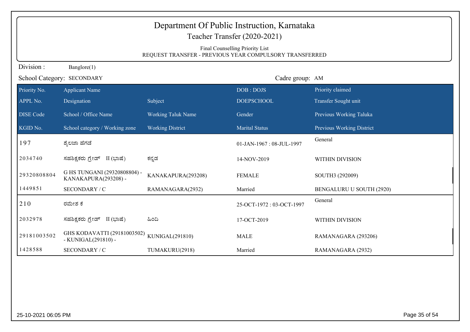| Department Of Public Instruction, Karnataka<br>Teacher Transfer (2020-2021)<br>Final Counselling Priority List<br>REQUEST TRANSFER - PREVIOUS YEAR COMPULSORY TRANSFERRED |                                                      |                           |                          |                           |  |
|---------------------------------------------------------------------------------------------------------------------------------------------------------------------------|------------------------------------------------------|---------------------------|--------------------------|---------------------------|--|
| Division:                                                                                                                                                                 | Banglore(1)                                          |                           |                          |                           |  |
|                                                                                                                                                                           | School Category: SECONDARY<br>Cadre group: AM        |                           |                          |                           |  |
| Priority No.                                                                                                                                                              | <b>Applicant Name</b>                                |                           | DOB: DOJS                | Priority claimed          |  |
| APPL No.                                                                                                                                                                  | Designation                                          | Subject                   | <b>DOEPSCHOOL</b>        | Transfer Sought unit      |  |
| <b>DISE Code</b>                                                                                                                                                          | School / Office Name                                 | <b>Working Taluk Name</b> | Gender                   | Previous Working Taluka   |  |
| KGID No.                                                                                                                                                                  | School category / Working zone                       | <b>Working District</b>   | <b>Marital Status</b>    | Previous Working District |  |
| 197                                                                                                                                                                       | ಶ್ಮೆಲಜಾ ಹೆಗಡೆ                                        |                           | 01-JAN-1967: 08-JUL-1997 | General                   |  |
| 2034740                                                                                                                                                                   | ಸಹಶಿಕ್ಷಕರು ಗ್ರೇಡ್ II (ಭಾಷೆ)                          | ಕನ್ನಡ                     | 14-NOV-2019              | WITHIN DIVISION           |  |
| 29320808804                                                                                                                                                               | G HS TUNGANI (29320808804) -<br>KANAKAPURA(293208) - | KANAKAPURA(293208)        | <b>FEMALE</b>            | SOUTH3 (292009)           |  |
| 1449851                                                                                                                                                                   | SECONDARY / C                                        | RAMANAGARA(2932)          | Married                  | BENGALURU U SOUTH (2920)  |  |
| 210                                                                                                                                                                       | ರಮೇಶ ಕೆ                                              |                           | 25-OCT-1972: 03-OCT-1997 | General                   |  |
| 2032978                                                                                                                                                                   | ಸಹಶಿಕ್ಷಕರು ಗ್ರೇಡ್ II (ಭಾಷೆ)                          | ಹಿಂದಿ                     | 17-OCT-2019              | WITHIN DIVISION           |  |
| 29181003502                                                                                                                                                               | GHS KODAVATTI (29181003502)<br>- KUNIGAL(291810) -   | KUNIGAL(291810)           | <b>MALE</b>              | RAMANAGARA (293206)       |  |
| 1428588                                                                                                                                                                   | SECONDARY / C                                        | TUMAKURU(2918)            | Married                  | RAMANAGARA (2932)         |  |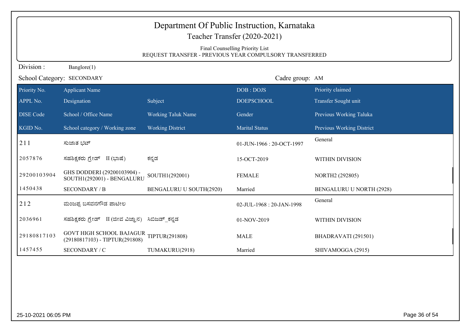| Department Of Public Instruction, Karnataka<br>Teacher Transfer (2020-2021)<br>Final Counselling Priority List |                                                            |                                                         |                          |                           |
|----------------------------------------------------------------------------------------------------------------|------------------------------------------------------------|---------------------------------------------------------|--------------------------|---------------------------|
|                                                                                                                |                                                            | REQUEST TRANSFER - PREVIOUS YEAR COMPULSORY TRANSFERRED |                          |                           |
| Division:                                                                                                      | Banglore(1)                                                |                                                         |                          |                           |
| Cadre group: AM<br>School Category: SECONDARY                                                                  |                                                            |                                                         |                          |                           |
| Priority No.                                                                                                   | <b>Applicant Name</b>                                      |                                                         | DOB: DOJS                | Priority claimed          |
| APPL No.                                                                                                       | Designation                                                | Subject                                                 | <b>DOEPSCHOOL</b>        | Transfer Sought unit      |
| <b>DISE</b> Code                                                                                               | School / Office Name                                       | <b>Working Taluk Name</b>                               | Gender                   | Previous Working Taluka   |
| KGID No.                                                                                                       | School category / Working zone                             | <b>Working District</b>                                 | <b>Marital Status</b>    | Previous Working District |
| 211                                                                                                            | ಸುಜಾತ ಭಟ್                                                  |                                                         | 01-JUN-1966: 20-OCT-1997 | General                   |
| 2057876                                                                                                        | ಸಹಶಿಕ್ಷಕರು ಗ್ರೇಡ್ II (ಭಾಷೆ)                                | ಕನ್ನಡ                                                   | 15-OCT-2019              | <b>WITHIN DIVISION</b>    |
| 29200103904                                                                                                    | GHS DODDERI (29200103904) -<br>SOUTH1(292001) - BENGALURU  | SOUTH1(292001)                                          | <b>FEMALE</b>            | NORTH2 (292805)           |
| 1450438                                                                                                        | <b>SECONDARY / B</b>                                       | BENGALURU U SOUTH(2920)                                 | Married                  | BENGALURU U NORTH (2928)  |
| 212                                                                                                            | ಮಂಜಪ್ಪ ಬಸವನಗೌಡ ಪಾಟೀಲ                                       |                                                         | 02-JUL-1968: 20-JAN-1998 | General                   |
| 2036961                                                                                                        | ಸಹಶಿಕ್ಷಕರು ಗ್ರೇಡ್ II (ಜೀವ ವಿಜ್ಞಾನ) ಸಿಬಿಜಡ್ ಕನ್ನಡ           |                                                         | 01-NOV-2019              | WITHIN DIVISION           |
| 29180817103                                                                                                    | GOVT HIGH SCHOOL BAJAGUR<br>(29180817103) - TIPTUR(291808) | TIPTUR(291808)                                          | <b>MALE</b>              | BHADRAVATI (291501)       |
| 1457455                                                                                                        | SECONDARY / C                                              | TUMAKURU(2918)                                          | Married                  | SHIVAMOGGA (2915)         |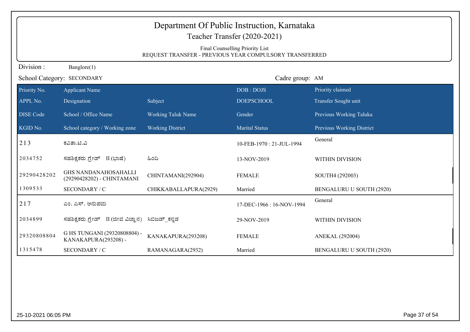| Department Of Public Instruction, Karnataka<br>Teacher Transfer (2020-2021)<br>Final Counselling Priority List<br>REQUEST TRANSFER - PREVIOUS YEAR COMPULSORY TRANSFERRED |                                                           |                           |                          |                           |
|---------------------------------------------------------------------------------------------------------------------------------------------------------------------------|-----------------------------------------------------------|---------------------------|--------------------------|---------------------------|
| Division:                                                                                                                                                                 | Banglore(1)                                               |                           |                          |                           |
| School Category: SECONDARY<br>Cadre group: AM                                                                                                                             |                                                           |                           |                          |                           |
| Priority No.                                                                                                                                                              | <b>Applicant Name</b>                                     |                           | DOB: DOJS                | Priority claimed          |
| APPL No.                                                                                                                                                                  | Designation                                               | Subject                   | <b>DOEPSCHOOL</b>        | Transfer Sought unit      |
| <b>DISE Code</b>                                                                                                                                                          | School / Office Name                                      | <b>Working Taluk Name</b> | Gender                   | Previous Working Taluka   |
| KGID No.                                                                                                                                                                  | School category / Working zone                            | <b>Working District</b>   | <b>Marital Status</b>    | Previous Working District |
| 213                                                                                                                                                                       | ಕವಿತಾ.ಟಿ.ವಿ                                               |                           | 10-FEB-1970: 21-JUL-1994 | General                   |
| 2034752                                                                                                                                                                   | ಸಹಶಿಕ್ಷಕರು ಗ್ರೇಡ್ II (ಭಾಷೆ)                               | ಹಿಂದಿ                     | 13-NOV-2019              | WITHIN DIVISION           |
| 29290428202                                                                                                                                                               | <b>GHS NANDANAHOSAHALLI</b><br>(29290428202) - CHINTAMANI | CHINTAMANI(292904)        | <b>FEMALE</b>            | SOUTH4 (292003)           |
| 1309533                                                                                                                                                                   | SECONDARY / C                                             | CHIKKABALLAPURA(2929)     | Married                  | BENGALURU U SOUTH (2920)  |
| 217                                                                                                                                                                       | ಎಂ. ಎಸ್. ಅನುಪಮ                                            |                           | 17-DEC-1966: 16-NOV-1994 | General                   |
| 2034899                                                                                                                                                                   | ಸಹಶಿಕ್ಷಕರು ಗ್ರೇಡ್ II (ಜೀವ ವಿಜ್ಞಾನ)                        | ಸಿಬಿಜಡ್ ಕನ್ನಡ             | 29-NOV-2019              | WITHIN DIVISION           |
| 29320808804                                                                                                                                                               | G HS TUNGANI (29320808804) -<br>KANAKAPURA(293208) -      | KANAKAPURA(293208)        | <b>FEMALE</b>            | <b>ANEKAL (292004)</b>    |
| 1315478                                                                                                                                                                   | SECONDARY / C                                             | RAMANAGARA(2932)          | Married                  | BENGALURU U SOUTH (2920)  |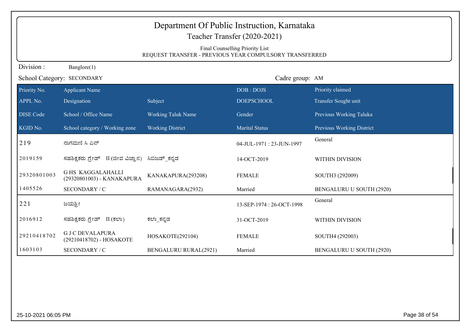| Department Of Public Instruction, Karnataka<br>Teacher Transfer (2020-2021) |                                                       |                                                         |                                 |                           |
|-----------------------------------------------------------------------------|-------------------------------------------------------|---------------------------------------------------------|---------------------------------|---------------------------|
|                                                                             |                                                       | REQUEST TRANSFER - PREVIOUS YEAR COMPULSORY TRANSFERRED | Final Counselling Priority List |                           |
| Division:                                                                   | Banglore(1)                                           |                                                         |                                 |                           |
| Cadre group: AM<br>School Category: SECONDARY                               |                                                       |                                                         |                                 |                           |
| Priority No.                                                                | <b>Applicant Name</b>                                 |                                                         | DOB: DOJS                       | Priority claimed          |
| APPL No.                                                                    | Designation                                           | Subject                                                 | <b>DOEPSCHOOL</b>               | Transfer Sought unit      |
| DISE Code                                                                   | School / Office Name                                  | <b>Working Taluk Name</b>                               | Gender                          | Previous Working Taluka   |
| KGID No.                                                                    | School category / Working zone                        | <b>Working District</b>                                 | <b>Marital Status</b>           | Previous Working District |
| 219                                                                         | ನಾಗಮಣಿ ಸಿ ಎನ್                                         |                                                         | 04-JUL-1971: 23-JUN-1997        | General                   |
| 2019159                                                                     | ಸಹಶಿಕ್ಷಕರು ಗ್ರೇಡ್ II (ಜೀವ ವಿಜ್ಞಾನ)                    | ಸಿಬಿಜಡ್ ಕನ್ನಡ                                           | 14-OCT-2019                     | WITHIN DIVISION           |
| 29320801003                                                                 | <b>GHS KAGGALAHALLI</b><br>(29320801003) - KANAKAPURA | KANAKAPURA(293208)                                      | <b>FEMALE</b>                   | SOUTH3 (292009)           |
| 1405526                                                                     | SECONDARY / C                                         | RAMANAGARA(2932)                                        | Married                         | BENGALURU U SOUTH (2920)  |
| 221                                                                         | ಜಯಶ್ರೀ                                                |                                                         | 13-SEP-1974: 26-OCT-1998        | General                   |
| 2016912                                                                     | ಸಹಶಿಕ್ಷಕರು ಗ್ರೇಡ್ II (ಕಲಾ)                            | ಕಲಾ ಕನ್ನಡ                                               | 31-OCT-2019                     | <b>WITHIN DIVISION</b>    |
| 29210418702                                                                 | <b>GJCDEVALAPURA</b><br>(29210418702) - HOSAKOTE      | HOSAKOTE(292104)                                        | <b>FEMALE</b>                   | SOUTH4 (292003)           |
| 1603103                                                                     | SECONDARY / C                                         | <b>BENGALURU RURAL(2921)</b>                            | Married                         | BENGALURU U SOUTH (2920)  |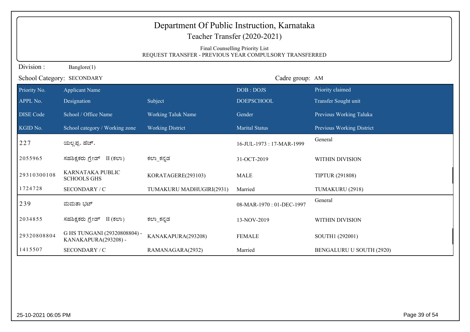| Department Of Public Instruction, Karnataka<br>Teacher Transfer (2020-2021)<br>Final Counselling Priority List<br>REQUEST TRANSFER - PREVIOUS YEAR COMPULSORY TRANSFERRED |                                                      |                           |                          |                           |
|---------------------------------------------------------------------------------------------------------------------------------------------------------------------------|------------------------------------------------------|---------------------------|--------------------------|---------------------------|
| Division:                                                                                                                                                                 | Banglore(1)                                          |                           |                          |                           |
| School Category: SECONDARY<br>Cadre group: AM                                                                                                                             |                                                      |                           |                          |                           |
| Priority No.                                                                                                                                                              | <b>Applicant Name</b>                                |                           | DOB: DOJS                | Priority claimed          |
| APPL No.                                                                                                                                                                  | Designation                                          | Subject                   | <b>DOEPSCHOOL</b>        | Transfer Sought unit      |
| <b>DISE Code</b>                                                                                                                                                          | School / Office Name                                 | <b>Working Taluk Name</b> | Gender                   | Previous Working Taluka   |
| KGID No.                                                                                                                                                                  | School category / Working zone                       | <b>Working District</b>   | <b>Marital Status</b>    | Previous Working District |
| 227                                                                                                                                                                       | ಯಲ್ಲಪ್ಪ. ಹೆಚ್.                                       |                           | 16-JUL-1973: 17-MAR-1999 | General                   |
| 2055965                                                                                                                                                                   | ಸಹಶಿಕ್ಷಕರು ಗ್ರೇಡ್ II (ಕಲಾ)                           | ಕಲ್_ಕನ್ನಡ                 | 31-OCT-2019              | WITHIN DIVISION           |
| 29310300108                                                                                                                                                               | KARNATAKA PUBLIC<br><b>SCHOOLS GHS</b>               | KORATAGERE(293103)        | <b>MALE</b>              | <b>TIPTUR (291808)</b>    |
| 1724728                                                                                                                                                                   | SECONDARY / C                                        | TUMAKURU MADHUGIRI(2931)  | Married                  | TUMAKURU (2918)           |
| 239                                                                                                                                                                       | ಮಮತಾ ಭಟ್                                             |                           | 08-MAR-1970: 01-DEC-1997 | General                   |
| 2034855                                                                                                                                                                   | ಸಹಶಿಕ್ಷಕರು ಗ್ರೇಡ್ II (ಕಲಾ)                           | ಕಲ್_ಕನ್ನಡ                 | 13-NOV-2019              | WITHIN DIVISION           |
| 29320808804                                                                                                                                                               | G HS TUNGANI (29320808804) -<br>KANAKAPURA(293208) - | KANAKAPURA(293208)        | <b>FEMALE</b>            | SOUTH1 (292001)           |
| 1415507                                                                                                                                                                   | SECONDARY / C                                        | RAMANAGARA(2932)          | Married                  | BENGALURU U SOUTH (2920)  |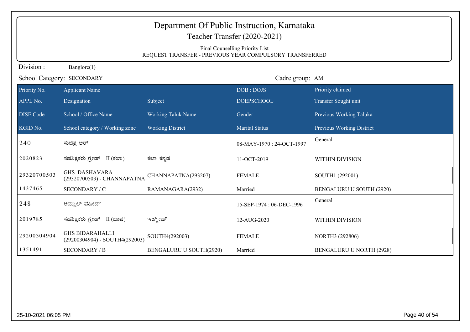|                                               | Department Of Public Instruction, Karnataka<br>Teacher Transfer (2020-2021) |                                                         |                                 |                           |  |
|-----------------------------------------------|-----------------------------------------------------------------------------|---------------------------------------------------------|---------------------------------|---------------------------|--|
|                                               |                                                                             | REQUEST TRANSFER - PREVIOUS YEAR COMPULSORY TRANSFERRED | Final Counselling Priority List |                           |  |
| Division:                                     | Banglore(1)                                                                 |                                                         |                                 |                           |  |
| Cadre group: AM<br>School Category: SECONDARY |                                                                             |                                                         |                                 |                           |  |
| Priority No.                                  | <b>Applicant Name</b>                                                       |                                                         | DOB: DOJS                       | Priority claimed          |  |
| APPL No.                                      | Designation                                                                 | Subject                                                 | <b>DOEPSCHOOL</b>               | Transfer Sought unit      |  |
| <b>DISE</b> Code                              | School / Office Name                                                        | Working Taluk Name                                      | Gender                          | Previous Working Taluka   |  |
| KGID No.                                      | School category / Working zone                                              | <b>Working District</b>                                 | <b>Marital Status</b>           | Previous Working District |  |
| 240                                           | ಸುಚಿತ್ರ ಆರ್                                                                 |                                                         | 08-MAY-1970: 24-OCT-1997        | General                   |  |
| 2020823                                       | ಸಹಶಿಕ್ಷಕರು ಗ್ರೇಡ್ II (ಕಲಾ)                                                  | ಕಲ್_ಕನ್ನಡ                                               | 11-OCT-2019                     | WITHIN DIVISION           |  |
| 29320700503                                   | <b>GHS DASHAVARA</b><br>(29320700503) - CHANNAPATNA                         | CHANNAPATNA(293207)                                     | <b>FEMALE</b>                   | SOUTH1 (292001)           |  |
| 1437465                                       | SECONDARY / C                                                               | RAMANAGARA(2932)                                        | Married                         | BENGALURU U SOUTH (2920)  |  |
| 248                                           | ಅಮ್ತುಲ್ ವಹೀದ್                                                               |                                                         | 15-SEP-1974: 06-DEC-1996        | General                   |  |
| 2019785                                       | ಸಹಶಿಕ್ಷಕರು ಗ್ರೇಡ್ II (ಭಾಷೆ)                                                 | ಇಂಗ್ಲೀಷ್                                                | 12-AUG-2020                     | WITHIN DIVISION           |  |
| 29200304904                                   | <b>GHS BIDARAHALLI</b><br>(29200304904) - SOUTH4(292003)                    | SOUTH4(292003)                                          | <b>FEMALE</b>                   | NORTH3 (292806)           |  |
| 1351491                                       | <b>SECONDARY / B</b>                                                        | <b>BENGALURU U SOUTH(2920)</b>                          | Married                         | BENGALURU U NORTH (2928)  |  |
|                                               |                                                                             |                                                         |                                 |                           |  |
|                                               |                                                                             |                                                         |                                 |                           |  |
|                                               |                                                                             |                                                         |                                 |                           |  |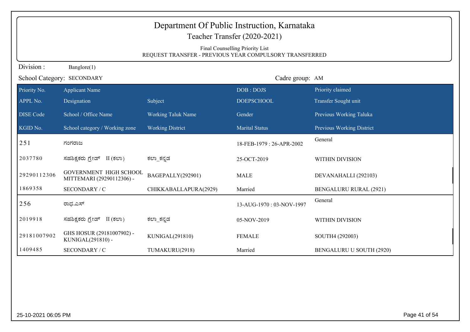| Department Of Public Instruction, Karnataka<br>Teacher Transfer (2020-2021) |                                                                                            |                           |                          |                               |  |  |
|-----------------------------------------------------------------------------|--------------------------------------------------------------------------------------------|---------------------------|--------------------------|-------------------------------|--|--|
|                                                                             | Final Counselling Priority List<br>REQUEST TRANSFER - PREVIOUS YEAR COMPULSORY TRANSFERRED |                           |                          |                               |  |  |
| Division:                                                                   | Banglore(1)                                                                                |                           |                          |                               |  |  |
| Cadre group: AM<br>School Category: SECONDARY                               |                                                                                            |                           |                          |                               |  |  |
| Priority No.                                                                | <b>Applicant Name</b>                                                                      |                           | DOB: DOJS                | Priority claimed              |  |  |
| APPL No.                                                                    | Designation                                                                                | Subject                   | <b>DOEPSCHOOL</b>        | Transfer Sought unit          |  |  |
| <b>DISE</b> Code                                                            | School / Office Name                                                                       | <b>Working Taluk Name</b> | Gender                   | Previous Working Taluka       |  |  |
| KGID No.                                                                    | School category / Working zone                                                             | <b>Working District</b>   | <b>Marital Status</b>    | Previous Working District     |  |  |
| 251                                                                         | ಗಂಗರಾಜ                                                                                     |                           | 18-FEB-1979: 26-APR-2002 | General                       |  |  |
| 2037780                                                                     | ಸಹಶಿಕ್ಷಕರು ಗ್ರೇಡ್ II (ಕಲಾ)                                                                 | ಕಲ್_ಕನ್ನಡ                 | 25-OCT-2019              | WITHIN DIVISION               |  |  |
| 29290112306                                                                 | GOVERNMENT HIGH SCHOOL<br>MITTEMARI (29290112306) -                                        | BAGEPALLY(292901)         | <b>MALE</b>              | DEVANAHALLI (292103)          |  |  |
| 1869358                                                                     | SECONDARY / C                                                                              | CHIKKABALLAPURA(2929)     | Married                  | <b>BENGALURU RURAL (2921)</b> |  |  |
| 256                                                                         | ರಾಧ.ಎಸ್                                                                                    |                           | 13-AUG-1970: 03-NOV-1997 | General                       |  |  |
| 2019918                                                                     | ಸಹಶಿಕ್ಷಕರು ಗ್ರೇಡ್ II (ಕಲಾ)                                                                 | ಕಲ್_ಕನ್ನಡ                 | 05-NOV-2019              | WITHIN DIVISION               |  |  |
| 29181007902                                                                 | GHS HOSUR (29181007902) -<br>KUNIGAL(291810) -                                             | KUNIGAL(291810)           | <b>FEMALE</b>            | SOUTH4 (292003)               |  |  |
| 1409485                                                                     | SECONDARY / C                                                                              | TUMAKURU(2918)            | Married                  | BENGALURU U SOUTH (2920)      |  |  |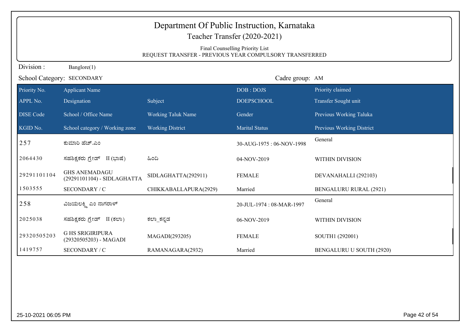| Department Of Public Instruction, Karnataka<br>Teacher Transfer (2020-2021)<br>Final Counselling Priority List<br>REQUEST TRANSFER - PREVIOUS YEAR COMPULSORY TRANSFERRED |                                                     |                           |                          |                               |  |
|---------------------------------------------------------------------------------------------------------------------------------------------------------------------------|-----------------------------------------------------|---------------------------|--------------------------|-------------------------------|--|
| Division:                                                                                                                                                                 | Banglore(1)                                         |                           |                          |                               |  |
|                                                                                                                                                                           | School Category: SECONDARY<br>Cadre group: AM       |                           |                          |                               |  |
| Priority No.                                                                                                                                                              | <b>Applicant Name</b>                               |                           | DOB: DOJS                | Priority claimed              |  |
| APPL No.                                                                                                                                                                  | Designation                                         | Subject                   | <b>DOEPSCHOOL</b>        | Transfer Sought unit          |  |
| <b>DISE Code</b>                                                                                                                                                          | School / Office Name                                | <b>Working Taluk Name</b> | Gender                   | Previous Working Taluka       |  |
| KGID No.                                                                                                                                                                  | School category / Working zone                      | <b>Working District</b>   | <b>Marital Status</b>    | Previous Working District     |  |
| 257                                                                                                                                                                       | ಕುಮಾರಿ ಹೆಚ್.ಎಂ                                      |                           | 30-AUG-1975: 06-NOV-1998 | General                       |  |
| 2064430                                                                                                                                                                   | ಸಹಶಿಕ್ಷಕರು ಗ್ರೇಡ್ II (ಭಾಷೆ)                         | ಹಿಂದಿ                     | 04-NOV-2019              | WITHIN DIVISION               |  |
| 29291101104                                                                                                                                                               | <b>GHS ANEMADAGU</b><br>(29291101104) - SIDLAGHATTA | SIDLAGHATTA(292911)       | <b>FEMALE</b>            | DEVANAHALLI (292103)          |  |
| 1503555                                                                                                                                                                   | SECONDARY / C                                       | CHIKKABALLAPURA(2929)     | Married                  | <b>BENGALURU RURAL (2921)</b> |  |
| 258                                                                                                                                                                       | ವಿಜಯಲಕ್ತ್ತಿ ಎಂ ನಾಗರಾಳ್                              |                           | 20-JUL-1974: 08-MAR-1997 | General                       |  |
| 2025038                                                                                                                                                                   | ಸಹಶಿಕ್ಷಕರು ಗ್ರೇಡ್ II (ಕಲಾ)                          | ಕಲ್_ಕನ್ನಡ                 | 06-NOV-2019              | WITHIN DIVISION               |  |
| 29320505203                                                                                                                                                               | <b>G HS SRIGIRIPURA</b><br>(29320505203) - MAGADI   | MAGADI(293205)            | <b>FEMALE</b>            | SOUTH1 (292001)               |  |
| 1419757                                                                                                                                                                   | SECONDARY / C                                       | RAMANAGARA(2932)          | Married                  | BENGALURU U SOUTH (2920)      |  |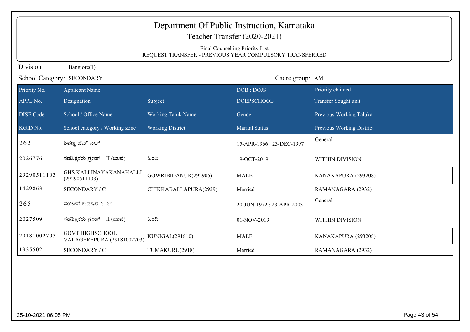| Department Of Public Instruction, Karnataka<br>Teacher Transfer (2020-2021) |                                                                                            |                           |                           |                           |  |
|-----------------------------------------------------------------------------|--------------------------------------------------------------------------------------------|---------------------------|---------------------------|---------------------------|--|
|                                                                             |                                                                                            |                           |                           |                           |  |
|                                                                             | Final Counselling Priority List<br>REQUEST TRANSFER - PREVIOUS YEAR COMPULSORY TRANSFERRED |                           |                           |                           |  |
| Division:                                                                   | Banglore(1)                                                                                |                           |                           |                           |  |
|                                                                             | School Category: SECONDARY<br>Cadre group: AM                                              |                           |                           |                           |  |
| Priority No.                                                                | <b>Applicant Name</b>                                                                      |                           | DOB: DOJS                 | Priority claimed          |  |
| APPL No.                                                                    | Designation                                                                                | Subject                   | <b>DOEPSCHOOL</b>         | Transfer Sought unit      |  |
| <b>DISE</b> Code                                                            | School / Office Name                                                                       | <b>Working Taluk Name</b> | Gender                    | Previous Working Taluka   |  |
| KGID No.                                                                    | School category / Working zone                                                             | <b>Working District</b>   | <b>Marital Status</b>     | Previous Working District |  |
| 262                                                                         | ಶಿವಣ್ಣ ಹೆಚ್ ಎಲ್                                                                            |                           | 15-APR-1966 : 23-DEC-1997 | General                   |  |
| 2026776                                                                     | ಸಹಶಿಕ್ಷಕರು ಗ್ರೇಡ್ II (ಭಾಷೆ)                                                                | ಹಿಂದಿ                     | 19-OCT-2019               | WITHIN DIVISION           |  |
| 29290511103                                                                 | <b>GHS KALLINAYAKANAHALLI</b><br>$(29290511103) -$                                         | GOWRIBIDANUR(292905)      | <b>MALE</b>               | KANAKAPURA (293208)       |  |
| 1429863                                                                     | SECONDARY / C                                                                              | CHIKKABALLAPURA(2929)     | Married                   | RAMANAGARA (2932)         |  |
| 265                                                                         | ಸಂಜೀವ ಕುಮಾರ ಎ ಎಂ                                                                           |                           | 20-JUN-1972: 23-APR-2003  | General                   |  |
| 2027509                                                                     | ಸಹಶಿಕ್ಷಕರು ಗ್ರೇಡ್ II (ಭಾಷೆ)                                                                | ಹಿಂದಿ                     | 01-NOV-2019               | WITHIN DIVISION           |  |
| 29181002703                                                                 | <b>GOVT HIGHSCHOOL</b><br>VALAGEREPURA (29181002703)                                       | KUNIGAL(291810)           | <b>MALE</b>               | KANAKAPURA (293208)       |  |
| 1935502                                                                     | SECONDARY / C                                                                              | TUMAKURU(2918)            | Married                   | RAMANAGARA (2932)         |  |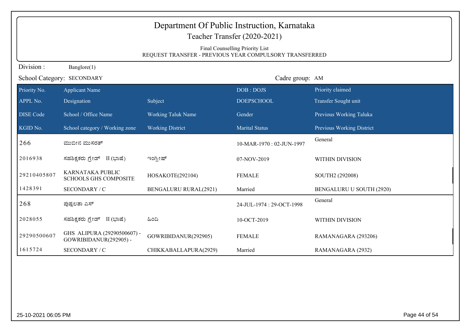| Department Of Public Instruction, Karnataka<br>Teacher Transfer (2020-2021) |                                                       |                                                         |                                 |                           |
|-----------------------------------------------------------------------------|-------------------------------------------------------|---------------------------------------------------------|---------------------------------|---------------------------|
|                                                                             |                                                       | REQUEST TRANSFER - PREVIOUS YEAR COMPULSORY TRANSFERRED | Final Counselling Priority List |                           |
| Division:                                                                   | Banglore(1)                                           |                                                         |                                 |                           |
|                                                                             | School Category: SECONDARY                            |                                                         | Cadre group: AM                 |                           |
| Priority No.                                                                | <b>Applicant Name</b>                                 |                                                         | DOB: DOJS                       | Priority claimed          |
| APPL No.                                                                    | Designation                                           | Subject                                                 | <b>DOEPSCHOOL</b>               | Transfer Sought unit      |
| <b>DISE</b> Code                                                            | School / Office Name                                  | <b>Working Taluk Name</b>                               | Gender                          | Previous Working Taluka   |
| KGID No.                                                                    | School category / Working zone                        | <b>Working District</b>                                 | <b>Marital Status</b>           | Previous Working District |
| 266                                                                         | ಮುಬೀನ ಮುಸರತ್                                          |                                                         | 10-MAR-1970: 02-JUN-1997        | General                   |
| 2016938                                                                     | ಸಹಶಿಕ್ಷಕರು ಗ್ರೇಡ್ II (ಭಾಷೆ)                           | ಇಂಗ್ಲೀಷ್                                                | 07-NOV-2019                     | <b>WITHIN DIVISION</b>    |
| 29210405807                                                                 | KARNATAKA PUBLIC<br><b>SCHOOLS GHS COMPOSITE</b>      | HOSAKOTE(292104)                                        | <b>FEMALE</b>                   | SOUTH2 (292008)           |
| 1428391                                                                     | SECONDARY / C                                         | <b>BENGALURU RURAL(2921)</b>                            | Married                         | BENGALURU U SOUTH (2920)  |
| 268                                                                         | ಪುಷ್ಟಲತಾ ಎಸ್                                          |                                                         | 24-JUL-1974: 29-OCT-1998        | General                   |
| 2028055                                                                     | ಸಹಶಿಕ್ಷಕರು ಗ್ರೇಡ್<br>II (ಭಾಷೆ)                        | ಹಿಂದಿ                                                   | 10-OCT-2019                     | <b>WITHIN DIVISION</b>    |
| 29290500607                                                                 | GHS ALIPURA (29290500607) -<br>GOWRIBIDANUR(292905) - | GOWRIBIDANUR(292905)                                    | <b>FEMALE</b>                   | RAMANAGARA (293206)       |
| 1615724                                                                     | SECONDARY / C                                         | CHIKKABALLAPURA(2929)                                   | Married                         | RAMANAGARA (2932)         |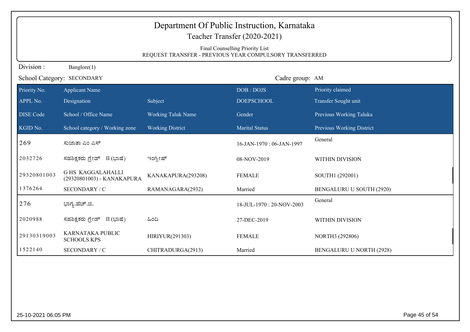| Department Of Public Instruction, Karnataka<br>Teacher Transfer (2020-2021)<br>Final Counselling Priority List<br>REQUEST TRANSFER - PREVIOUS YEAR COMPULSORY TRANSFERRED |                                                       |                           |                          |                           |  |  |
|---------------------------------------------------------------------------------------------------------------------------------------------------------------------------|-------------------------------------------------------|---------------------------|--------------------------|---------------------------|--|--|
| Division:                                                                                                                                                                 | Banglore(1)                                           |                           |                          |                           |  |  |
|                                                                                                                                                                           | School Category: SECONDARY                            |                           | Cadre group: AM          |                           |  |  |
| Priority No.                                                                                                                                                              | <b>Applicant Name</b>                                 |                           | DOB: DOJS                | Priority claimed          |  |  |
| APPL No.                                                                                                                                                                  | Designation                                           | Subject                   | <b>DOEPSCHOOL</b>        | Transfer Sought unit      |  |  |
| <b>DISE</b> Code                                                                                                                                                          | School / Office Name                                  | <b>Working Taluk Name</b> | Gender                   | Previous Working Taluka   |  |  |
| KGID No.                                                                                                                                                                  | School category / Working zone                        | <b>Working District</b>   | <b>Marital Status</b>    | Previous Working District |  |  |
| 269                                                                                                                                                                       | ಸುಜಾತಾ ಎಂ ಎಸ್                                         |                           | 16-JAN-1970: 06-JAN-1997 | General                   |  |  |
| 2032726                                                                                                                                                                   | ಸಹಶಿಕ್ಷಕರು ಗ್ರೇಡ್ II (ಭಾಷೆ)                           | ಇಂಗ್ಲೀಷ್                  | 08-NOV-2019              | <b>WITHIN DIVISION</b>    |  |  |
| 29320801003                                                                                                                                                               | <b>GHS KAGGALAHALLI</b><br>(29320801003) - KANAKAPURA | KANAKAPURA(293208)        | <b>FEMALE</b>            | SOUTH1 (292001)           |  |  |
| 1376264                                                                                                                                                                   | SECONDARY / C                                         | RAMANAGARA(2932)          | Married                  | BENGALURU U SOUTH (2920)  |  |  |
| 276                                                                                                                                                                       | ಭಾಗ್ಯ.ಹೆಚ್.ಜಿ.                                        |                           | 18-JUL-1970: 20-NOV-2003 | General                   |  |  |
| 2020988                                                                                                                                                                   | ಸಹಶಿಕ್ಷಕರು ಗ್ರೇಡ್ II (ಭಾಷೆ)                           | ಹಿಂದಿ                     | 27-DEC-2019              | WITHIN DIVISION           |  |  |
| 29130319003                                                                                                                                                               | KARNATAKA PUBLIC<br><b>SCHOOLS KPS</b>                | HIRIYUR(291303)           | <b>FEMALE</b>            | NORTH3 (292806)           |  |  |
| 1522140                                                                                                                                                                   | SECONDARY / C                                         | CHITRADURGA(2913)         | Married                  | BENGALURU U NORTH (2928)  |  |  |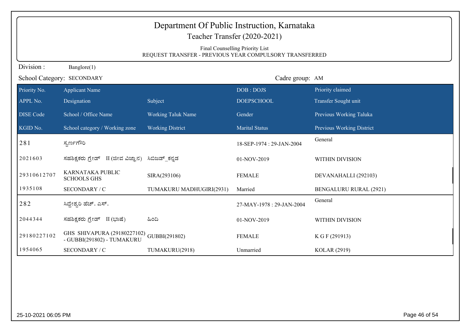| Department Of Public Instruction, Karnataka<br>Teacher Transfer (2020-2021)<br>Final Counselling Priority List<br>REQUEST TRANSFER - PREVIOUS YEAR COMPULSORY TRANSFERRED |                                                                         |                           |                          |                               |  |
|---------------------------------------------------------------------------------------------------------------------------------------------------------------------------|-------------------------------------------------------------------------|---------------------------|--------------------------|-------------------------------|--|
| Division:                                                                                                                                                                 | Banglore(1)                                                             |                           |                          |                               |  |
|                                                                                                                                                                           | School Category: SECONDARY                                              |                           | Cadre group: AM          |                               |  |
| Priority No.                                                                                                                                                              | <b>Applicant Name</b>                                                   |                           | DOB: DOJS                | Priority claimed              |  |
| APPL No.                                                                                                                                                                  | Designation                                                             | Subject                   | <b>DOEPSCHOOL</b>        | Transfer Sought unit          |  |
| <b>DISE</b> Code                                                                                                                                                          | School / Office Name                                                    | <b>Working Taluk Name</b> | Gender                   | Previous Working Taluka       |  |
| KGID No.                                                                                                                                                                  | School category / Working zone                                          | <b>Working District</b>   | <b>Marital Status</b>    | Previous Working District     |  |
| 281                                                                                                                                                                       | ಸ್ವರ್ಣಗೌರಿ                                                              |                           | 18-SEP-1974: 29-JAN-2004 | General                       |  |
| 2021603                                                                                                                                                                   | ಸಹಶಿಕ್ಷಕರು ಗ್ರೇಡ್ II (ಜೀವ ವಿಜ್ಞಾನ) ಸಿಬಿಜಡ್ ಕನ್ನಡ                        |                           | 01-NOV-2019              | WITHIN DIVISION               |  |
| 29310612707                                                                                                                                                               | KARNATAKA PUBLIC<br><b>SCHOOLS GHS</b>                                  | SIRA(293106)              | <b>FEMALE</b>            | DEVANAHALLI (292103)          |  |
| 1935108                                                                                                                                                                   | SECONDARY / C                                                           | TUMAKURU MADHUGIRI(2931)  | Married                  | <b>BENGALURU RURAL (2921)</b> |  |
| 282                                                                                                                                                                       | ಸಿದ್ದೇಶ್ವರಿ ಹೆಚ್. ಎಸ್.                                                  |                           | 27-MAY-1978: 29-JAN-2004 | General                       |  |
| 2044344                                                                                                                                                                   | ಸಹಶಿಕ್ಷಕರು ಗ್ರೇಡ್ II (ಭಾಷೆ)                                             | ಹಿಂದಿ                     | 01-NOV-2019              | WITHIN DIVISION               |  |
| 29180227102                                                                                                                                                               | GHS SHIVAPURA (29180227102) GUBBI(291802)<br>- GUBBI(291802) - TUMAKURU |                           | <b>FEMALE</b>            | K G F (291913)                |  |
| 1954065                                                                                                                                                                   | SECONDARY / C                                                           | TUMAKURU(2918)            | Unmarried                | <b>KOLAR (2919)</b>           |  |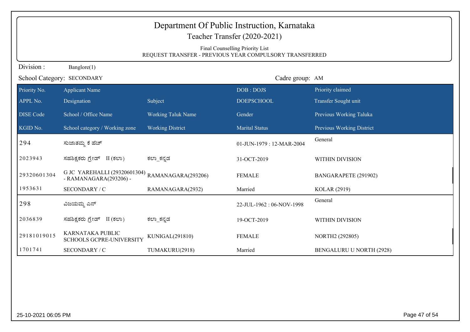| Department Of Public Instruction, Karnataka                                                |                                                        |                           |                          |                                  |  |
|--------------------------------------------------------------------------------------------|--------------------------------------------------------|---------------------------|--------------------------|----------------------------------|--|
| Teacher Transfer (2020-2021)                                                               |                                                        |                           |                          |                                  |  |
| Final Counselling Priority List<br>REQUEST TRANSFER - PREVIOUS YEAR COMPULSORY TRANSFERRED |                                                        |                           |                          |                                  |  |
| Division:<br>Banglore(1)                                                                   |                                                        |                           |                          |                                  |  |
|                                                                                            | School Category: SECONDARY                             |                           | Cadre group: AM          |                                  |  |
| Priority No.                                                                               | <b>Applicant Name</b>                                  |                           | DOB: DOJS                | Priority claimed                 |  |
| APPL No.                                                                                   | Designation                                            | Subject                   | <b>DOEPSCHOOL</b>        | Transfer Sought unit             |  |
| <b>DISE</b> Code                                                                           | School / Office Name                                   | <b>Working Taluk Name</b> | Gender                   | Previous Working Taluka          |  |
| KGID No.                                                                                   | School category / Working zone                         | <b>Working District</b>   | <b>Marital Status</b>    | <b>Previous Working District</b> |  |
| 294                                                                                        | ಸುಜಾತಮ್ಮ ಕೆ ಹೆಚ್                                       |                           | 01-JUN-1979: 12-MAR-2004 | General                          |  |
| 2023943                                                                                    | ಸಹಶಿಕ್ಷಕರು ಗ್ರೇಡ್ II (ಕಲಾ)                             | ಕಲ್_ಕನ್ನಡ                 | 31-OCT-2019              | WITHIN DIVISION                  |  |
| 29320601304                                                                                | G JC YAREHALLI (29320601304)<br>- RAMANAGARA(293206) - | RAMANAGARA(293206)        | <b>FEMALE</b>            | BANGARAPETE (291902)             |  |
| 1953631                                                                                    | SECONDARY / C                                          | RAMANAGARA(2932)          | Married                  | KOLAR (2919)                     |  |
| 298                                                                                        | ವಿಜಯಮ್ಮ ಎನ್                                            |                           | 22-JUL-1962: 06-NOV-1998 | General                          |  |
| 2036839                                                                                    | ಸಹಶಿಕ್ಷಕರು ಗ್ರೇಡ್ II (ಕಲಾ)                             | ಕಲ್_ಕನ್ನಡ                 | 19-OCT-2019              | WITHIN DIVISION                  |  |
| 29181019015                                                                                | KARNATAKA PUBLIC<br><b>SCHOOLS GCPRE-UNIVERSITY</b>    | KUNIGAL(291810)           | <b>FEMALE</b>            | NORTH2 (292805)                  |  |
| 1701741                                                                                    | SECONDARY / C                                          | TUMAKURU(2918)            | Married                  | BENGALURU U NORTH (2928)         |  |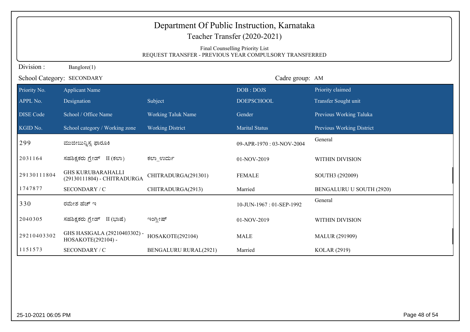| Department Of Public Instruction, Karnataka<br>Teacher Transfer (2020-2021) |                                                                                            |                              |                          |                           |  |  |
|-----------------------------------------------------------------------------|--------------------------------------------------------------------------------------------|------------------------------|--------------------------|---------------------------|--|--|
|                                                                             | Final Counselling Priority List<br>REQUEST TRANSFER - PREVIOUS YEAR COMPULSORY TRANSFERRED |                              |                          |                           |  |  |
| Division:                                                                   | Banglore(1)                                                                                |                              |                          |                           |  |  |
|                                                                             | School Category: SECONDARY                                                                 |                              | Cadre group: AM          |                           |  |  |
| Priority No.                                                                | <b>Applicant Name</b>                                                                      |                              | DOB: DOJS                | Priority claimed          |  |  |
| APPL No.                                                                    | Designation                                                                                | Subject                      | <b>DOEPSCHOOL</b>        | Transfer Sought unit      |  |  |
| <b>DISE</b> Code                                                            | School / Office Name                                                                       | <b>Working Taluk Name</b>    | Gender                   | Previous Working Taluka   |  |  |
| KGID No.                                                                    | School category / Working zone                                                             | <b>Working District</b>      | <b>Marital Status</b>    | Previous Working District |  |  |
| 299                                                                         | ಮುಜೀಬುನ್ನಿಸ್ನ ಫಾರೂಕಿ                                                                       |                              | 09-APR-1970: 03-NOV-2004 | General                   |  |  |
| 2031164                                                                     | ಸಹಶಿಕ್ಷಕರು ಗ್ರೇಡ್ II (ಕಲಾ)                                                                 | ಕಲಾ ಉರ್ದು                    | 01-NOV-2019              | WITHIN DIVISION           |  |  |
| 29130111804                                                                 | <b>GHS KURUBARAHALLI</b><br>(29130111804) - CHITRADURGA                                    | CHITRADURGA(291301)          | <b>FEMALE</b>            | SOUTH3 (292009)           |  |  |
| 1747877                                                                     | SECONDARY / C                                                                              | CHITRADURGA(2913)            | Married                  | BENGALURU U SOUTH (2920)  |  |  |
| 330                                                                         | ರಮೇಶ ಹೆಚ್ ಇ                                                                                |                              | 10-JUN-1967: 01-SEP-1992 | General                   |  |  |
| 2040305                                                                     | ಸಹಶಿಕ್ಷಕರು ಗ್ರೇಡ್<br>II (ಭಾಷೆ)                                                             | ಇಂಗ್ಲೀಷ್                     | 01-NOV-2019              | <b>WITHIN DIVISION</b>    |  |  |
| 29210403302                                                                 | GHS HASIGALA (29210403302) -<br>HOSAKOTE(292104) -                                         | HOSAKOTE(292104)             | <b>MALE</b>              | <b>MALUR (291909)</b>     |  |  |
| 1151573                                                                     | SECONDARY / C                                                                              | <b>BENGALURU RURAL(2921)</b> | Married                  | KOLAR (2919)              |  |  |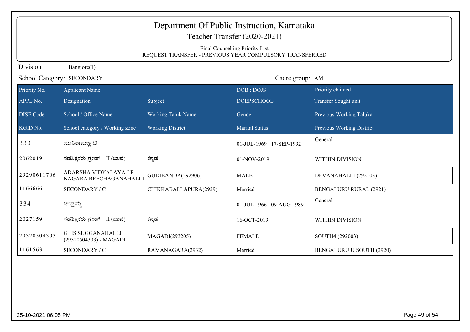|                  | Department Of Public Instruction, Karnataka<br>Teacher Transfer (2020-2021)<br>Final Counselling Priority List<br>REQUEST TRANSFER - PREVIOUS YEAR COMPULSORY TRANSFERRED |                           |                          |                               |  |
|------------------|---------------------------------------------------------------------------------------------------------------------------------------------------------------------------|---------------------------|--------------------------|-------------------------------|--|
| Division:        | Banglore(1)                                                                                                                                                               |                           |                          |                               |  |
|                  | School Category: SECONDARY                                                                                                                                                |                           | Cadre group: AM          |                               |  |
| Priority No.     | <b>Applicant Name</b>                                                                                                                                                     |                           | DOB: DOJS                | Priority claimed              |  |
| APPL No.         | Designation                                                                                                                                                               | Subject                   | <b>DOEPSCHOOL</b>        | Transfer Sought unit          |  |
| <b>DISE Code</b> | School / Office Name                                                                                                                                                      | <b>Working Taluk Name</b> | Gender                   | Previous Working Taluka       |  |
| KGID No.         | School category / Working zone                                                                                                                                            | <b>Working District</b>   | <b>Marital Status</b>    | Previous Working District     |  |
| 333              | ಮುನಿಶಾಮಣ್ಣ ಟಿ                                                                                                                                                             |                           | 01-JUL-1969: 17-SEP-1992 | General                       |  |
| 2062019          | ಸಹಶಿಕ್ಷಕರು ಗ್ರೇಡ್ II (ಭಾಷೆ)                                                                                                                                               | ಕನ್ನಡ                     | 01-NOV-2019              | WITHIN DIVISION               |  |
| 29290611706      | ADARSHA VIDYALAYA JP<br>NAGARA BEECHAGANAHALLI                                                                                                                            | GUDIBANDA(292906)         | <b>MALE</b>              | DEVANAHALLI (292103)          |  |
| 1166666          | SECONDARY / C                                                                                                                                                             | CHIKKABALLAPURA(2929)     | Married                  | <b>BENGALURU RURAL (2921)</b> |  |
| 334              | ಚಂದ್ರಮ್ಮ                                                                                                                                                                  |                           | 01-JUL-1966: 09-AUG-1989 | General                       |  |
| 2027159          | ಸಹಶಿಕ್ಷಕರು ಗ್ರೇಡ್<br>II (ಭಾಷೆ)                                                                                                                                            | ಕನ್ನಡ                     | 16-OCT-2019              | WITHIN DIVISION               |  |
| 29320504303      | <b>G HS SUGGANAHALLI</b><br>(29320504303) - MAGADI                                                                                                                        | MAGADI(293205)            | <b>FEMALE</b>            | SOUTH4 (292003)               |  |
| 1161563          | SECONDARY / C                                                                                                                                                             | RAMANAGARA(2932)          | Married                  | BENGALURU U SOUTH (2920)      |  |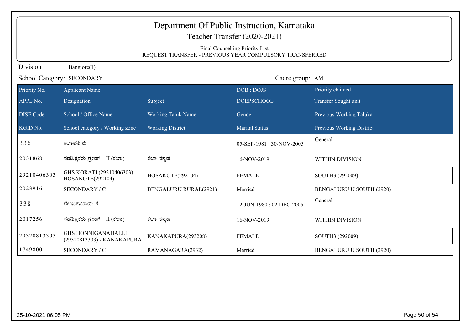| Department Of Public Instruction, Karnataka<br>Teacher Transfer (2020-2021)                |                                                         |                              |                          |                           |  |  |
|--------------------------------------------------------------------------------------------|---------------------------------------------------------|------------------------------|--------------------------|---------------------------|--|--|
| Final Counselling Priority List<br>REQUEST TRANSFER - PREVIOUS YEAR COMPULSORY TRANSFERRED |                                                         |                              |                          |                           |  |  |
| Division:                                                                                  | Banglore(1)                                             |                              |                          |                           |  |  |
|                                                                                            | School Category: SECONDARY                              |                              | Cadre group: AM          |                           |  |  |
| Priority No.                                                                               | <b>Applicant Name</b>                                   |                              | DOB: DOJS                | Priority claimed          |  |  |
| APPL No.                                                                                   | Designation                                             | Subject                      | <b>DOEPSCHOOL</b>        | Transfer Sought unit      |  |  |
| <b>DISE Code</b>                                                                           | School / Office Name                                    | <b>Working Taluk Name</b>    | Gender                   | Previous Working Taluka   |  |  |
| KGID No.                                                                                   | School category / Working zone                          | <b>Working District</b>      | <b>Marital Status</b>    | Previous Working District |  |  |
| 336                                                                                        | ಕಲಾವತಿ ಬಿ                                               |                              | 05-SEP-1981:30-NOV-2005  | General                   |  |  |
| 2031868                                                                                    | ಸಹಶಿಕ್ಷಕರು ಗ್ರೇಡ್ II (ಕಲಾ)                              | ಕಲ್_ಕನ್ನಡ                    | 16-NOV-2019              | WITHIN DIVISION           |  |  |
| 29210406303                                                                                | GHS KORATI (29210406303) -<br>HOSAKOTE(292104) -        | HOSAKOTE(292104)             | <b>FEMALE</b>            | SOUTH3 (292009)           |  |  |
| 2023916                                                                                    | SECONDARY / C                                           | <b>BENGALURU RURAL(2921)</b> | Married                  | BENGALURU U SOUTH (2920)  |  |  |
| 338                                                                                        | ರೇಣುಕಾಬಾಯಿ ಕೆ                                           |                              | 12-JUN-1980: 02-DEC-2005 | General                   |  |  |
| 2017256                                                                                    | ಸಹಶಿಕ್ಷಕರು ಗ್ರೇಡ್ II (ಕಲಾ)                              | ಕಲ್_ಕನ್ನಡ                    | 16-NOV-2019              | <b>WITHIN DIVISION</b>    |  |  |
| 29320813303                                                                                | <b>GHS HONNIGANAHALLI</b><br>(29320813303) - KANAKAPURA | KANAKAPURA(293208)           | <b>FEMALE</b>            | SOUTH3 (292009)           |  |  |
| 1749800                                                                                    | SECONDARY / C                                           | RAMANAGARA(2932)             | Married                  | BENGALURU U SOUTH (2920)  |  |  |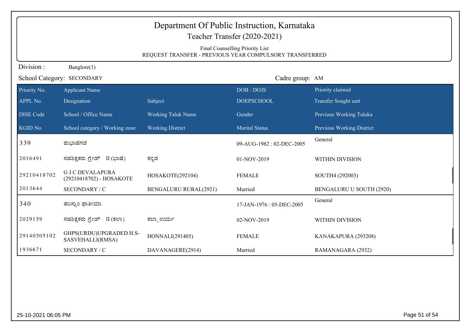| Department Of Public Instruction, Karnataka<br>Teacher Transfer (2020-2021) |                                                                                            |                              |                          |                           |  |  |
|-----------------------------------------------------------------------------|--------------------------------------------------------------------------------------------|------------------------------|--------------------------|---------------------------|--|--|
|                                                                             | Final Counselling Priority List<br>REQUEST TRANSFER - PREVIOUS YEAR COMPULSORY TRANSFERRED |                              |                          |                           |  |  |
|                                                                             | Division:<br>Banglore(1)                                                                   |                              |                          |                           |  |  |
|                                                                             | School Category: SECONDARY                                                                 |                              | Cadre group: AM          |                           |  |  |
| Priority No.                                                                | <b>Applicant Name</b>                                                                      |                              | DOB: DOJS                | Priority claimed          |  |  |
| APPL No.                                                                    | Designation                                                                                | Subject                      | <b>DOEPSCHOOL</b>        | Transfer Sought unit      |  |  |
| <b>DISE</b> Code                                                            | School / Office Name                                                                       | <b>Working Taluk Name</b>    | Gender                   | Previous Working Taluka   |  |  |
| KGID No.                                                                    | School category / Working zone                                                             | <b>Working District</b>      | <b>Marital Status</b>    | Previous Working District |  |  |
| 339                                                                         | ಶುಭಾಹೆಗಡೆ                                                                                  |                              | 09-AUG-1982: 02-DEC-2005 | General                   |  |  |
| 2016491                                                                     | ಸಹಶಿಕ್ಷಕರು ಗ್ರೇಡ್ II (ಭಾಷೆ)                                                                | ಕನ್ನಡ                        | 01-NOV-2019              | WITHIN DIVISION           |  |  |
| 29210418702                                                                 | <b>GJCDEVALAPURA</b><br>(29210418702) - HOSAKOTE                                           | HOSAKOTE(292104)             | <b>FEMALE</b>            | SOUTH4 (292003)           |  |  |
| 2013644                                                                     | SECONDARY / C                                                                              | <b>BENGALURU RURAL(2921)</b> | Married                  | BENGALURU U SOUTH (2920)  |  |  |
| 340                                                                         | ತಬಸ್ಸುಂ ಫಾತೀಮಾ                                                                             |                              | 17-JAN-1976: 05-DEC-2005 | General                   |  |  |
| 2029159                                                                     | ಸಹಶಿಕ್ಷಕರು ಗ್ರೇಡ್ II (ಕಲಾ)                                                                 | ಕಲಾ ಉರ್ದು                    | 02-NOV-2019              | WITHIN DIVISION           |  |  |
| 29140505102                                                                 | GHPS(URDU)UPGRADED H.S-<br>SASVEHALLI(RMSA)                                                | HONNALI(291405)              | <b>FEMALE</b>            | KANAKAPURA (293208)       |  |  |
| 1936671                                                                     | SECONDARY / C                                                                              | DAVANAGERE(2914)             | Married                  | RAMANAGARA (2932)         |  |  |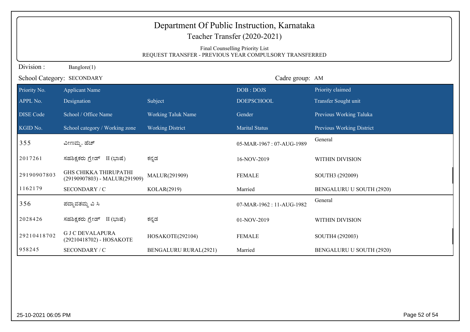| Department Of Public Instruction, Karnataka<br>Teacher Transfer (2020-2021)<br>Final Counselling Priority List<br>REQUEST TRANSFER - PREVIOUS YEAR COMPULSORY TRANSFERRED |                                                               |                              |                           |                           |  |
|---------------------------------------------------------------------------------------------------------------------------------------------------------------------------|---------------------------------------------------------------|------------------------------|---------------------------|---------------------------|--|
| Division:                                                                                                                                                                 | Banglore(1)                                                   |                              |                           |                           |  |
|                                                                                                                                                                           | School Category: SECONDARY                                    |                              | Cadre group: AM           |                           |  |
| Priority No.                                                                                                                                                              | <b>Applicant Name</b>                                         |                              | DOB: DOJS                 | Priority claimed          |  |
| APPL No.                                                                                                                                                                  | Designation                                                   | Subject                      | <b>DOEPSCHOOL</b>         | Transfer Sought unit      |  |
| <b>DISE</b> Code                                                                                                                                                          | School / Office Name                                          | <b>Working Taluk Name</b>    | Gender                    | Previous Working Taluka   |  |
| KGID No.                                                                                                                                                                  | School category / Working zone                                | <b>Working District</b>      | <b>Marital Status</b>     | Previous Working District |  |
| 355                                                                                                                                                                       | ವೀಣಮ್ಮ. ಹೆಚ್                                                  |                              | 05-MAR-1967: 07-AUG-1989  | General                   |  |
| 2017261                                                                                                                                                                   | ಸಹಶಿಕ್ಷಕರು ಗ್ರೇಡ್ II (ಭಾಷೆ)                                   | ಕನ್ನಡ                        | 16-NOV-2019               | WITHIN DIVISION           |  |
| 29190907803                                                                                                                                                               | <b>GHS CHIKKA THIRUPATHI</b><br>(29190907803) - MALUR(291909) | MALUR(291909)                | <b>FEMALE</b>             | SOUTH3 (292009)           |  |
| 1162179                                                                                                                                                                   | SECONDARY / C                                                 | KOLAR(2919)                  | Married                   | BENGALURU U SOUTH (2920)  |  |
| 356                                                                                                                                                                       | ಪದ್ತಾವತಮ್ಮ ವಿ ಸಿ                                              |                              | 07-MAR-1962 : 11-AUG-1982 | General                   |  |
| 2028426                                                                                                                                                                   | ಸಹಶಿಕ್ಷಕರು ಗ್ರೇಡ್ II (ಭಾಷೆ)                                   | ಕನ್ನಡ                        | 01-NOV-2019               | WITHIN DIVISION           |  |
| 29210418702                                                                                                                                                               | <b>G J C DEVALAPURA</b><br>(29210418702) - HOSAKOTE           | HOSAKOTE(292104)             | <b>FEMALE</b>             | SOUTH4 (292003)           |  |
| 958245                                                                                                                                                                    | SECONDARY / C                                                 | <b>BENGALURU RURAL(2921)</b> | Married                   | BENGALURU U SOUTH (2920)  |  |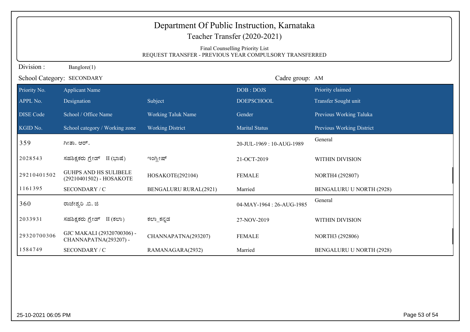|                  | Department Of Public Instruction, Karnataka<br>Teacher Transfer (2020-2021)                |                              |                           |                                 |  |  |
|------------------|--------------------------------------------------------------------------------------------|------------------------------|---------------------------|---------------------------------|--|--|
|                  | Final Counselling Priority List<br>REQUEST TRANSFER - PREVIOUS YEAR COMPULSORY TRANSFERRED |                              |                           |                                 |  |  |
| Division:        | Banglore(1)                                                                                |                              |                           |                                 |  |  |
|                  | School Category: SECONDARY                                                                 |                              | Cadre group: AM           |                                 |  |  |
| Priority No.     | <b>Applicant Name</b>                                                                      |                              | DOB: DOJS                 | Priority claimed                |  |  |
| APPL No.         | Designation                                                                                | Subject                      | <b>DOEPSCHOOL</b>         | Transfer Sought unit            |  |  |
| <b>DISE</b> Code | School / Office Name                                                                       | <b>Working Taluk Name</b>    | Gender                    | Previous Working Taluka         |  |  |
| KGID No.         | School category / Working zone                                                             | <b>Working District</b>      | <b>Marital Status</b>     | Previous Working District       |  |  |
| 359              | ಗೀತಾ. ಆರ್.                                                                                 |                              | 20-JUL-1969: 10-AUG-1989  | General                         |  |  |
| 2028543          | ಸಹಶಿಕ್ಷಕರು ಗ್ರೇಡ್ II (ಭಾಷೆ)                                                                | ಇಂಗ್ಲೀಷ್                     | 21-OCT-2019               | WITHIN DIVISION                 |  |  |
| 29210401502      | <b>GUHPS AND HS SULIBELE</b><br>(29210401502) - HOSAKOTE                                   | HOSAKOTE(292104)             | <b>FEMALE</b>             | NORTH4 (292807)                 |  |  |
| 1161395          | SECONDARY / C                                                                              | <b>BENGALURU RURAL(2921)</b> | Married                   | BENGALURU U NORTH (2928)        |  |  |
| 360              | ರಾಜೇಶ್ವರಿ .ಬಿ. ಜಿ                                                                          |                              | 04-MAY-1964 : 26-AUG-1985 | General                         |  |  |
| 2033931          | ಸಹಶಿಕ್ಷಕರು ಗ್ರೇಡ್ II (ಕಲಾ)                                                                 | ಕಲ್_ಕನ್ನಡ                    | 27-NOV-2019               | <b>WITHIN DIVISION</b>          |  |  |
| 29320700306      | GJC MAKALI (29320700306) -<br>CHANNAPATNA(293207) -                                        | CHANNAPATNA(293207)          | <b>FEMALE</b>             | NORTH3 (292806)                 |  |  |
| 1584749          | SECONDARY / C                                                                              | RAMANAGARA(2932)             | Married                   | <b>BENGALURU U NORTH (2928)</b> |  |  |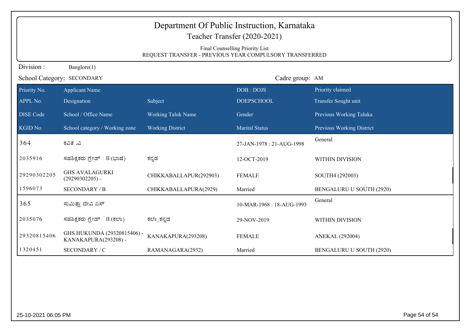| Department Of Public Instruction, Karnataka<br>Teacher Transfer (2020-2021) |                                                                                            |                           |                          |                           |  |  |
|-----------------------------------------------------------------------------|--------------------------------------------------------------------------------------------|---------------------------|--------------------------|---------------------------|--|--|
|                                                                             | Final Counselling Priority List<br>REQUEST TRANSFER - PREVIOUS YEAR COMPULSORY TRANSFERRED |                           |                          |                           |  |  |
| Division:<br>Banglore(1)                                                    |                                                                                            |                           |                          |                           |  |  |
|                                                                             | School Category: SECONDARY                                                                 |                           | Cadre group: AM          |                           |  |  |
| Priority No.                                                                | <b>Applicant Name</b>                                                                      |                           | DOB: DOJS                | Priority claimed          |  |  |
| APPL No.                                                                    | Designation                                                                                | Subject                   | <b>DOEPSCHOOL</b>        | Transfer Sought unit      |  |  |
| <b>DISE Code</b>                                                            | School / Office Name                                                                       | <b>Working Taluk Name</b> | Gender                   | Previous Working Taluka   |  |  |
| KGID No.                                                                    | School category / Working zone                                                             | <b>Working District</b>   | <b>Marital Status</b>    | Previous Working District |  |  |
| 364                                                                         | ಕವಿತ .ವಿ                                                                                   |                           | 27-JAN-1978: 21-AUG-1998 | General                   |  |  |
| 2035916                                                                     | ಸಹಶಿಕ್ಷಕರು ಗ್ರೇಡ್ II (ಭಾಷೆ)                                                                | ಕನ್ನಡ                     | 12-OCT-2019              | WITHIN DIVISION           |  |  |
| 29290302205                                                                 | <b>GHS AVALAGURKI</b><br>$(29290302205)$ -                                                 | CHIKKABALLAPUR(292903)    | <b>FEMALE</b>            | SOUTH4 (292003)           |  |  |
| 1596073                                                                     | <b>SECONDARY / B</b>                                                                       | CHIKKABALLAPURA(2929)     | Married                  | BENGALURU U SOUTH (2920)  |  |  |
| 365                                                                         | ಸುಮಿತ್ರಾ ದೇವಿ ಎಸ್                                                                          |                           | 10-MAR-1968: 18-AUG-1993 | General                   |  |  |
| 2035076                                                                     | ಸಹಶಿಕ್ಷಕರು ಗ್ರೇಡ್ II (ಕಲಾ)                                                                 | ಕಲ್_ಕನ್ನಡ                 | 29-NOV-2019              | WITHIN DIVISION           |  |  |
| 29320815406                                                                 | GHS HUKUNDA (29320815406) -<br>KANAKAPURA(293208) -                                        | KANAKAPURA(293208)        | <b>FEMALE</b>            | <b>ANEKAL (292004)</b>    |  |  |
| 1320451                                                                     | SECONDARY / C                                                                              | RAMANAGARA(2932)          | Married                  | BENGALURU U SOUTH (2920)  |  |  |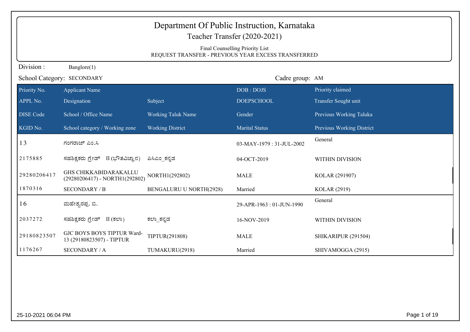|                  | Department Of Public Instruction, Karnataka<br>Teacher Transfer (2020-2021)            |                           |                          |                           |  |  |
|------------------|----------------------------------------------------------------------------------------|---------------------------|--------------------------|---------------------------|--|--|
|                  | Final Counselling Priority List<br>REQUEST TRANSFER - PREVIOUS YEAR EXCESS TRANSFERRED |                           |                          |                           |  |  |
| Division:        | Banglore(1)                                                                            |                           |                          |                           |  |  |
|                  | School Category: SECONDARY                                                             |                           | Cadre group: AM          |                           |  |  |
| Priority No.     | <b>Applicant Name</b>                                                                  |                           | DOB: DOJS                | Priority claimed          |  |  |
| APPL No.         | Designation                                                                            | Subject                   | <b>DOEPSCHOOL</b>        | Transfer Sought unit      |  |  |
| <b>DISE Code</b> | School / Office Name                                                                   | <b>Working Taluk Name</b> | Gender                   | Previous Working Taluka   |  |  |
| KGID No.         | School category / Working zone                                                         | <b>Working District</b>   | <b>Marital Status</b>    | Previous Working District |  |  |
| 13               | ಗಂಗರಾಜ್ ಎಂ.ಸಿ                                                                          |                           | 03-MAY-1979: 31-JUL-2002 | General                   |  |  |
| 2175885          | ಸಹಶಿಕ್ಷಕರು ಗ್ರೇಡ್ II (ಭೌತವಿಜ್ಞಾನ)                                                      | ಪಿಸಿಎಂ ಕನ್ನಡ              | 04-OCT-2019              | WITHIN DIVISION           |  |  |
| 29280206417      | <b>GHS CHIKKABIDARAKALLU</b><br>(29280206417) - NORTH1(292802)                         | NORTH1(292802)            | <b>MALE</b>              | KOLAR (291907)            |  |  |
| 1870316          | <b>SECONDARY / B</b>                                                                   | BENGALURU U NORTH(2928)   | Married                  | <b>KOLAR (2919)</b>       |  |  |
| 16               | ಮಹೇಶ್ವರಪ್ಪ. ಬಿ.                                                                        |                           | 29-APR-1963: 01-JUN-1990 | General                   |  |  |
| 2037272          | ಸಹಶಿಕ್ಷಕರು ಗ್ರೇಡ್ II (ಕಲಾ)                                                             | ಕಲ್_ಕನ್ನಡ                 | 16-NOV-2019              | WITHIN DIVISION           |  |  |
| 29180823507      | GJC BOYS BOYS TIPTUR Ward-<br>13 (29180823507) - TIPTUR                                | TIPTUR(291808)            | <b>MALE</b>              | SHIKARIPUR (291504)       |  |  |
| 1176267          | <b>SECONDARY / A</b>                                                                   | TUMAKURU(2918)            | Married                  | SHIVAMOGGA (2915)         |  |  |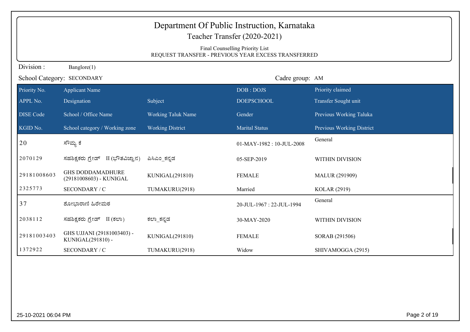|                  | Department Of Public Instruction, Karnataka<br>Teacher Transfer (2020-2021)<br>Final Counselling Priority List<br>REQUEST TRANSFER - PREVIOUS YEAR EXCESS TRANSFERRED |                           |                          |                           |  |
|------------------|-----------------------------------------------------------------------------------------------------------------------------------------------------------------------|---------------------------|--------------------------|---------------------------|--|
| Division:        | Banglore(1)                                                                                                                                                           |                           |                          |                           |  |
|                  | Cadre group: AM<br>School Category: SECONDARY                                                                                                                         |                           |                          |                           |  |
| Priority No.     | <b>Applicant Name</b>                                                                                                                                                 |                           | DOB: DOJS                | Priority claimed          |  |
| APPL No.         | Designation                                                                                                                                                           | Subject                   | <b>DOEPSCHOOL</b>        | Transfer Sought unit      |  |
| <b>DISE Code</b> | School / Office Name                                                                                                                                                  | <b>Working Taluk Name</b> | Gender                   | Previous Working Taluka   |  |
| KGID No.         | School category / Working zone                                                                                                                                        | <b>Working District</b>   | <b>Marital Status</b>    | Previous Working District |  |
| 20               | ಸೌಮ್ಯ ಕೆ                                                                                                                                                              |                           | 01-MAY-1982: 10-JUL-2008 | General                   |  |
| 2070129          | ಸಹಶಿಕ್ಷಕರು ಗ್ರೇಡ್ II (ಭೌತವಿಜ್ಞಾನ)                                                                                                                                     | ಪಿಸಿಎಂ ಕನ್ನಡ              | 05-SEP-2019              | WITHIN DIVISION           |  |
| 29181008603      | <b>GHS DODDAMADHURE</b><br>(29181008603) - KUNIGAL                                                                                                                    | KUNIGAL(291810)           | <b>FEMALE</b>            | MALUR (291909)            |  |
| 2325773          | SECONDARY / C                                                                                                                                                         | TUMAKURU(2918)            | Married                  | KOLAR (2919)              |  |
| 37               | ಶೋಭಾರಾಣಿ ಹಿರೇಮಠ                                                                                                                                                       |                           | 20-JUL-1967: 22-JUL-1994 | General                   |  |
| 2038112          | ಸಹಶಿಕ್ಷಕರು ಗ್ರೇಡ್ II (ಕಲಾ)                                                                                                                                            | ಕಲ್_ಕನ್ನಡ                 | 30-MAY-2020              | WITHIN DIVISION           |  |
| 29181003403      | GHS UJJANI (29181003403) -<br>KUNIGAL(291810) -                                                                                                                       | KUNIGAL(291810)           | <b>FEMALE</b>            | SORAB (291506)            |  |
| 1372922          | SECONDARY / C                                                                                                                                                         | TUMAKURU(2918)            | Widow                    | SHIVAMOGGA (2915)         |  |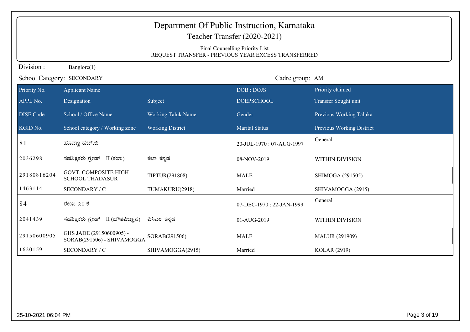| Department Of Public Instruction, Karnataka<br>Teacher Transfer (2020-2021)<br>Final Counselling Priority List<br>REQUEST TRANSFER - PREVIOUS YEAR EXCESS TRANSFERRED |                                                        |                           |                          |                           |  |
|-----------------------------------------------------------------------------------------------------------------------------------------------------------------------|--------------------------------------------------------|---------------------------|--------------------------|---------------------------|--|
| Division:                                                                                                                                                             | Banglore(1)                                            |                           |                          |                           |  |
| School Category: SECONDARY                                                                                                                                            |                                                        |                           | Cadre group: AM          |                           |  |
| Priority No.                                                                                                                                                          | <b>Applicant Name</b>                                  |                           | DOB: DOJS                | Priority claimed          |  |
| APPL No.                                                                                                                                                              | Designation                                            | Subject                   | <b>DOEPSCHOOL</b>        | Transfer Sought unit      |  |
| <b>DISE Code</b>                                                                                                                                                      | School / Office Name                                   | <b>Working Taluk Name</b> | Gender                   | Previous Working Taluka   |  |
| KGID No.                                                                                                                                                              | School category / Working zone                         | <b>Working District</b>   | <b>Marital Status</b>    | Previous Working District |  |
| 81                                                                                                                                                                    | ಹೂವಣ್ಣ ಹೆಚ್.ಬಿ                                         |                           | 20-JUL-1970: 07-AUG-1997 | General                   |  |
| 2036298                                                                                                                                                               | ಸಹಶಿಕ್ಷಕರು ಗ್ರೇಡ್ II (ಕಲಾ)                             | ಕಲ್_ಕನ್ನಡ                 | 08-NOV-2019              | WITHIN DIVISION           |  |
| 29180816204                                                                                                                                                           | <b>GOVT. COMPOSITE HIGH</b><br><b>SCHOOL THADASUR</b>  | TIPTUR(291808)            | <b>MALE</b>              | SHIMOGA (291505)          |  |
| 1463114                                                                                                                                                               | SECONDARY / C                                          | TUMAKURU(2918)            | Married                  | SHIVAMOGGA (2915)         |  |
| 84                                                                                                                                                                    | ರೇಣು ಎಂ ಕೆ                                             |                           | 07-DEC-1970: 22-JAN-1999 | General                   |  |
| 2041439                                                                                                                                                               | ಸಹಶಿಕ್ಷಕರು ಗ್ರೇಡ್ II (ಭೌತವಿಜ್ಞಾನ)                      | ಪಿಸಿಎಂ ಕನ್ನಡ              | 01-AUG-2019              | WITHIN DIVISION           |  |
| 29150600905                                                                                                                                                           | GHS JADE (29150600905) -<br>SORAB(291506) - SHIVAMOGGA | SORAB(291506)             | <b>MALE</b>              | MALUR (291909)            |  |
| 1620159                                                                                                                                                               | SECONDARY / C                                          | SHIVAMOGGA(2915)          | Married                  | KOLAR (2919)              |  |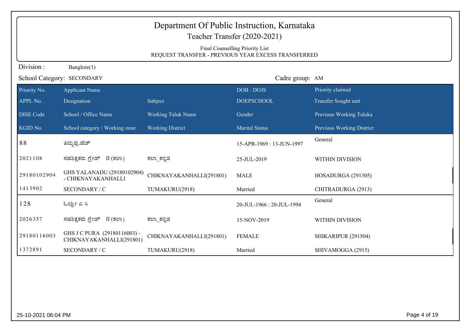| Department Of Public Instruction, Karnataka<br>Teacher Transfer (2020-2021)            |                                                          |                           |                          |                           |  |  |
|----------------------------------------------------------------------------------------|----------------------------------------------------------|---------------------------|--------------------------|---------------------------|--|--|
| Final Counselling Priority List<br>REQUEST TRANSFER - PREVIOUS YEAR EXCESS TRANSFERRED |                                                          |                           |                          |                           |  |  |
| Division:                                                                              | Banglore(1)                                              |                           |                          |                           |  |  |
| School Category: SECONDARY                                                             |                                                          |                           | Cadre group: AM          |                           |  |  |
| Priority No.                                                                           | <b>Applicant Name</b>                                    |                           | DOB: DOJS                | Priority claimed          |  |  |
| APPL No.                                                                               | Designation                                              | Subject                   | <b>DOEPSCHOOL</b>        | Transfer Sought unit      |  |  |
| <b>DISE Code</b>                                                                       | School / Office Name                                     | <b>Working Taluk Name</b> | Gender                   | Previous Working Taluka   |  |  |
| KGID No.                                                                               | School category / Working zone                           | <b>Working District</b>   | <b>Marital Status</b>    | Previous Working District |  |  |
| 88                                                                                     | ತಿಮ್ಮಪ್ಪ.ಹೆಚ್                                            |                           | 15-APR-1969: 13-JUN-1997 | General                   |  |  |
| 2021108                                                                                | ಸಹಶಿಕ್ಷಕರು ಗ್ರೇಡ್ II (ಕಲಾ)                               | ಕಲ್_ಕನ್ನಡ                 | 25-JUL-2019              | WITHIN DIVISION           |  |  |
| 29180102904                                                                            | GHS YALANADU (29180102904)<br>- CHIKNAYAKANHALLI         | CHIKNAYAKANHALLI(291801)  | <b>MALE</b>              | HOSADURGA (291305)        |  |  |
| 1413902                                                                                | SECONDARY / C                                            | TUMAKURU(2918)            | Married                  | CHITRADURGA (2913)        |  |  |
| 128                                                                                    | ಓಂಶ್ರೀ ಎ ಸಿ                                              |                           | 20-JUL-1966: 20-JUL-1994 | General                   |  |  |
| 2026357                                                                                | ಸಹಶಿಕ್ಷಕರು ಗ್ರೇಡ್ II (ಕಲಾ)                               | ಕಲ್_ಕನ್ನಡ                 | 15-NOV-2019              | WITHIN DIVISION           |  |  |
| 29180116003                                                                            | GHS J C PURA (29180116003) -<br>CHIKNAYAKANHALLI(291801) | CHIKNAYAKANHALLI(291801)  | <b>FEMALE</b>            | SHIKARIPUR (291504)       |  |  |
| 1372891                                                                                | SECONDARY / C                                            | TUMAKURU(2918)            | Married                  | SHIVAMOGGA (2915)         |  |  |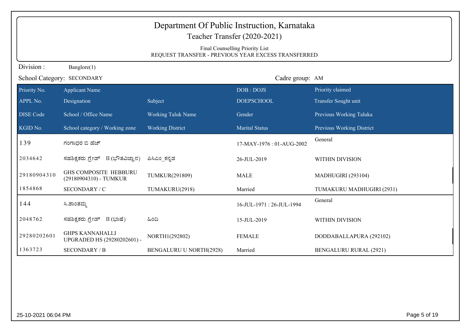| Department Of Public Instruction, Karnataka<br>Teacher Transfer (2020-2021)<br>Final Counselling Priority List<br>REQUEST TRANSFER - PREVIOUS YEAR EXCESS TRANSFERRED |                                                       |                                |                          |                               |  |
|-----------------------------------------------------------------------------------------------------------------------------------------------------------------------|-------------------------------------------------------|--------------------------------|--------------------------|-------------------------------|--|
| Division:                                                                                                                                                             | Banglore(1)                                           |                                |                          |                               |  |
|                                                                                                                                                                       | School Category: SECONDARY                            |                                | Cadre group: AM          |                               |  |
| Priority No.                                                                                                                                                          | <b>Applicant Name</b>                                 |                                | DOB: DOJS                | Priority claimed              |  |
| APPL No.                                                                                                                                                              | Designation                                           | Subject                        | <b>DOEPSCHOOL</b>        | Transfer Sought unit          |  |
| <b>DISE Code</b>                                                                                                                                                      | School / Office Name                                  | <b>Working Taluk Name</b>      | Gender                   | Previous Working Taluka       |  |
| KGID No.                                                                                                                                                              | School category / Working zone                        | <b>Working District</b>        | <b>Marital Status</b>    | Previous Working District     |  |
| 139                                                                                                                                                                   | ಗಂಗಾಧರ ಬಿ ಹೆಚ್                                        |                                | 17-MAY-1976: 01-AUG-2002 | General                       |  |
| 2034642                                                                                                                                                               | ಸಹಶಿಕ್ಷಕರು ಗ್ರೇಡ್ II (ಭೌತವಿಜ್ಞಾನ)                     | ಪಿಸಿಎಂ ಕನ್ನಡ                   | 26-JUL-2019              | WITHIN DIVISION               |  |
| 29180904310                                                                                                                                                           | GHS COMPOSITE HEBBURU<br>(29180904310) - TUMKUR       | TUMKUR(291809)                 | <b>MALE</b>              | MADHUGIRI (293104)            |  |
| 1854868                                                                                                                                                               | SECONDARY / C                                         | TUMAKURU(2918)                 | Married                  | TUMAKURU MADHUGIRI (2931)     |  |
| 144                                                                                                                                                                   | ಸಿ.ಶಾಂತಮ್ಮ                                            |                                | 16-JUL-1971: 26-JUL-1994 | General                       |  |
| 2048762                                                                                                                                                               | ಸಹಶಿಕ್ಷಕರು ಗ್ರೇಡ್ II (ಭಾಷೆ)                           | ಹಿಂದಿ                          | 15-JUL-2019              | <b>WITHIN DIVISION</b>        |  |
| 29280202601                                                                                                                                                           | <b>GHPS KANNAHALLI</b><br>UPGRADED HS (29280202601) - | NORTH1(292802)                 | <b>FEMALE</b>            | DODDABALLAPURA (292102)       |  |
| 1363723                                                                                                                                                               | <b>SECONDARY / B</b>                                  | <b>BENGALURU U NORTH(2928)</b> | Married                  | <b>BENGALURU RURAL (2921)</b> |  |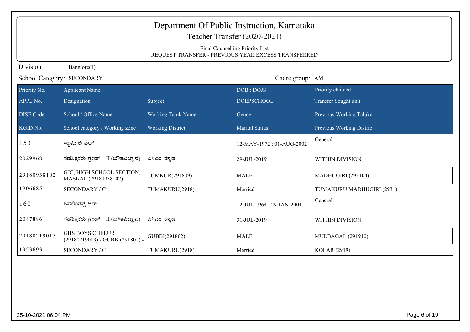|                  | Department Of Public Instruction, Karnataka<br>Teacher Transfer (2020-2021)<br>Final Counselling Priority List<br>REQUEST TRANSFER - PREVIOUS YEAR EXCESS TRANSFERRED |                           |                          |                           |  |
|------------------|-----------------------------------------------------------------------------------------------------------------------------------------------------------------------|---------------------------|--------------------------|---------------------------|--|
| Division:        | Banglore(1)                                                                                                                                                           |                           |                          |                           |  |
|                  | School Category: SECONDARY                                                                                                                                            |                           | Cadre group: AM          |                           |  |
| Priority No.     | <b>Applicant Name</b>                                                                                                                                                 |                           | DOB: DOJS                | Priority claimed          |  |
| APPL No.         | Designation                                                                                                                                                           | Subject                   | <b>DOEPSCHOOL</b>        | Transfer Sought unit      |  |
| <b>DISE Code</b> | School / Office Name                                                                                                                                                  | <b>Working Taluk Name</b> | Gender                   | Previous Working Taluka   |  |
| KGID No.         | School category / Working zone                                                                                                                                        | <b>Working District</b>   | <b>Marital Status</b>    | Previous Working District |  |
| 153              | ಸ್ವಾಮಿ ಬಿ ಎಲ್                                                                                                                                                         |                           | 12-MAY-1972: 01-AUG-2002 | General                   |  |
| 2029968          | II (ಭೌತವಿಜ್ಞಾನ)<br>ಸಹಶಿಕ್ಷಕರು ಗ್ರೇಡ್                                                                                                                                  | ಪಿಸಿಎಂ ಕನ್ನಡ              | 29-JUL-2019              | <b>WITHIN DIVISION</b>    |  |
| 29180938102      | GJC, HIGH SCHOOL SECTION,<br>MASKAL (29180938102) -                                                                                                                   | TUMKUR(291809)            | <b>MALE</b>              | MADHUGIRI (293104)        |  |
| 1906685          | SECONDARY / C                                                                                                                                                         | TUMAKURU(2918)            | Married                  | TUMAKURU MADHUGIRI (2931) |  |
| 160              | ಶಿವಲಿಂಗಪ್ಪ ಆರ್                                                                                                                                                        |                           | 12-JUL-1964: 29-JAN-2004 | General                   |  |
| 2047886          | ಸಹಶಿಕ್ಷಕರು ಗ್ರೇಡ್ II (ಭೌತವಿಜ್ಞಾನ)                                                                                                                                     | ಪಿಸಿಎಂ ಕನ್ನಡ              | 31-JUL-2019              | WITHIN DIVISION           |  |
| 29180219013      | <b>GHS BOYS CHELUR</b><br>(29180219013) - GUBBI(291802) -                                                                                                             | GUBBI(291802)             | <b>MALE</b>              | <b>MULBAGAL (291910)</b>  |  |
| 1953693          | SECONDARY / C                                                                                                                                                         | TUMAKURU(2918)            | Married                  | KOLAR (2919)              |  |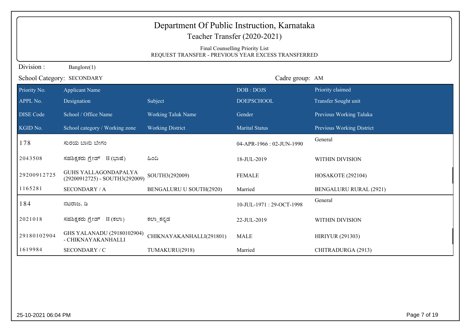|                                               | Department Of Public Instruction, Karnataka<br>Teacher Transfer (2020-2021)            |                                |                          |                               |  |  |
|-----------------------------------------------|----------------------------------------------------------------------------------------|--------------------------------|--------------------------|-------------------------------|--|--|
|                                               | Final Counselling Priority List<br>REQUEST TRANSFER - PREVIOUS YEAR EXCESS TRANSFERRED |                                |                          |                               |  |  |
| Division:                                     | Banglore(1)                                                                            |                                |                          |                               |  |  |
| Cadre group: AM<br>School Category: SECONDARY |                                                                                        |                                |                          |                               |  |  |
| Priority No.                                  | <b>Applicant Name</b>                                                                  |                                | DOB: DOJS                | Priority claimed              |  |  |
| APPL No.                                      | Designation                                                                            | Subject                        | <b>DOEPSCHOOL</b>        | Transfer Sought unit          |  |  |
| <b>DISE Code</b>                              | School / Office Name                                                                   | Working Taluk Name             | Gender                   | Previous Working Taluka       |  |  |
| KGID No.                                      | School category / Working zone                                                         | <b>Working District</b>        | <b>Marital Status</b>    | Previous Working District     |  |  |
| 178                                           | ಸುರಯ ಬಾನು ಬೇಗಂ                                                                         |                                | 04-APR-1966: 02-JUN-1990 | General                       |  |  |
| 2043508                                       | ಸಹಶಿಕ್ಷಕರು ಗ್ರೇಡ್ II (ಭಾಷೆ)                                                            | ಹಿಂದಿ                          | 18-JUL-2019              | WITHIN DIVISION               |  |  |
| 29200912725                                   | GUHS YALLAGONDAPALYA<br>(29200912725) - SOUTH3(292009)                                 | SOUTH3(292009)                 | <b>FEMALE</b>            | HOSAKOTE (292104)             |  |  |
| 1165281                                       | <b>SECONDARY / A</b>                                                                   | <b>BENGALURU U SOUTH(2920)</b> | Married                  | <b>BENGALURU RURAL (2921)</b> |  |  |
| 184                                           | ನಟರಾಜ. ಡಿ                                                                              |                                | 10-JUL-1971: 29-OCT-1998 | General                       |  |  |
| 2021018                                       | ಸಹಶಿಕ್ಷಕರು ಗ್ರೇಡ್ II (ಕಲಾ)                                                             | ಕಲ್_ಕನ್ನಡ                      | 22-JUL-2019              | WITHIN DIVISION               |  |  |
| 29180102904                                   | GHS YALANADU (29180102904)<br>- CHIKNAYAKANHALLI                                       | CHIKNAYAKANHALLI(291801)       | <b>MALE</b>              | <b>HIRIYUR (291303)</b>       |  |  |
| 1619984                                       | SECONDARY / C                                                                          | TUMAKURU(2918)                 | Married                  | CHITRADURGA (2913)            |  |  |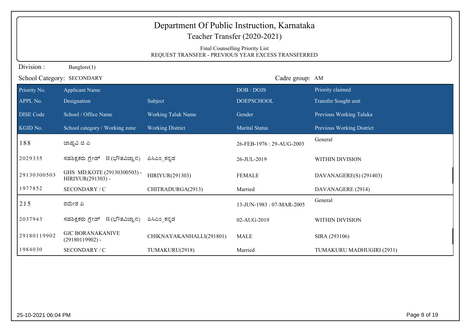|                  | Department Of Public Instruction, Karnataka<br>Teacher Transfer (2020-2021)<br>Final Counselling Priority List<br>REQUEST TRANSFER - PREVIOUS YEAR EXCESS TRANSFERRED |                           |                          |                           |  |
|------------------|-----------------------------------------------------------------------------------------------------------------------------------------------------------------------|---------------------------|--------------------------|---------------------------|--|
| Division:        | Banglore(1)                                                                                                                                                           |                           |                          |                           |  |
|                  | School Category: SECONDARY                                                                                                                                            |                           | Cadre group: AM          |                           |  |
| Priority No.     | <b>Applicant Name</b>                                                                                                                                                 |                           | DOB: DOJS                | Priority claimed          |  |
| APPL No.         | Designation                                                                                                                                                           | Subject                   | <b>DOEPSCHOOL</b>        | Transfer Sought unit      |  |
| <b>DISE</b> Code | School / Office Name                                                                                                                                                  | <b>Working Taluk Name</b> | Gender                   | Previous Working Taluka   |  |
| KGID No.         | School category / Working zone                                                                                                                                        | <b>Working District</b>   | <b>Marital Status</b>    | Previous Working District |  |
| 188              | ಜಾಹೃವಿ ಜಿ ಎ                                                                                                                                                           |                           | 26-FEB-1976: 29-AUG-2003 | General                   |  |
| 2029335          | ಸಹಶಿಕ್ಷಕರು ಗ್ರೇಡ್ II (ಭೌತವಿಜ್ಞಾನ)                                                                                                                                     | ಪಿಸಿಎಂ ಕನ್ನಡ              | 26-JUL-2019              | WITHIN DIVISION           |  |
| 29130300503      | GHS MD.KOTE (29130300503) -<br>HIRIYUR(291303) -                                                                                                                      | HIRIYUR(291303)           | <b>FEMALE</b>            | DAVANAGERE(S) (291403)    |  |
| 1977852          | SECONDARY / C                                                                                                                                                         | CHITRADURGA(2913)         | Married                  | DAVANAGERE (2914)         |  |
| 215              | ರಮೇಶ ಪಿ                                                                                                                                                               |                           | 13-JUN-1983: 07-MAR-2005 | General                   |  |
| 2037943          | ಸಹಶಿಕ್ಷಕರು ಗ್ರೇಡ್ II (ಭೌತವಿಜ್ಞಾನ)                                                                                                                                     | ಪಿಸಿಎಂ_ಕನ್ನಡ              | 02-AUG-2019              | WITHIN DIVISION           |  |
| 29180119902      | <b>GJC BORANAKANIVE</b><br>$(29180119902)$ -                                                                                                                          | CHIKNAYAKANHALLI(291801)  | <b>MALE</b>              | SIRA (293106)             |  |
| 1984030          | SECONDARY / C                                                                                                                                                         | TUMAKURU(2918)            | Married                  | TUMAKURU MADHUGIRI (2931) |  |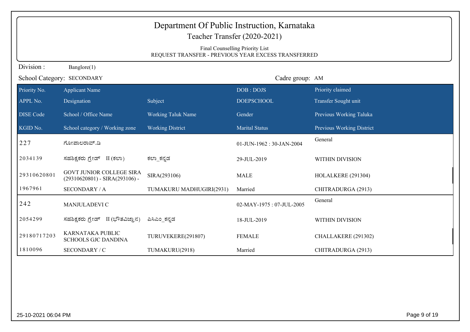| Department Of Public Instruction, Karnataka<br>Teacher Transfer (2020-2021)<br>Final Counselling Priority List<br>REQUEST TRANSFER - PREVIOUS YEAR EXCESS TRANSFERRED |                                                                     |                           |                          |                                  |
|-----------------------------------------------------------------------------------------------------------------------------------------------------------------------|---------------------------------------------------------------------|---------------------------|--------------------------|----------------------------------|
| Division:                                                                                                                                                             | Banglore(1)                                                         |                           |                          |                                  |
|                                                                                                                                                                       | School Category: SECONDARY                                          |                           | Cadre group: AM          |                                  |
| Priority No.                                                                                                                                                          | <b>Applicant Name</b>                                               |                           | DOB: DOJS                | Priority claimed                 |
| APPL No.                                                                                                                                                              | Designation                                                         | Subject                   | <b>DOEPSCHOOL</b>        | Transfer Sought unit             |
| <b>DISE Code</b>                                                                                                                                                      | School / Office Name                                                | <b>Working Taluk Name</b> | Gender                   | Previous Working Taluka          |
| KGID No.                                                                                                                                                              | School category / Working zone                                      | <b>Working District</b>   | <b>Marital Status</b>    | <b>Previous Working District</b> |
| 227                                                                                                                                                                   | ಗೋಪಾಲರಾವ್.ಡಿ                                                        |                           | 01-JUN-1962: 30-JAN-2004 | General                          |
| 2034139                                                                                                                                                               | ಸಹಶಿಕ್ಷಕರು <u>ಗ್ರೇಡ್</u> II (ಕಲಾ)                                   | ಕಲಾ ಕನ್ನಡ                 | 29-JUL-2019              | WITHIN DIVISION                  |
| 29310620801                                                                                                                                                           | <b>GOVT JUNIOR COLLEGE SIRA</b><br>$(29310620801)$ - SIRA(293106) - | SIRA(293106)              | <b>MALE</b>              | HOLALKERE (291304)               |
| 1967961                                                                                                                                                               | <b>SECONDARY / A</b>                                                | TUMAKURU MADHUGIRI(2931)  | Married                  | CHITRADURGA (2913)               |
| 242                                                                                                                                                                   | MANJULADEVI C                                                       |                           | 02-MAY-1975: 07-JUL-2005 | General                          |
| 2054299                                                                                                                                                               | ಸಹಶಿಕ್ಷಕರು ಗ್ರೇಡ್ II (ಭೌತವಿಜ್ಞಾನ)                                   | ಪಿಸಿಎಂ ಕನ್ನಡ              | 18-JUL-2019              | WITHIN DIVISION                  |
| 29180717203                                                                                                                                                           | <b>KARNATAKA PUBLIC</b><br><b>SCHOOLS GJC DANDINA</b>               | TURUVEKERE(291807)        | <b>FEMALE</b>            | CHALLAKERE (291302)              |
| 1810096                                                                                                                                                               | SECONDARY / C                                                       | TUMAKURU(2918)            | Married                  | CHITRADURGA (2913)               |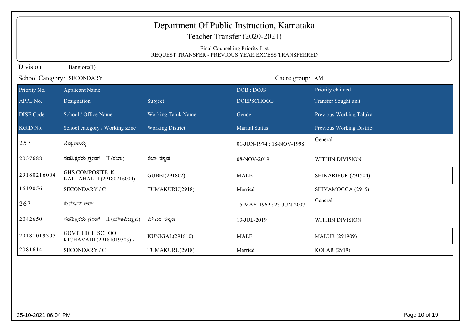|                  | Department Of Public Instruction, Karnataka<br>Teacher Transfer (2020-2021)<br>Final Counselling Priority List<br>REQUEST TRANSFER - PREVIOUS YEAR EXCESS TRANSFERRED |                           |                          |                                  |  |  |
|------------------|-----------------------------------------------------------------------------------------------------------------------------------------------------------------------|---------------------------|--------------------------|----------------------------------|--|--|
| Division:        | Banglore(1)                                                                                                                                                           |                           |                          |                                  |  |  |
|                  | School Category: SECONDARY                                                                                                                                            |                           | Cadre group: AM          |                                  |  |  |
| Priority No.     | <b>Applicant Name</b>                                                                                                                                                 |                           | DOB: DOJS                | Priority claimed                 |  |  |
| APPL No.         | Designation                                                                                                                                                           | Subject                   | <b>DOEPSCHOOL</b>        | Transfer Sought unit             |  |  |
| <b>DISE Code</b> | School / Office Name                                                                                                                                                  | <b>Working Taluk Name</b> | Gender                   | Previous Working Taluka          |  |  |
| KGID No.         | School category / Working zone                                                                                                                                        | <b>Working District</b>   | <b>Marital Status</b>    | <b>Previous Working District</b> |  |  |
| 257              | ಚಿಕ್ಯಾನಾಯ್ಡ                                                                                                                                                           |                           | 01-JUN-1974: 18-NOV-1998 | General                          |  |  |
| 2037688          | ಸಹಶಿಕ್ಷಕರು ಗ್ರೇಡ್ II (ಕಲಾ)                                                                                                                                            | ಕಲ್_ಕನ್ನಡ                 | 08-NOV-2019              | WITHIN DIVISION                  |  |  |
| 29180216004      | <b>GHS COMPOSITE K</b><br>KALLAHALLI (29180216004) -                                                                                                                  | GUBBI(291802)             | <b>MALE</b>              | SHIKARIPUR (291504)              |  |  |
| 1619056          | SECONDARY / C                                                                                                                                                         | TUMAKURU(2918)            | Married                  | SHIVAMOGGA (2915)                |  |  |
| 267              | ಕುಮಾರ್ ಆರ್                                                                                                                                                            |                           | 15-MAY-1969: 23-JUN-2007 | General                          |  |  |
| 2042650          | II (ಭೌತವಿಜ್ಞಾನ)<br>ಸಹಶಿಕ್ಷಕರು ಗ್ರೇಡ್                                                                                                                                  | ಪಿಸಿಎಂ_ಕನ್ನಡ              | 13-JUL-2019              | WITHIN DIVISION                  |  |  |
| 29181019303      | <b>GOVT. HIGH SCHOOL</b><br>KICHAVADI (29181019303) -                                                                                                                 | KUNIGAL(291810)           | <b>MALE</b>              | <b>MALUR (291909)</b>            |  |  |
| 2081614          | SECONDARY / C                                                                                                                                                         | TUMAKURU(2918)            | Married                  | KOLAR (2919)                     |  |  |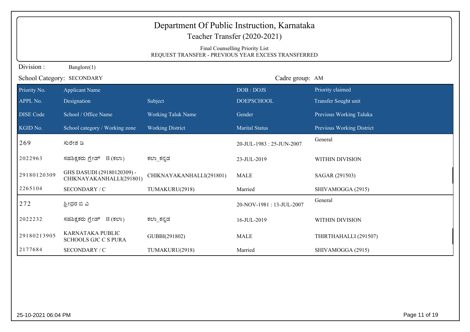| Department Of Public Instruction, Karnataka<br>Teacher Transfer (2020-2021)<br>Final Counselling Priority List<br>REQUEST TRANSFER - PREVIOUS YEAR EXCESS TRANSFERRED |                                                        |                           |                          |                           |  |
|-----------------------------------------------------------------------------------------------------------------------------------------------------------------------|--------------------------------------------------------|---------------------------|--------------------------|---------------------------|--|
| Division:                                                                                                                                                             | Banglore(1)                                            |                           |                          |                           |  |
|                                                                                                                                                                       | School Category: SECONDARY                             |                           | Cadre group: AM          |                           |  |
| Priority No.                                                                                                                                                          | <b>Applicant Name</b>                                  |                           | DOB: DOJS                | Priority claimed          |  |
| APPL No.                                                                                                                                                              | Designation                                            | Subject                   | <b>DOEPSCHOOL</b>        | Transfer Sought unit      |  |
| <b>DISE Code</b>                                                                                                                                                      | School / Office Name                                   | <b>Working Taluk Name</b> | Gender                   | Previous Working Taluka   |  |
| KGID No.                                                                                                                                                              | School category / Working zone                         | <b>Working District</b>   | <b>Marital Status</b>    | Previous Working District |  |
| 269                                                                                                                                                                   | ಸುರೇಶ ಡಿ                                               |                           | 20-JUL-1983: 25-JUN-2007 | General                   |  |
| 2022963                                                                                                                                                               | ಸಹಶಿಕ್ಷಕರು <u>ಗ್ರೇಡ್</u> II (ಕಲಾ)                      | ಕಲ್_ಕನ್ನಡ                 | 23-JUL-2019              | WITHIN DIVISION           |  |
| 29180120309                                                                                                                                                           | GHS DASUDI (29180120309) -<br>CHIKNAYAKANHALLI(291801) | CHIKNAYAKANHALLI(291801)  | <b>MALE</b>              | SAGAR (291503)            |  |
| 2265104                                                                                                                                                               | SECONDARY / C                                          | TUMAKURU(2918)            | Married                  | SHIVAMOGGA (2915)         |  |
| 272                                                                                                                                                                   | ಶ್ರೀಧರ ಬಿ ವಿ                                           |                           | 20-NOV-1981:13-JUL-2007  | General                   |  |
| 2022232                                                                                                                                                               | ಸಹಶಿಕ್ಷಕರು ಗ್ರೇಡ್ II (ಕಲಾ)                             | ಕಲ್_ಕನ್ನಡ                 | 16-JUL-2019              | WITHIN DIVISION           |  |
| 29180213905                                                                                                                                                           | KARNATAKA PUBLIC<br><b>SCHOOLS GJC C S PURA</b>        | GUBBI(291802)             | <b>MALE</b>              | THIRTHAHALLI (291507)     |  |
| 2177684                                                                                                                                                               | SECONDARY / C                                          | TUMAKURU(2918)            | Married                  | SHIVAMOGGA (2915)         |  |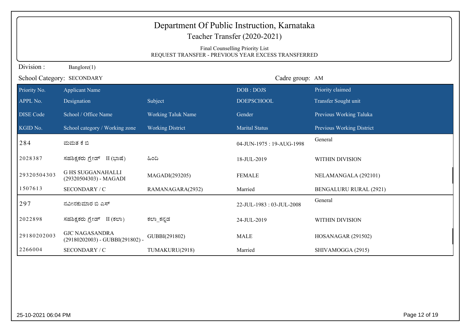| Department Of Public Instruction, Karnataka<br>Teacher Transfer (2020-2021)<br>Final Counselling Priority List<br>REQUEST TRANSFER - PREVIOUS YEAR EXCESS TRANSFERRED |                                                            |                           |                          |                               |  |
|-----------------------------------------------------------------------------------------------------------------------------------------------------------------------|------------------------------------------------------------|---------------------------|--------------------------|-------------------------------|--|
| Division:                                                                                                                                                             | Banglore(1)                                                |                           |                          |                               |  |
|                                                                                                                                                                       | School Category: SECONDARY                                 |                           | Cadre group: AM          |                               |  |
| Priority No.                                                                                                                                                          | <b>Applicant Name</b>                                      |                           | DOB: DOJS                | Priority claimed              |  |
| APPL No.                                                                                                                                                              | Designation                                                | Subject                   | <b>DOEPSCHOOL</b>        | Transfer Sought unit          |  |
| <b>DISE Code</b>                                                                                                                                                      | School / Office Name                                       | <b>Working Taluk Name</b> | Gender                   | Previous Working Taluka       |  |
| KGID No.                                                                                                                                                              | School category / Working zone                             | <b>Working District</b>   | <b>Marital Status</b>    | Previous Working District     |  |
| 284                                                                                                                                                                   | ಮಮತ ಕೆ ಬಿ                                                  |                           | 04-JUN-1975: 19-AUG-1998 | General                       |  |
| 2028387                                                                                                                                                               | ಸಹಶಿಕ್ಷಕರು ಗ್ರೇಡ್ II (ಭಾಷೆ)                                | ಹಿಂದಿ                     | 18-JUL-2019              | WITHIN DIVISION               |  |
| 29320504303                                                                                                                                                           | <b>G HS SUGGANAHALLI</b><br>(29320504303) - MAGADI         | MAGADI(293205)            | <b>FEMALE</b>            | NELAMANGALA (292101)          |  |
| 1507613                                                                                                                                                               | SECONDARY / C                                              | RAMANAGARA(2932)          | Married                  | <b>BENGALURU RURAL (2921)</b> |  |
| 297                                                                                                                                                                   | ನವೀನಕುಮಾರ ಬಿ ಎಸ್                                           |                           | 22-JUL-1983: 03-JUL-2008 | General                       |  |
| 2022898                                                                                                                                                               | ಸಹಶಿಕ್ಷಕರು ಗ್ರೇಡ್ II (ಕಲಾ)                                 | ಕಲ್_ಕನ್ನಡ                 | 24-JUL-2019              | <b>WITHIN DIVISION</b>        |  |
| 29180202003                                                                                                                                                           | <b>GJC NAGASANDRA</b><br>$(29180202003)$ - GUBBI(291802) - | GUBBI(291802)             | <b>MALE</b>              | <b>HOSANAGAR (291502)</b>     |  |
| 2266004                                                                                                                                                               | SECONDARY / C                                              | TUMAKURU(2918)            | Married                  | SHIVAMOGGA (2915)             |  |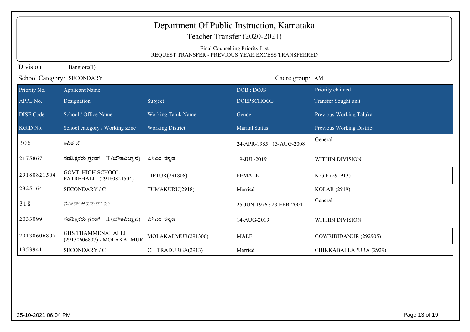| Department Of Public Instruction, Karnataka   |                                                                                        |                         |                              |                           |  |
|-----------------------------------------------|----------------------------------------------------------------------------------------|-------------------------|------------------------------|---------------------------|--|
|                                               |                                                                                        |                         | Teacher Transfer (2020-2021) |                           |  |
|                                               | Final Counselling Priority List<br>REQUEST TRANSFER - PREVIOUS YEAR EXCESS TRANSFERRED |                         |                              |                           |  |
| Division:                                     | Banglore(1)                                                                            |                         |                              |                           |  |
| Cadre group: AM<br>School Category: SECONDARY |                                                                                        |                         |                              |                           |  |
| Priority No.                                  | <b>Applicant Name</b>                                                                  |                         | DOB: DOJS                    | Priority claimed          |  |
| APPL No.                                      | Designation                                                                            | Subject                 | <b>DOEPSCHOOL</b>            | Transfer Sought unit      |  |
| <b>DISE Code</b>                              | School / Office Name                                                                   | Working Taluk Name      | Gender                       | Previous Working Taluka   |  |
| KGID No.                                      | School category / Working zone                                                         | <b>Working District</b> | <b>Marital Status</b>        | Previous Working District |  |
| 306                                           | ಕವಿತ ಜೆ                                                                                |                         | 24-APR-1985: 13-AUG-2008     | General                   |  |
| 2175867                                       | ಸಹಶಿಕ್ಷಕರು ಗ್ರೇಡ್ II (ಭೌತವಿಜ್ಞಾನ)                                                      | ಪಿಸಿಎಂ ಕನ್ನಡ            | 19-JUL-2019                  | WITHIN DIVISION           |  |
| 29180821504                                   | <b>GOVT. HIGH SCHOOL</b><br>PATREHALLI (29180821504) -                                 | TIPTUR(291808)          | <b>FEMALE</b>                | K G F (291913)            |  |
| 2325164                                       | SECONDARY / C                                                                          | TUMAKURU(2918)          | Married                      | KOLAR (2919)              |  |
| 318                                           | ನವೀದ್ ಅಹಮದ್ ಎಂ                                                                         |                         | 25-JUN-1976: 23-FEB-2004     | General                   |  |
| 2033099                                       | ಸಹಶಿಕ್ಷಕರು ಗ್ರೇಡ್ II (ಭೌತವಿಜ್ಞಾನ)                                                      | ಪಿಸಿಎಂ ಕನ್ನಡ            | 14-AUG-2019                  | WITHIN DIVISION           |  |
| 29130606807                                   | <b>GHS THAMMENAHALLI</b><br>(29130606807) - MOLAKALMUR                                 | MOLAKALMUR(291306)      | <b>MALE</b>                  | GOWRIBIDANUR (292905)     |  |
| 1953941                                       | SECONDARY / C                                                                          | CHITRADURGA(2913)       | Married                      | CHIKKABALLAPURA (2929)    |  |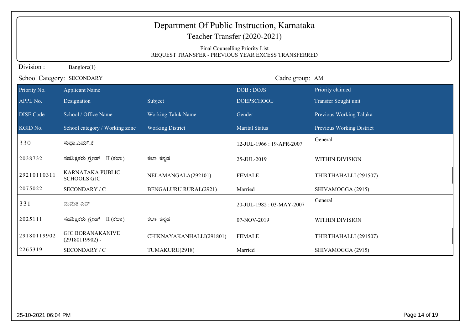| Department Of Public Instruction, Karnataka<br>Teacher Transfer (2020-2021)<br>Final Counselling Priority List<br>REQUEST TRANSFER - PREVIOUS YEAR EXCESS TRANSFERRED |                                              |                              |                          |                                  |  |
|-----------------------------------------------------------------------------------------------------------------------------------------------------------------------|----------------------------------------------|------------------------------|--------------------------|----------------------------------|--|
| Division:                                                                                                                                                             | Banglore(1)                                  |                              |                          |                                  |  |
|                                                                                                                                                                       | School Category: SECONDARY                   |                              | Cadre group: AM          |                                  |  |
| Priority No.                                                                                                                                                          | <b>Applicant Name</b>                        |                              | DOB: DOJS                | Priority claimed                 |  |
| APPL No.                                                                                                                                                              | Designation                                  | Subject                      | <b>DOEPSCHOOL</b>        | Transfer Sought unit             |  |
| <b>DISE Code</b>                                                                                                                                                      | School / Office Name                         | <b>Working Taluk Name</b>    | Gender                   | Previous Working Taluka          |  |
| KGID No.                                                                                                                                                              | School category / Working zone               | <b>Working District</b>      | <b>Marital Status</b>    | <b>Previous Working District</b> |  |
| 330                                                                                                                                                                   | ಸುಧಾ.ಎಮ್.ಕೆ                                  |                              | 12-JUL-1966: 19-APR-2007 | General                          |  |
| 2038732                                                                                                                                                               | ಸಹಶಿಕ್ಷಕರು ಗ್ರೇಡ್ II (ಕಲಾ)                   | ಕಲ್_ಕನ್ನಡ                    | 25-JUL-2019              | WITHIN DIVISION                  |  |
| 29210110311                                                                                                                                                           | KARNATAKA PUBLIC<br><b>SCHOOLS GJC</b>       | NELAMANGALA(292101)          | <b>FEMALE</b>            | THIRTHAHALLI (291507)            |  |
| 2075022                                                                                                                                                               | SECONDARY / C                                | <b>BENGALURU RURAL(2921)</b> | Married                  | SHIVAMOGGA (2915)                |  |
| 331                                                                                                                                                                   | ಮಮತ ಎನ್                                      |                              | 20-JUL-1982: 03-MAY-2007 | General                          |  |
| 2025111                                                                                                                                                               | ಸಹಶಿಕ್ಷಕರು ಗ್ರೇಡ್ II (ಕಲಾ)                   | ಕಲ್_ಕನ್ನಡ                    | 07-NOV-2019              | <b>WITHIN DIVISION</b>           |  |
| 29180119902                                                                                                                                                           | <b>GJC BORANAKANIVE</b><br>$(29180119902)$ - | CHIKNAYAKANHALLI(291801)     | <b>FEMALE</b>            | THIRTHAHALLI (291507)            |  |
| 2265319                                                                                                                                                               | SECONDARY / C                                | TUMAKURU(2918)               | Married                  | SHIVAMOGGA (2915)                |  |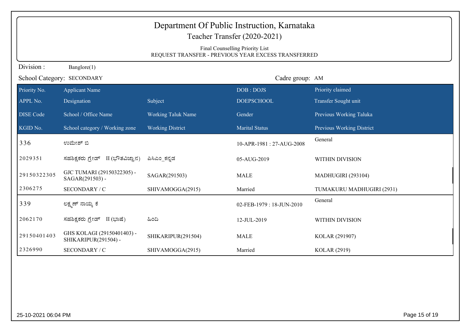| Department Of Public Instruction, Karnataka<br>Teacher Transfer (2020-2021)<br>Final Counselling Priority List<br>REQUEST TRANSFER - PREVIOUS YEAR EXCESS TRANSFERRED |                                                    |                           |                          |                           |  |  |
|-----------------------------------------------------------------------------------------------------------------------------------------------------------------------|----------------------------------------------------|---------------------------|--------------------------|---------------------------|--|--|
| Division:                                                                                                                                                             | Banglore(1)                                        |                           |                          |                           |  |  |
|                                                                                                                                                                       | School Category: SECONDARY                         |                           | Cadre group: AM          |                           |  |  |
| Priority No.                                                                                                                                                          | <b>Applicant Name</b>                              |                           | DOB: DOJS                | Priority claimed          |  |  |
| APPL No.                                                                                                                                                              | Designation                                        | Subject                   | <b>DOEPSCHOOL</b>        | Transfer Sought unit      |  |  |
| <b>DISE Code</b>                                                                                                                                                      | School / Office Name                               | <b>Working Taluk Name</b> | Gender                   | Previous Working Taluka   |  |  |
| KGID No.                                                                                                                                                              | School category / Working zone                     | <b>Working District</b>   | <b>Marital Status</b>    | Previous Working District |  |  |
| 336                                                                                                                                                                   | ಉಮೇಶ್ ಬಿ                                           |                           | 10-APR-1981: 27-AUG-2008 | General                   |  |  |
| 2029351                                                                                                                                                               | II (ಭೌತವಿಜ್ಞಾನ)<br>ಸಹಶಿಕ್ಷಕರು ಗ್ರೇಡ್               | ಪಿಸಿಎಂ ಕನ್ನಡ              | 05-AUG-2019              | WITHIN DIVISION           |  |  |
| 29150322305                                                                                                                                                           | GJC TUMARI (29150322305) -<br>SAGAR(291503) -      | SAGAR(291503)             | <b>MALE</b>              | MADHUGIRI (293104)        |  |  |
| 2306275                                                                                                                                                               | SECONDARY / C                                      | SHIVAMOGGA(2915)          | Married                  | TUMAKURU MADHUGIRI (2931) |  |  |
| 339                                                                                                                                                                   | ಲಕ್ಷ್ಮಣ್ ನಾಯ್ಕ ಕೆ                                  |                           | 02-FEB-1979: 18-JUN-2010 | General                   |  |  |
| 2062170                                                                                                                                                               | ಸಹಶಿಕ್ಷಕರು ಗ್ರೇಡ್ II (ಭಾಷೆ)                        | ಹಿಂದಿ                     | 12-JUL-2019              | WITHIN DIVISION           |  |  |
| 29150401403                                                                                                                                                           | GHS KOLAGI (29150401403) -<br>SHIKARIPUR(291504) - | SHIKARIPUR(291504)        | <b>MALE</b>              | KOLAR (291907)            |  |  |
| 2326990                                                                                                                                                               | SECONDARY / C                                      | SHIVAMOGGA(2915)          | Married                  | <b>KOLAR (2919)</b>       |  |  |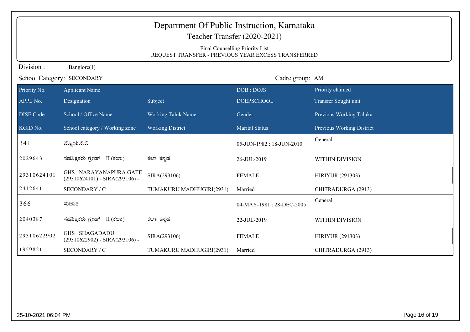| Teacher Transfer (2020-2021)<br>Final Counselling Priority List<br>REQUEST TRANSFER - PREVIOUS YEAR EXCESS TRANSFERRED |                                                           |                           |                          |                                  |  |  |
|------------------------------------------------------------------------------------------------------------------------|-----------------------------------------------------------|---------------------------|--------------------------|----------------------------------|--|--|
| Division:                                                                                                              | Banglore(1)                                               |                           |                          |                                  |  |  |
|                                                                                                                        | School Category: SECONDARY                                |                           | Cadre group: AM          |                                  |  |  |
| Priority No.                                                                                                           | <b>Applicant Name</b>                                     |                           | DOB: DOJS                | Priority claimed                 |  |  |
| APPL No.                                                                                                               | Designation                                               | Subject                   | <b>DOEPSCHOOL</b>        | Transfer Sought unit             |  |  |
| <b>DISE</b> Code                                                                                                       | School / Office Name                                      | <b>Working Taluk Name</b> | Gender                   | Previous Working Taluka          |  |  |
| KGID No.                                                                                                               | School category / Working zone                            | <b>Working District</b>   | <b>Marital Status</b>    | <b>Previous Working District</b> |  |  |
| 341                                                                                                                    | ಜ್ಯೋತಿ.ಕೆ.ಬಿ                                              |                           | 05-JUN-1982: 18-JUN-2010 | General                          |  |  |
| 2029643                                                                                                                | ಸಹಶಿಕ್ಷಕರು ಗ್ರೇಡ್ II (ಕಲಾ)                                | ಕಲ್_ಕನ್ನಡ                 | 26-JUL-2019              | WITHIN DIVISION                  |  |  |
| 29310624101                                                                                                            | GHS NARAYANAPURA GATE<br>$(29310624101)$ - SIRA(293106) - | SIRA(293106)              | <b>FEMALE</b>            | <b>HIRIYUR (291303)</b>          |  |  |
| 2412641                                                                                                                | SECONDARY / C                                             | TUMAKURU MADHUGIRI(2931)  | Married                  | CHITRADURGA (2913)               |  |  |
| 366                                                                                                                    | ಸುಜಾತ                                                     |                           | 04-MAY-1981: 28-DEC-2005 | General                          |  |  |
| 2040387                                                                                                                | ಸಹಶಿಕ್ಷಕರು ಗ್ರೇಡ್ II (ಕಲಾ)                                | ಕಲ್_ಕನ್ನಡ                 | 22-JUL-2019              | WITHIN DIVISION                  |  |  |
| 29310622902                                                                                                            | GHS SHAGADADU<br>$(29310622902)$ - SIRA(293106) -         | SIRA(293106)              | <b>FEMALE</b>            | <b>HIRIYUR (291303)</b>          |  |  |
| 1959821                                                                                                                | SECONDARY / C                                             | TUMAKURU MADHUGIRI(2931)  | Married                  | CHITRADURGA (2913)               |  |  |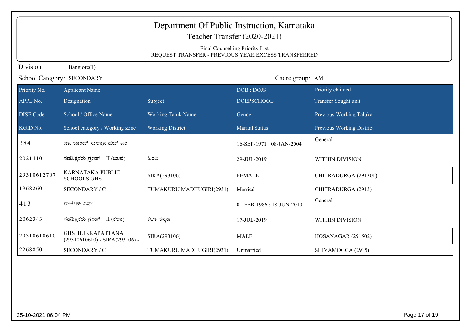| Department Of Public Instruction, Karnataka<br>Teacher Transfer (2020-2021)<br>Final Counselling Priority List |                                                             |                                                     |                          |                           |  |
|----------------------------------------------------------------------------------------------------------------|-------------------------------------------------------------|-----------------------------------------------------|--------------------------|---------------------------|--|
|                                                                                                                |                                                             | REQUEST TRANSFER - PREVIOUS YEAR EXCESS TRANSFERRED |                          |                           |  |
| Division:                                                                                                      | Banglore(1)                                                 |                                                     |                          |                           |  |
|                                                                                                                | School Category: SECONDARY                                  |                                                     | Cadre group: AM          |                           |  |
| Priority No.                                                                                                   | <b>Applicant Name</b>                                       |                                                     | DOB: DOJS                | Priority claimed          |  |
| APPL No.                                                                                                       | Designation                                                 | Subject                                             | <b>DOEPSCHOOL</b>        | Transfer Sought unit      |  |
| <b>DISE Code</b>                                                                                               | School / Office Name                                        | Working Taluk Name                                  | Gender                   | Previous Working Taluka   |  |
| KGID No.                                                                                                       | School category / Working zone                              | <b>Working District</b>                             | <b>Marital Status</b>    | Previous Working District |  |
| 384                                                                                                            | ಡಾ. ಚಾಂದ್ ಸುಲ್ತಾನ ಹೆಚ್ ಎಂ                                   |                                                     | 16-SEP-1971: 08-JAN-2004 | General                   |  |
| 2021410                                                                                                        | ಸಹಶಿಕ್ಷಕರು ಗ್ರೇಡ್ II (ಭಾಷೆ)                                 | ಹಿಂದಿ                                               | 29-JUL-2019              | WITHIN DIVISION           |  |
| 29310612707                                                                                                    | KARNATAKA PUBLIC<br><b>SCHOOLS GHS</b>                      | SIRA(293106)                                        | <b>FEMALE</b>            | CHITRADURGA (291301)      |  |
| 1968260                                                                                                        | SECONDARY / C                                               | TUMAKURU MADHUGIRI(2931)                            | Married                  | CHITRADURGA (2913)        |  |
| 413                                                                                                            | ರಾಜೇಶ್ ಎನ್                                                  |                                                     | 01-FEB-1986: 18-JUN-2010 | General                   |  |
| 2062343                                                                                                        | ಸಹಶಿಕ್ಷಕರು ಗ್ರೇಡ್ II (ಕಲಾ)                                  | ಕಲ್_ಕನ್ನಡ                                           | 17-JUL-2019              | WITHIN DIVISION           |  |
| 29310610610                                                                                                    | <b>GHS BUKKAPATTANA</b><br>$(29310610610)$ - SIRA(293106) - | SIRA(293106)                                        | <b>MALE</b>              | HOSANAGAR (291502)        |  |
| 2268850                                                                                                        | SECONDARY / C                                               | TUMAKURU MADHUGIRI(2931)                            | Unmarried                | SHIVAMOGGA (2915)         |  |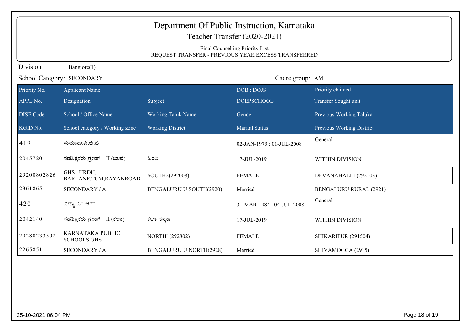| Department Of Public Instruction, Karnataka<br>Teacher Transfer (2020-2021)<br>Final Counselling Priority List<br>REQUEST TRANSFER - PREVIOUS YEAR EXCESS TRANSFERRED |                                        |                                |                          |                               |  |
|-----------------------------------------------------------------------------------------------------------------------------------------------------------------------|----------------------------------------|--------------------------------|--------------------------|-------------------------------|--|
| Division:                                                                                                                                                             | Banglore(1)                            |                                |                          |                               |  |
|                                                                                                                                                                       | School Category: SECONDARY             |                                | Cadre group: AM          |                               |  |
| Priority No.                                                                                                                                                          | <b>Applicant Name</b>                  |                                | DOB: DOJS                | Priority claimed              |  |
| APPL No.                                                                                                                                                              | Designation                            | Subject                        | <b>DOEPSCHOOL</b>        | Transfer Sought unit          |  |
| <b>DISE</b> Code                                                                                                                                                      | School / Office Name                   | <b>Working Taluk Name</b>      | Gender                   | Previous Working Taluka       |  |
| KGID No.                                                                                                                                                              | School category / Working zone         | <b>Working District</b>        | <b>Marital Status</b>    | Previous Working District     |  |
| 419                                                                                                                                                                   | ಸುಮಾದೇವಿ.ಬಿ.ಜಿ                         |                                | 02-JAN-1973: 01-JUL-2008 | General                       |  |
| 2045720                                                                                                                                                               | ಸಹಶಿಕ್ಷಕರು ಗ್ರೇಡ್ II (ಭಾಷೆ)            | ಹಿಂದಿ                          | 17-JUL-2019              | <b>WITHIN DIVISION</b>        |  |
| 29200802826                                                                                                                                                           | GHS, URDU,<br>BARLANE, TCM, RAYANROAD  | SOUTH2(292008)                 | <b>FEMALE</b>            | DEVANAHALLI (292103)          |  |
| 2361865                                                                                                                                                               | <b>SECONDARY / A</b>                   | <b>BENGALURU U SOUTH(2920)</b> | Married                  | <b>BENGALURU RURAL (2921)</b> |  |
| 420                                                                                                                                                                   | ವಿದ್ಯಾ ಎಂ.ಆರ್                          |                                | 31-MAR-1984: 04-JUL-2008 | General                       |  |
| 2042140                                                                                                                                                               | ಸಹಶಿಕ್ಷಕರು ಗ್ರೇಡ್ II (ಕಲಾ)             | ಕಲ್_ಕನ್ನಡ                      | 17-JUL-2019              | WITHIN DIVISION               |  |
| 29280233502                                                                                                                                                           | KARNATAKA PUBLIC<br><b>SCHOOLS GHS</b> | NORTH1(292802)                 | <b>FEMALE</b>            | SHIKARIPUR (291504)           |  |
| 2265851                                                                                                                                                               | <b>SECONDARY / A</b>                   | <b>BENGALURU U NORTH(2928)</b> | Married                  | SHIVAMOGGA (2915)             |  |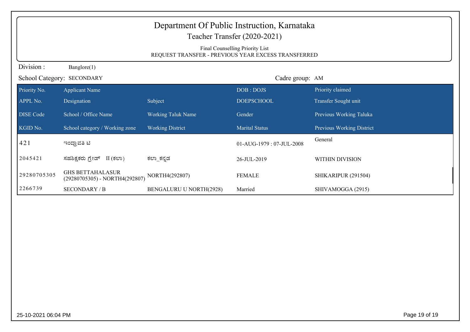|                  | Department Of Public Instruction, Karnataka<br>Teacher Transfer (2020-2021)<br>Final Counselling Priority List<br>REQUEST TRANSFER - PREVIOUS YEAR EXCESS TRANSFERRED |                                |                          |                                  |  |  |
|------------------|-----------------------------------------------------------------------------------------------------------------------------------------------------------------------|--------------------------------|--------------------------|----------------------------------|--|--|
| Division:        | Banglore(1)                                                                                                                                                           |                                |                          |                                  |  |  |
|                  | School Category: SECONDARY                                                                                                                                            |                                | Cadre group: AM          |                                  |  |  |
| Priority No.     | <b>Applicant Name</b>                                                                                                                                                 |                                | DOB: DOJS                | Priority claimed                 |  |  |
| APPL No.         | Designation                                                                                                                                                           | Subject                        | <b>DOEPSCHOOL</b>        | Transfer Sought unit             |  |  |
| <b>DISE</b> Code | School / Office Name                                                                                                                                                  | <b>Working Taluk Name</b>      | Gender                   | Previous Working Taluka          |  |  |
| KGID No.         | School category / Working zone                                                                                                                                        | <b>Working District</b>        | <b>Marital Status</b>    | <b>Previous Working District</b> |  |  |
| 421              | ಇಂದ್ರಾವತಿ ಟಿ                                                                                                                                                          |                                | 01-AUG-1979: 07-JUL-2008 | General                          |  |  |
| 2045421          | II (ಕಲಾ)<br>ಸಹಶಿಕ್ಷಕರು ಗ್ರೇಡ್                                                                                                                                         | ಕಲ್_ಕನ್ನಡ                      | 26-JUL-2019              | WITHIN DIVISION                  |  |  |
| 29280705305      | <b>GHS BETTAHALASUR</b><br>(29280705305) - NORTH4(292807)                                                                                                             | NORTH4(292807)                 | <b>FEMALE</b>            | SHIKARIPUR (291504)              |  |  |
| 2266739          | <b>SECONDARY / B</b>                                                                                                                                                  | <b>BENGALURU U NORTH(2928)</b> | Married                  | SHIVAMOGGA (2915)                |  |  |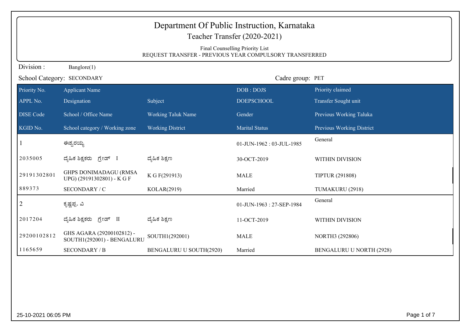|                  | Department Of Public Instruction, Karnataka<br>Teacher Transfer (2020-2021)                |                           |                          |                           |  |  |
|------------------|--------------------------------------------------------------------------------------------|---------------------------|--------------------------|---------------------------|--|--|
|                  | Final Counselling Priority List<br>REQUEST TRANSFER - PREVIOUS YEAR COMPULSORY TRANSFERRED |                           |                          |                           |  |  |
| Division:        | Banglore(1)                                                                                |                           |                          |                           |  |  |
|                  | School Category: SECONDARY                                                                 |                           | Cadre group: PET         |                           |  |  |
| Priority No.     | <b>Applicant Name</b>                                                                      |                           | DOB: DOJS                | Priority claimed          |  |  |
| APPL No.         | Designation                                                                                | Subject                   | <b>DOEPSCHOOL</b>        | Transfer Sought unit      |  |  |
| <b>DISE Code</b> | School / Office Name                                                                       | <b>Working Taluk Name</b> | Gender                   | Previous Working Taluka   |  |  |
| KGID No.         | School category / Working zone                                                             | <b>Working District</b>   | <b>Marital Status</b>    | Previous Working District |  |  |
|                  | ಈಶ್ವರಯ್ಯ                                                                                   |                           | 01-JUN-1962: 03-JUL-1985 | General                   |  |  |
| 2035005          | ದೈಹಿಕ ಶಿಕ್ಷಕರು ಗ್ರೇಡ್ I                                                                    | ದ್ಯಹಿಕ ಶಿಕ್ಷಣ             | 30-OCT-2019              | WITHIN DIVISION           |  |  |
| 29191302801      | <b>GHPS DONIMADAGU (RMSA</b><br>UPG) (29191302801) - K G F                                 | K G F(291913)             | <b>MALE</b>              | <b>TIPTUR (291808)</b>    |  |  |
| 889373           | SECONDARY / C                                                                              | KOLAR(2919)               | Married                  | TUMAKURU (2918)           |  |  |
| 2                | ಕೃಷ್ಣಪ್ಪ. ವಿ                                                                               |                           | 01-JUN-1963: 27-SEP-1984 | General                   |  |  |
| 2017204          | ದ್ಯಹಿಕ ಶಿಕ್ಷಕರು ಗ್ರೇಡ್ II                                                                  | ದ್ಮೆಹಿಕ ಶಿಕ್ಷಣ            | 11-OCT-2019              | WITHIN DIVISION           |  |  |
| 29200102812      | GHS AGARA (29200102812) -<br>SOUTH1(292001) - BENGALURU                                    | SOUTH1(292001)            | <b>MALE</b>              | NORTH3 (292806)           |  |  |
| 1165659          | <b>SECONDARY / B</b>                                                                       | BENGALURU U SOUTH(2920)   | Married                  | BENGALURU U NORTH (2928)  |  |  |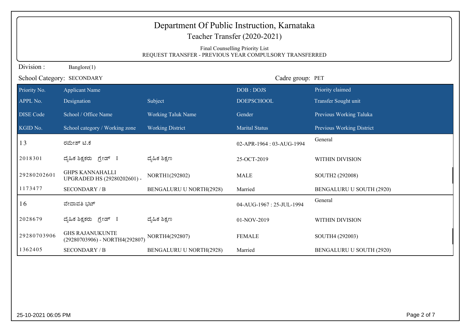| Department Of Public Instruction, Karnataka<br>Teacher Transfer (2020-2021)<br>Final Counselling Priority List<br>REQUEST TRANSFER - PREVIOUS YEAR COMPULSORY TRANSFERRED |                                                          |                                |                          |                           |  |
|---------------------------------------------------------------------------------------------------------------------------------------------------------------------------|----------------------------------------------------------|--------------------------------|--------------------------|---------------------------|--|
| Division:                                                                                                                                                                 | Banglore(1)                                              |                                |                          |                           |  |
|                                                                                                                                                                           | School Category: SECONDARY                               |                                | Cadre group: PET         |                           |  |
| Priority No.                                                                                                                                                              | <b>Applicant Name</b>                                    |                                | DOB: DOJS                | Priority claimed          |  |
| APPL No.                                                                                                                                                                  | Designation                                              | Subject                        | <b>DOEPSCHOOL</b>        | Transfer Sought unit      |  |
| <b>DISE</b> Code                                                                                                                                                          | School / Office Name                                     | <b>Working Taluk Name</b>      | Gender                   | Previous Working Taluka   |  |
| KGID No.                                                                                                                                                                  | School category / Working zone                           | <b>Working District</b>        | <b>Marital Status</b>    | Previous Working District |  |
| 13                                                                                                                                                                        | ರಮೇಶ್ ಟಿ.ಕೆ                                              |                                | 02-APR-1964: 03-AUG-1994 | General                   |  |
| 2018301                                                                                                                                                                   | ದೈಹಿಕ ಶಿಕ್ಷಕರು ಗ್ರೇಡ್ I                                  | ದ್ಶೆಹಿಕ ಶಿಕ್ಷಣ                 | 25-OCT-2019              | WITHIN DIVISION           |  |
| 29280202601                                                                                                                                                               | <b>GHPS KANNAHALLI</b><br>UPGRADED HS (29280202601) -    | NORTH1(292802)                 | <b>MALE</b>              | SOUTH2 (292008)           |  |
| 1173477                                                                                                                                                                   | <b>SECONDARY / B</b>                                     | <b>BENGALURU U NORTH(2928)</b> | Married                  | BENGALURU U SOUTH (2920)  |  |
| 16                                                                                                                                                                        | ವೇದಾವತಿ ಭಟ್                                              |                                | 04-AUG-1967: 25-JUL-1994 | General                   |  |
| 2028679                                                                                                                                                                   | ದ್ಯಹಿಕ ಶಿಕ್ಷಕರು ಗ್ರೇಡ್ I                                 | ದ್ಯೆಹಿಕ ಶಿಕ್ಷಣ                 | 01-NOV-2019              | <b>WITHIN DIVISION</b>    |  |
| 29280703906                                                                                                                                                               | <b>GHS RAJANUKUNTE</b><br>(29280703906) - NORTH4(292807) | NORTH4(292807)                 | <b>FEMALE</b>            | SOUTH4 (292003)           |  |
| 1362405                                                                                                                                                                   | <b>SECONDARY / B</b>                                     | <b>BENGALURU U NORTH(2928)</b> | Married                  | BENGALURU U SOUTH (2920)  |  |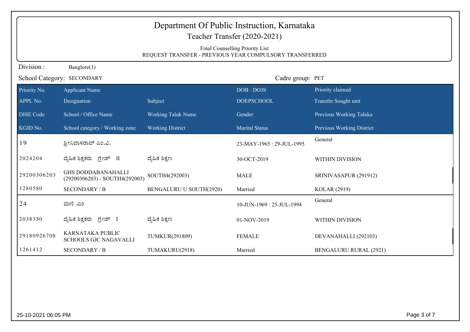| Department Of Public Instruction, Karnataka<br>Teacher Transfer (2020-2021)                |                                                               |                                |                          |                               |  |  |
|--------------------------------------------------------------------------------------------|---------------------------------------------------------------|--------------------------------|--------------------------|-------------------------------|--|--|
| Final Counselling Priority List<br>REQUEST TRANSFER - PREVIOUS YEAR COMPULSORY TRANSFERRED |                                                               |                                |                          |                               |  |  |
| Division:                                                                                  | Banglore(1)                                                   |                                |                          |                               |  |  |
|                                                                                            | School Category: SECONDARY                                    |                                | Cadre group: PET         |                               |  |  |
| Priority No.                                                                               | <b>Applicant Name</b>                                         |                                | DOB: DOJS                | Priority claimed              |  |  |
| APPL No.                                                                                   | Designation                                                   | Subject                        | <b>DOEPSCHOOL</b>        | Transfer Sought unit          |  |  |
| <b>DISE</b> Code                                                                           | School / Office Name                                          | <b>Working Taluk Name</b>      | Gender                   | Previous Working Taluka       |  |  |
| KGID No.                                                                                   | School category / Working zone                                | <b>Working District</b>        | <b>Marital Status</b>    | Previous Working District     |  |  |
| 19                                                                                         | ಶ್ರೀನಿವಾಸರಾವ್ ಎಂ.ವಿ.                                          |                                | 23-MAY-1965: 29-JUL-1995 | General                       |  |  |
| 2024204                                                                                    | ದ್ಯಹಿಕ ಶಿಕ್ಷಕರು ಗ್ರೇಡ್ II                                     | ದ್ಯೆಹಿಕ ಶಿಕ್ಷಣ                 | 30-OCT-2019              | WITHIN DIVISION               |  |  |
| 29200306203                                                                                | <b>GHS DODDABANAHALLI</b><br>$(29200306203)$ - SOUTH4(292003) | SOUTH4(292003)                 | <b>MALE</b>              | SRINIVASAPUR (291912)         |  |  |
| 1280580                                                                                    | <b>SECONDARY / B</b>                                          | <b>BENGALURU U SOUTH(2920)</b> | Married                  | <b>KOLAR (2919)</b>           |  |  |
| 24                                                                                         | ಮಣಿ .ಎಂ                                                       |                                | 10-JUN-1969: 25-JUL-1994 | General                       |  |  |
| 2038350                                                                                    | ದ್ಯಹಿಕ ಶಿಕ್ಷಕರು ಗ್ರೇಡ್ I                                      | ದ್ಶೆಹಿಕ ಶಿಕ್ಷಣ                 | 01-NOV-2019              | WITHIN DIVISION               |  |  |
| 29180926708                                                                                | KARNATAKA PUBLIC<br><b>SCHOOLS GJC NAGAVALLI</b>              | TUMKUR(291809)                 | <b>FEMALE</b>            | DEVANAHALLI (292103)          |  |  |
| 1261412                                                                                    | <b>SECONDARY / B</b>                                          | TUMAKURU(2918)                 | Married                  | <b>BENGALURU RURAL (2921)</b> |  |  |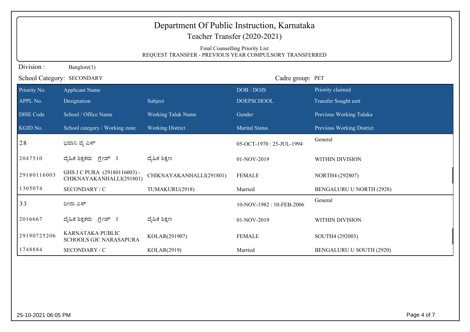| Department Of Public Instruction, Karnataka<br>Teacher Transfer (2020-2021) |                                                                                            |                           |                          |                           |  |  |
|-----------------------------------------------------------------------------|--------------------------------------------------------------------------------------------|---------------------------|--------------------------|---------------------------|--|--|
|                                                                             | Final Counselling Priority List<br>REQUEST TRANSFER - PREVIOUS YEAR COMPULSORY TRANSFERRED |                           |                          |                           |  |  |
| Division:                                                                   | Banglore(1)                                                                                |                           |                          |                           |  |  |
|                                                                             | School Category: SECONDARY                                                                 |                           | Cadre group: PET         |                           |  |  |
| Priority No.                                                                | <b>Applicant Name</b>                                                                      |                           | DOB: DOJS                | Priority claimed          |  |  |
| APPL No.                                                                    | Designation                                                                                | Subject                   | <b>DOEPSCHOOL</b>        | Transfer Sought unit      |  |  |
| <b>DISE Code</b>                                                            | School / Office Name                                                                       | <b>Working Taluk Name</b> | Gender                   | Previous Working Taluka   |  |  |
| KGID No.                                                                    | School category / Working zone                                                             | <b>Working District</b>   | <b>Marital Status</b>    | Previous Working District |  |  |
| 28                                                                          | ಭವಾನಿ ವೈ ಎಸ್                                                                               |                           | 05-OCT-1970: 25-JUL-1994 | General                   |  |  |
| 2047510                                                                     | ದೈಹಿಕ ಶಿಕ್ಷಕರು ಗ್ರೇಡ್ I                                                                    | ದ್ಯಹಿಕ ಶಿಕ್ಷಣ             | 01-NOV-2019              | WITHIN DIVISION           |  |  |
| 29180116003                                                                 | GHS J C PURA (29180116003) -<br>CHIKNAYAKANHALLI(291801)                                   | CHIKNAYAKANHALLI(291801)  | <b>FEMALE</b>            | NORTH4 (292807)           |  |  |
| 1305074                                                                     | SECONDARY / C                                                                              | TUMAKURU(2918)            | Married                  | BENGALURU U NORTH (2928)  |  |  |
| 33                                                                          | ರೀನಾ ಎಸ್                                                                                   |                           | 10-NOV-1982: 10-FEB-2006 | General                   |  |  |
| 2016667                                                                     | ದೈಹಿಕ ಶಿಕ್ಷಕರು ಗ್ರೇಡ್ I                                                                    | ದ್ಯಹಿಕ ಶಿಕ್ಷಣ             | 01-NOV-2019              | WITHIN DIVISION           |  |  |
| 29190725206                                                                 | KARNATAKA PUBLIC<br><b>SCHOOLS GJC NARASAPURA</b>                                          | KOLAR(291907)             | <b>FEMALE</b>            | SOUTH4 (292003)           |  |  |
| 1748884                                                                     | SECONDARY / C                                                                              | KOLAR(2919)               | Married                  | BENGALURU U SOUTH (2920)  |  |  |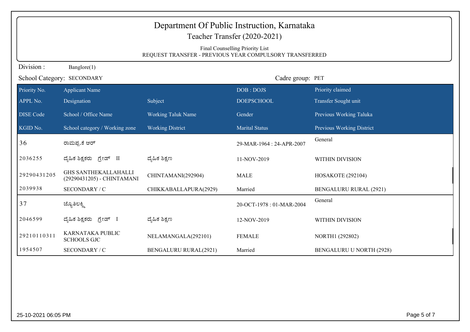| Department Of Public Instruction, Karnataka<br>Teacher Transfer (2020-2021)<br>Final Counselling Priority List<br>REQUEST TRANSFER - PREVIOUS YEAR COMPULSORY TRANSFERRED |                                                           |                              |                           |                                 |  |
|---------------------------------------------------------------------------------------------------------------------------------------------------------------------------|-----------------------------------------------------------|------------------------------|---------------------------|---------------------------------|--|
| Division:                                                                                                                                                                 | Banglore(1)                                               |                              |                           |                                 |  |
|                                                                                                                                                                           | School Category: SECONDARY                                |                              | Cadre group: PET          |                                 |  |
| Priority No.                                                                                                                                                              | <b>Applicant Name</b>                                     |                              | DOB: DOJS                 | Priority claimed                |  |
| APPL No.                                                                                                                                                                  | Designation                                               | Subject                      | <b>DOEPSCHOOL</b>         | Transfer Sought unit            |  |
| <b>DISE Code</b>                                                                                                                                                          | School / Office Name                                      | <b>Working Taluk Name</b>    | Gender                    | Previous Working Taluka         |  |
| KGID No.                                                                                                                                                                  | School category / Working zone                            | <b>Working District</b>      | <b>Marital Status</b>     | Previous Working District       |  |
| 36                                                                                                                                                                        | ರಾಮಪ್ಪಕೆ ಆರ್                                              |                              | 29-MAR-1964 : 24-APR-2007 | General                         |  |
| 2036255                                                                                                                                                                   | ದ್ಯಹಿಕ ಶಿಕ್ಷಕರು ಗ್ರೇಡ್ II                                 | ದ್ಯೆಹಿಕ ಶಿಕ್ಷಣ               | 11-NOV-2019               | <b>WITHIN DIVISION</b>          |  |
| 29290431205                                                                                                                                                               | <b>GHS SANTHEKALLAHALLI</b><br>(29290431205) - CHINTAMANI | CHINTAMANI(292904)           | <b>MALE</b>               | HOSAKOTE (292104)               |  |
| 2039938                                                                                                                                                                   | SECONDARY / C                                             | CHIKKABALLAPURA(2929)        | Married                   | <b>BENGALURU RURAL (2921)</b>   |  |
| 37                                                                                                                                                                        | ಜ್ಯೊತಿಲಕ್ಕ್ರಿ                                             |                              | 20-OCT-1978: 01-MAR-2004  | General                         |  |
| 2046599                                                                                                                                                                   | ದೈಹಿಕ ಶಿಕ್ಷಕರು ಗ್ರೇಡ್ I                                   | ದ್ಯೆಹಿಕ ಶಿಕ್ಷಣ               | 12-NOV-2019               | WITHIN DIVISION                 |  |
| 29210110311                                                                                                                                                               | KARNATAKA PUBLIC<br><b>SCHOOLS GJC</b>                    | NELAMANGALA(292101)          | <b>FEMALE</b>             | NORTH1 (292802)                 |  |
| 1954507                                                                                                                                                                   | SECONDARY / C                                             | <b>BENGALURU RURAL(2921)</b> | Married                   | <b>BENGALURU U NORTH (2928)</b> |  |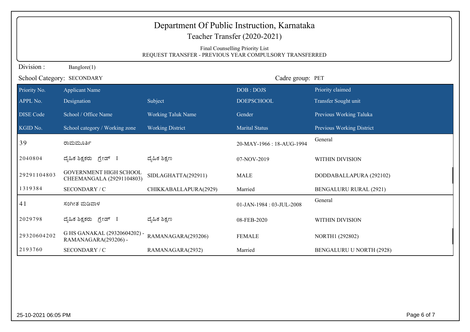| Department Of Public Instruction, Karnataka<br>Teacher Transfer (2020-2021) |                                                                                            |                         |                          |                               |  |  |
|-----------------------------------------------------------------------------|--------------------------------------------------------------------------------------------|-------------------------|--------------------------|-------------------------------|--|--|
|                                                                             | Final Counselling Priority List<br>REQUEST TRANSFER - PREVIOUS YEAR COMPULSORY TRANSFERRED |                         |                          |                               |  |  |
| Division:                                                                   | Banglore(1)                                                                                |                         |                          |                               |  |  |
|                                                                             | School Category: SECONDARY                                                                 |                         | Cadre group: PET         |                               |  |  |
| Priority No.                                                                | <b>Applicant Name</b>                                                                      |                         | DOB: DOJS                | Priority claimed              |  |  |
| APPL No.                                                                    | Designation                                                                                | Subject                 | <b>DOEPSCHOOL</b>        | Transfer Sought unit          |  |  |
| <b>DISE Code</b>                                                            | School / Office Name                                                                       | Working Taluk Name      | Gender                   | Previous Working Taluka       |  |  |
| KGID No.                                                                    | School category / Working zone                                                             | <b>Working District</b> | <b>Marital Status</b>    | Previous Working District     |  |  |
| 39                                                                          | ರಾಮಮೂರ್ತಿ                                                                                  |                         | 20-MAY-1966: 18-AUG-1994 | General                       |  |  |
| 2040804                                                                     | ದ್ಯಹಿಕ ಶಿಕ್ಷಕರು ಗ್ರೇಡ್ I                                                                   | ದ್ಯೆಹಿಕ ಶಿಕ್ಷಣ          | 07-NOV-2019              | WITHIN DIVISION               |  |  |
| 29291104803                                                                 | <b>GOVERNMENT HIGH SCHOOL</b><br>CHEEMANGALA (29291104803)                                 | SIDLAGHATTA(292911)     | <b>MALE</b>              | DODDABALLAPURA (292102)       |  |  |
| 1319384                                                                     | SECONDARY / C                                                                              | CHIKKABALLAPURA(2929)   | Married                  | <b>BENGALURU RURAL (2921)</b> |  |  |
| 41                                                                          | ಸಂಗೀತ ಮಡಿವಾಳ                                                                               |                         | 01-JAN-1984: 03-JUL-2008 | General                       |  |  |
| 2029798                                                                     | ದ್ಯಹಿಕ ಶಿಕ್ಷಕರು ಗ್ರೇಡ್ I                                                                   | ದ್ಮೆಹಿಕ ಶಿಕ್ಷಣ          | 08-FEB-2020              | WITHIN DIVISION               |  |  |
| 29320604202                                                                 | G HS GANAKAL (29320604202) -<br>RAMANAGARA(293206) -                                       | RAMANAGARA(293206)      | <b>FEMALE</b>            | NORTH1 (292802)               |  |  |
| 2193760                                                                     | SECONDARY / C                                                                              | RAMANAGARA(2932)        | Married                  | BENGALURU U NORTH (2928)      |  |  |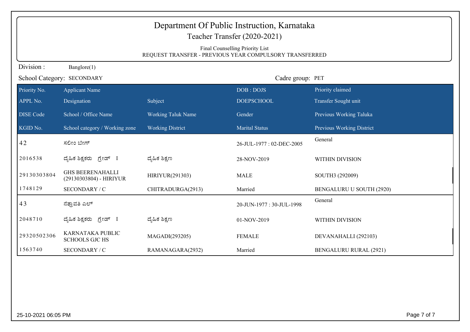| Department Of Public Instruction, Karnataka<br>Teacher Transfer (2020-2021)<br>Final Counselling Priority List<br>REQUEST TRANSFER - PREVIOUS YEAR COMPULSORY TRANSFERRED |                                                    |                           |                          |                               |  |  |
|---------------------------------------------------------------------------------------------------------------------------------------------------------------------------|----------------------------------------------------|---------------------------|--------------------------|-------------------------------|--|--|
| Division:                                                                                                                                                                 | Banglore(1)                                        |                           |                          |                               |  |  |
|                                                                                                                                                                           | School Category: SECONDARY                         |                           | Cadre group: PET         |                               |  |  |
| Priority No.                                                                                                                                                              | <b>Applicant Name</b>                              |                           | DOB: DOJS                | Priority claimed              |  |  |
| APPL No.                                                                                                                                                                  | Designation                                        | Subject                   | <b>DOEPSCHOOL</b>        | Transfer Sought unit          |  |  |
| <b>DISE Code</b>                                                                                                                                                          | School / Office Name                               | <b>Working Taluk Name</b> | Gender                   | Previous Working Taluka       |  |  |
| KGID No.                                                                                                                                                                  | School category / Working zone                     | <b>Working District</b>   | <b>Marital Status</b>    | Previous Working District     |  |  |
| 42                                                                                                                                                                        | ಸಲೀಂ ಬೇಗ್                                          |                           | 26-JUL-1977: 02-DEC-2005 | General                       |  |  |
| 2016538                                                                                                                                                                   | ದೈಹಿಕ ಶಿಕ್ಷಕರು <i>ಗ್ರೇಡ್</i> I                     | ದ್ಯೆಹಿಕ ಶಿಕ್ಷಣ            | 28-NOV-2019              | <b>WITHIN DIVISION</b>        |  |  |
| 29130303804                                                                                                                                                               | <b>GHS BEERENAHALLI</b><br>(29130303804) - HIRIYUR | HIRIYUR(291303)           | <b>MALE</b>              | SOUTH3 (292009)               |  |  |
| 1748129                                                                                                                                                                   | SECONDARY / C                                      | CHITRADURGA(2913)         | Married                  | BENGALURU U SOUTH (2920)      |  |  |
| 43                                                                                                                                                                        | ನೆತ್ರಾವತಿ ಎಲ್                                      |                           | 20-JUN-1977: 30-JUL-1998 | General                       |  |  |
| 2048710                                                                                                                                                                   | ದೈಹಿಕ ಶಿಕ್ಷಕರು ಗ್ರೇಡ್ I                            | ದ್ಮಹಿಕ ಶಿಕ್ಷಣ             | 01-NOV-2019              | WITHIN DIVISION               |  |  |
| 29320502306                                                                                                                                                               | <b>KARNATAKA PUBLIC</b><br><b>SCHOOLS GJC HS</b>   | MAGADI(293205)            | <b>FEMALE</b>            | DEVANAHALLI (292103)          |  |  |
| 1563740                                                                                                                                                                   | SECONDARY / C                                      | RAMANAGARA(2932)          | Married                  | <b>BENGALURU RURAL (2921)</b> |  |  |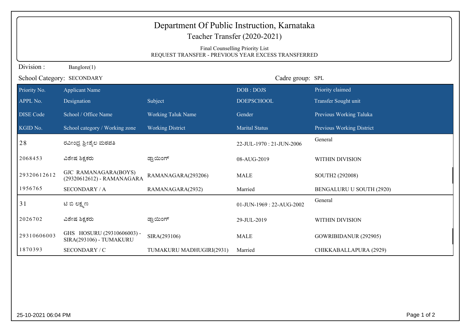| Department Of Public Instruction, Karnataka<br>Teacher Transfer (2020-2021)            |                                                       |                           |                          |                           |  |  |  |  |
|----------------------------------------------------------------------------------------|-------------------------------------------------------|---------------------------|--------------------------|---------------------------|--|--|--|--|
| Final Counselling Priority List<br>REQUEST TRANSFER - PREVIOUS YEAR EXCESS TRANSFERRED |                                                       |                           |                          |                           |  |  |  |  |
| Division:<br>Banglore(1)                                                               |                                                       |                           |                          |                           |  |  |  |  |
|                                                                                        | School Category: SECONDARY                            |                           | Cadre group: SPL         |                           |  |  |  |  |
| Priority No.                                                                           | <b>Applicant Name</b>                                 |                           | DOB: DOJS                | Priority claimed          |  |  |  |  |
| APPL No.                                                                               | Designation                                           | Subject                   | <b>DOEPSCHOOL</b>        | Transfer Sought unit      |  |  |  |  |
| <b>DISE Code</b>                                                                       | School / Office Name                                  | <b>Working Taluk Name</b> | Gender                   | Previous Working Taluka   |  |  |  |  |
| KGID No.                                                                               | School category / Working zone                        | <b>Working District</b>   | <b>Marital Status</b>    | Previous Working District |  |  |  |  |
| 28                                                                                     | ರವೀಂದ್ರ ಶ್ರೀಶ್ಮೆಲ ಮಠಪತಿ                               |                           | 22-JUL-1970: 21-JUN-2006 | General                   |  |  |  |  |
| 2068453                                                                                | ವಿಶೇಷ ಶಿಕ್ಷಕರು                                        | ಡ್ರಾಯಿಂಗ್                 | 08-AUG-2019              | WITHIN DIVISION           |  |  |  |  |
| 29320612612                                                                            | GJC RAMANAGARA(BOYS)<br>(29320612612) - RAMANAGARA    | RAMANAGARA(293206)        | <b>MALE</b>              | SOUTH2 (292008)           |  |  |  |  |
| 1956765                                                                                | SECONDARY / A                                         | RAMANAGARA(2932)          | Married                  | BENGALURU U SOUTH (2920)  |  |  |  |  |
| 31                                                                                     | ಟಿ ಬಿ ಲಕ್ಷ್ಮಣ                                         |                           | 01-JUN-1969: 22-AUG-2002 | General                   |  |  |  |  |
| 2026702                                                                                | ವಿಶೇಷ ಶಿಕ್ಷಕರು                                        | ಡ್ರಾಯಿಂಗ್                 | 29-JUL-2019              | WITHIN DIVISION           |  |  |  |  |
| 29310606003                                                                            | GHS HOSURU (29310606003) -<br>SIRA(293106) - TUMAKURU | SIRA(293106)              | <b>MALE</b>              | GOWRIBIDANUR (292905)     |  |  |  |  |
| 1870393                                                                                | SECONDARY / C                                         | TUMAKURU MADHUGIRI(2931)  | Married                  | CHIKKABALLAPURA (2929)    |  |  |  |  |